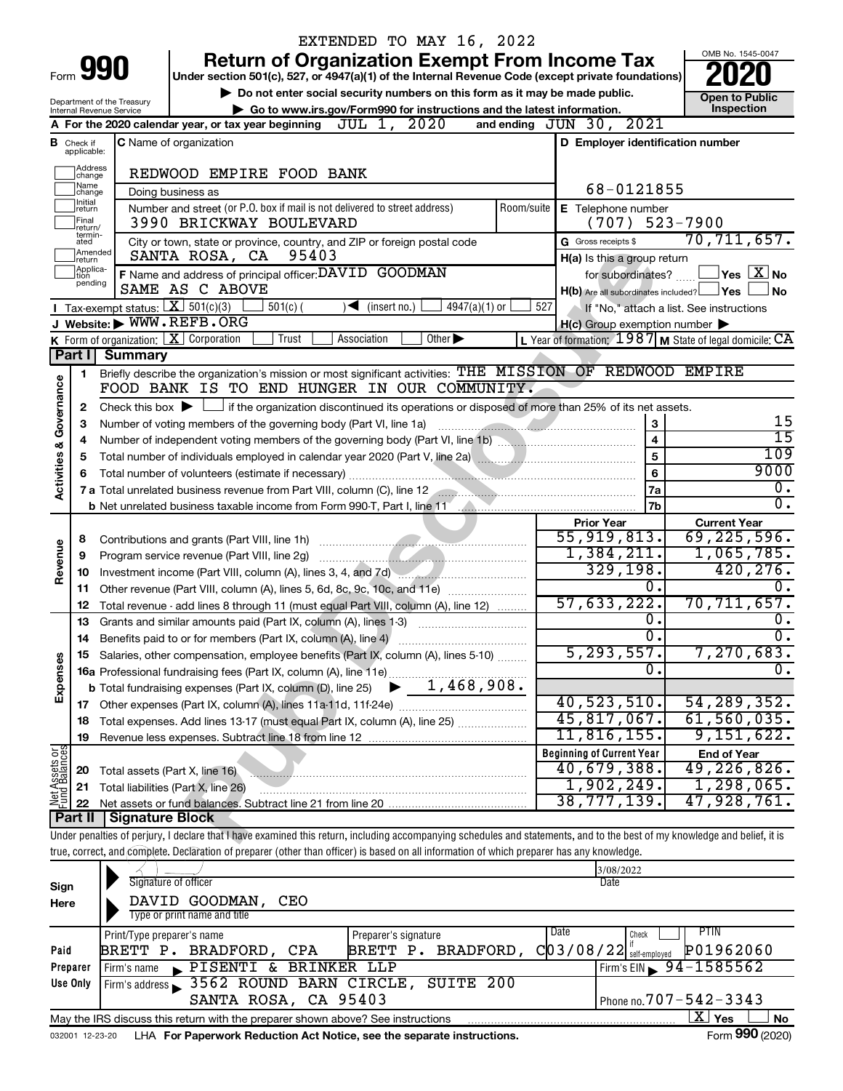|                         |                                |                                                        | EXTENDED TO MAY 16, 2022                                                                                                                                                                                                            |        |                                                     |                                                             |
|-------------------------|--------------------------------|--------------------------------------------------------|-------------------------------------------------------------------------------------------------------------------------------------------------------------------------------------------------------------------------------------|--------|-----------------------------------------------------|-------------------------------------------------------------|
|                         |                                |                                                        | <b>Return of Organization Exempt From Income Tax</b>                                                                                                                                                                                |        |                                                     | OMB No. 1545-0047                                           |
| Form 990                |                                |                                                        | Under section 501(c), 527, or 4947(a)(1) of the Internal Revenue Code (except private foundations)                                                                                                                                  |        |                                                     |                                                             |
|                         |                                |                                                        | Do not enter social security numbers on this form as it may be made public.                                                                                                                                                         |        |                                                     | <b>Open to Public</b>                                       |
|                         |                                | Department of the Treasury<br>Internal Revenue Service | Go to www.irs.gov/Form990 for instructions and the latest information.                                                                                                                                                              |        |                                                     | Inspection                                                  |
|                         |                                |                                                        | A For the 2020 calendar year, or tax year beginning JUL 1, 2020                                                                                                                                                                     |        | and ending JUN 30, 2021                             |                                                             |
|                         | <b>B</b> Check if applicable:  |                                                        | <b>C</b> Name of organization                                                                                                                                                                                                       |        | D Employer identification number                    |                                                             |
|                         | Address<br>change              |                                                        | REDWOOD EMPIRE FOOD BANK                                                                                                                                                                                                            |        |                                                     |                                                             |
|                         | Name<br>change                 |                                                        | Doing business as                                                                                                                                                                                                                   |        | 68-0121855                                          |                                                             |
|                         | Ilnitial<br>return<br>Final    |                                                        | Number and street (or P.O. box if mail is not delivered to street address)<br>Room/suite<br>3990 BRICKWAY BOULEVARD                                                                                                                 |        | E Telephone number<br>(707)                         | $523 - 7900$                                                |
|                         | return/<br>termin-<br>ated     |                                                        | City or town, state or province, country, and ZIP or foreign postal code                                                                                                                                                            |        | G Gross receipts \$                                 | 70, 711, 657.                                               |
|                         | Amended<br>Ireturn<br>Applica- |                                                        | 95403<br>SANTA ROSA, CA<br>F Name and address of principal officer: DAVID GOODMAN                                                                                                                                                   |        | H(a) Is this a group return<br>for subordinates?    | $\Box$ Yes $\Box X$ No                                      |
|                         | tion<br>pending                |                                                        | SAME AS C ABOVE                                                                                                                                                                                                                     |        | H(b) Are all subordinates included? Ves             | No                                                          |
|                         |                                |                                                        | Tax-exempt status: $X \overline{X}$ 501(c)(3)<br>$501(c)$ (<br>$\sqrt{\frac{1}{1}}$ (insert no.)<br>$4947(a)(1)$ or                                                                                                                 | 527    |                                                     | If "No," attach a list. See instructions                    |
|                         |                                |                                                        | J Website: WWW.REFB.ORG                                                                                                                                                                                                             |        | $H(c)$ Group exemption number $\blacktriangleright$ |                                                             |
|                         |                                |                                                        | K Form of organization:   X Corporation<br>Trust<br>Other $\blacktriangleright$<br>Association                                                                                                                                      |        |                                                     | L Year of formation: $1987$ M State of legal domicile: $CA$ |
|                         | Part I                         | <b>Summary</b>                                         |                                                                                                                                                                                                                                     |        |                                                     |                                                             |
|                         | 1                              |                                                        | Briefly describe the organization's mission or most significant activities: THE MISSION OF REDWOOD EMPIRE                                                                                                                           |        |                                                     |                                                             |
| Governance              |                                |                                                        | FOOD BANK IS TO END HUNGER IN OUR COMMUNITY.                                                                                                                                                                                        |        |                                                     |                                                             |
|                         | 2                              |                                                        | Check this box $\blacktriangleright \Box$ if the organization discontinued its operations or disposed of more than 25% of its net assets.                                                                                           |        |                                                     |                                                             |
|                         | 3                              |                                                        | Number of voting members of the governing body (Part VI, line 1a) manuscription of voting members of the governing body (Part VI, line 1a)                                                                                          |        | 3                                                   | 15                                                          |
|                         | 4                              |                                                        |                                                                                                                                                                                                                                     |        | 4                                                   | $\overline{15}$                                             |
| <b>Activities &amp;</b> | 5                              |                                                        | Total number of individuals employed in calendar year 2020 (Part V, line 2a) [[[[[[[[[[[[[[[[[[[[[[[[[[[[[[[[                                                                                                                       |        | 5                                                   | 109                                                         |
|                         | 6                              |                                                        |                                                                                                                                                                                                                                     |        | 6                                                   | 9000                                                        |
|                         |                                |                                                        | 7 a Total unrelated business revenue from Part VIII, column (C), line 12 <b>2000 Collection</b> continuum continuum control of a Total and Total and Total and Total and Total and Total and Total and Total and Total and Total an |        | 7a                                                  | $\overline{0}$ .                                            |
|                         |                                |                                                        | b Net unrelated business taxable income from Form 990-T, Part I, line 11 [1] [1] Net unrelated business taxable income from Form 990-T, Part I, line 11                                                                             |        | 7b                                                  | $\overline{0}$ .                                            |
|                         |                                |                                                        |                                                                                                                                                                                                                                     |        | <b>Prior Year</b>                                   | <b>Current Year</b>                                         |
|                         | 8                              |                                                        |                                                                                                                                                                                                                                     |        | 55,919,813.                                         | 69, 225, 596.                                               |
|                         | 9                              |                                                        | Program service revenue (Part VIII, line 2g)                                                                                                                                                                                        |        | 1,384,211.                                          | 1,065,785.                                                  |
| Revenue                 | 10                             |                                                        | Investment income (Part VIII, column (A), lines 3, 4, and 7d)                                                                                                                                                                       |        | 329, 198.                                           | 420, 276.                                                   |
|                         | 11                             |                                                        | Other revenue (Part VIII, column (A), lines 5, 6d, 8c, 9c, 10c, and 11e)                                                                                                                                                            |        | о.                                                  | $\overline{0}$ .                                            |
|                         | 12                             |                                                        | Total revenue - add lines 8 through 11 (must equal Part VIII, column (A), line 12)                                                                                                                                                  |        | 57,633,222.                                         | 70,711,657.                                                 |
|                         | 13                             |                                                        | Grants and similar amounts paid (Part IX, column (A), lines 1-3)                                                                                                                                                                    |        | о.                                                  | Ο.                                                          |
|                         | 14                             |                                                        |                                                                                                                                                                                                                                     |        | σ.                                                  | $\overline{0}$ .                                            |
|                         |                                |                                                        | Salaries, other compensation, employee benefits (Part IX, column (A), lines 5-10)                                                                                                                                                   |        | 5, 293, 557.                                        | 7,270,683.                                                  |
|                         |                                |                                                        | <b>16a</b> Professional fundraising fees (Part IX, column (A), line 11e)                                                                                                                                                            |        | $\overline{0}$ .                                    | σ.                                                          |
| Expenses                |                                |                                                        | 1,468,908.<br><b>b</b> Total fundraising expenses (Part IX, column (D), line 25)                                                                                                                                                    |        |                                                     |                                                             |
|                         |                                |                                                        |                                                                                                                                                                                                                                     |        | 40,523,510.                                         | 54, 289, 352.                                               |
|                         | 18                             |                                                        | Total expenses. Add lines 13-17 (must equal Part IX, column (A), line 25) <i></i>                                                                                                                                                   |        | 45,817,067.                                         | 61, 560, 035.                                               |
|                         | 19                             |                                                        |                                                                                                                                                                                                                                     |        | 11,816,155.                                         | 9,151,622.                                                  |
| Net Assets or           |                                |                                                        |                                                                                                                                                                                                                                     |        | <b>Beginning of Current Year</b>                    | <b>End of Year</b>                                          |
|                         | 20                             | Total assets (Part X, line 16)                         |                                                                                                                                                                                                                                     |        | 40,679,388.                                         | 49,226,826.                                                 |
|                         | 21                             |                                                        | Total liabilities (Part X, line 26)<br>the contract of the contract of the contract of the contract of the contract of                                                                                                              |        | 1,902,249.                                          | 1,298,065.                                                  |
|                         | 22                             |                                                        |                                                                                                                                                                                                                                     |        | 38,777,139.                                         | 47,928,761.                                                 |
|                         | Part II                        | Signature Block                                        |                                                                                                                                                                                                                                     |        |                                                     |                                                             |
|                         |                                |                                                        | Under penalties of perjury, I declare that I have examined this return, including accompanying schedules and statements, and to the best of my knowledge and belief, it is                                                          |        |                                                     |                                                             |
|                         |                                |                                                        | true, correct, and complete. Declaration of preparer (other than officer) is based on all information of which preparer has any knowledge.                                                                                          |        |                                                     |                                                             |
|                         |                                |                                                        | Signature of officer                                                                                                                                                                                                                |        | 3/08/2022                                           |                                                             |
| Sign                    |                                |                                                        |                                                                                                                                                                                                                                     |        | Date                                                |                                                             |
| Here                    |                                |                                                        | DAVID GOODMAN,<br>CEO                                                                                                                                                                                                               |        |                                                     |                                                             |
|                         |                                |                                                        | Type or print name and title                                                                                                                                                                                                        | I Dota |                                                     | <b>DTIN</b>                                                 |

|          | Print/Type preparer's name                                                                        |                        | Preparer's signature |                    | Date | Check                                                  | PTIN      |  |  |  |  |
|----------|---------------------------------------------------------------------------------------------------|------------------------|----------------------|--------------------|------|--------------------------------------------------------|-----------|--|--|--|--|
| Paid     |                                                                                                   | BRETT P. BRADFORD, CPA |                      | BRETT P. BRADFORD, |      | $\text{C}$ 03/08/22 $ ^\text{II}_\text{self-emploved}$ | P01962060 |  |  |  |  |
| Preparer | Firm's name                                                                                       | PISENTI & BRINKER LLP  |                      |                    |      | $I$ Firm's EIN $\rightarrow$ 94-1585562                |           |  |  |  |  |
| Use Only | Firm's address 3562 ROUND BARN CIRCLE, SUITE 200                                                  |                        |                      |                    |      |                                                        |           |  |  |  |  |
|          |                                                                                                   | SANTA ROSA, CA 95403   |                      |                    |      | Phone no. $707 - 542 - 3343$                           |           |  |  |  |  |
|          | х<br>No<br>Yes<br>May the IRS discuss this return with the preparer shown above? See instructions |                        |                      |                    |      |                                                        |           |  |  |  |  |
|          | $000 \times 00$<br>$\overline{\phantom{0}}$                                                       |                        |                      |                    |      |                                                        |           |  |  |  |  |

032001 12-23-20 LHA **For Paperwork Reduction Act Notice, see the separate instructions.** Form 990 (2020)

Form **990** (2020)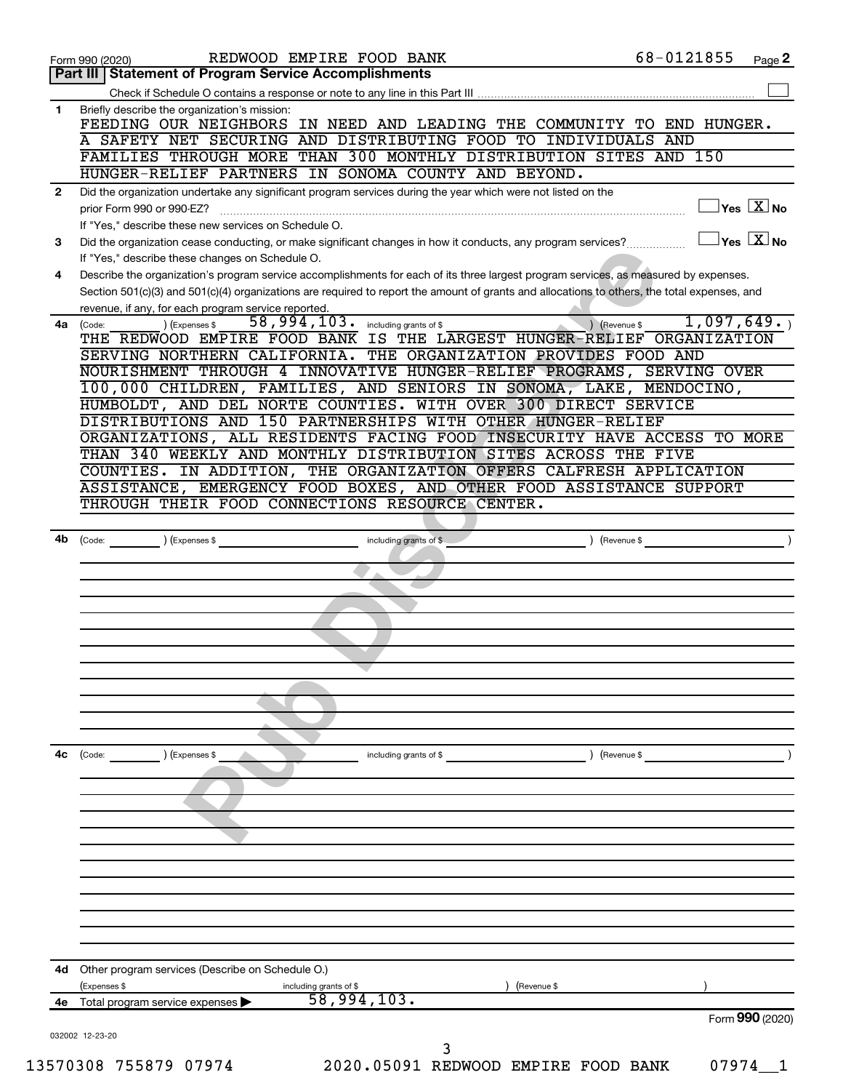|    | REDWOOD EMPIRE FOOD BANK<br>Form 990 (2020)                                                                                                                                                                                                                              | 68-0121855                  | Page 2                               |
|----|--------------------------------------------------------------------------------------------------------------------------------------------------------------------------------------------------------------------------------------------------------------------------|-----------------------------|--------------------------------------|
|    | <b>Statement of Program Service Accomplishments</b><br>Part III                                                                                                                                                                                                          |                             |                                      |
|    |                                                                                                                                                                                                                                                                          |                             |                                      |
| 1  | Briefly describe the organization's mission:<br>FEEDING OUR NEIGHBORS IN NEED AND LEADING THE COMMUNITY TO END HUNGER.                                                                                                                                                   |                             |                                      |
|    | A SAFETY NET SECURING AND DISTRIBUTING FOOD TO INDIVIDUALS AND                                                                                                                                                                                                           |                             |                                      |
|    | FAMILIES THROUGH MORE THAN 300 MONTHLY DISTRIBUTION SITES AND 150                                                                                                                                                                                                        |                             |                                      |
|    | HUNGER-RELIEF PARTNERS IN SONOMA COUNTY AND BEYOND.                                                                                                                                                                                                                      |                             |                                      |
| 2  | Did the organization undertake any significant program services during the year which were not listed on the<br>prior Form 990 or 990-EZ?                                                                                                                                |                             | $\exists$ Yes $\boxed{\text{X}}$ No  |
|    | If "Yes," describe these new services on Schedule O.                                                                                                                                                                                                                     |                             |                                      |
| 3  | Did the organization cease conducting, or make significant changes in how it conducts, any program services?                                                                                                                                                             |                             | $\exists$ Yes $\sqrt{\mathrm{X}}$ No |
| 4  | If "Yes," describe these changes on Schedule O.<br>Describe the organization's program service accomplishments for each of its three largest program services, as measured by expenses.                                                                                  |                             |                                      |
|    | Section 501(c)(3) and 501(c)(4) organizations are required to report the amount of grants and allocations to others, the total expenses, and                                                                                                                             |                             |                                      |
|    | revenue, if any, for each program service reported.                                                                                                                                                                                                                      |                             |                                      |
|    | 58,994,103.<br>) (Expenses \$<br>including grants of \$<br>4a (Code:                                                                                                                                                                                                     | 1,097,649.<br>) (Revenue \$ |                                      |
|    | THE REDWOOD EMPIRE FOOD BANK IS THE LARGEST HUNGER-RELIEF ORGANIZATION                                                                                                                                                                                                   |                             |                                      |
|    | SERVING NORTHERN CALIFORNIA. THE ORGANIZATION PROVIDES FOOD AND                                                                                                                                                                                                          |                             |                                      |
|    | NOURISHMENT THROUGH 4 INNOVATIVE HUNGER-RELIEF PROGRAMS, SERVING OVER                                                                                                                                                                                                    |                             |                                      |
|    | 100,000 CHILDREN, FAMILIES, AND SENIORS IN SONOMA, LAKE, MENDOCINO,                                                                                                                                                                                                      |                             |                                      |
|    | HUMBOLDT, AND DEL NORTE COUNTIES. WITH OVER 300 DIRECT SERVICE                                                                                                                                                                                                           |                             |                                      |
|    | DISTRIBUTIONS AND 150 PARTNERSHIPS WITH OTHER HUNGER-RELIEF                                                                                                                                                                                                              |                             |                                      |
|    | ORGANIZATIONS, ALL RESIDENTS FACING FOOD INSECURITY HAVE ACCESS TO MORE                                                                                                                                                                                                  |                             |                                      |
|    | THAN 340 WEEKLY AND MONTHLY DISTRIBUTION SITES ACROSS THE FIVE                                                                                                                                                                                                           |                             |                                      |
|    | COUNTIES. IN ADDITION, THE ORGANIZATION OFFERS CALFRESH APPLICATION<br>ASSISTANCE, EMERGENCY FOOD BOXES, AND OTHER FOOD ASSISTANCE SUPPORT                                                                                                                               |                             |                                      |
|    | THROUGH THEIR FOOD CONNECTIONS RESOURCE CENTER.                                                                                                                                                                                                                          |                             |                                      |
|    |                                                                                                                                                                                                                                                                          |                             |                                      |
| 4b | (Expenses \$<br>including grants of \$<br>(Code: with a set of the set of the set of the set of the set of the set of the set of the set of the set of the set of the set of the set of the set of the set of the set of the set of the set of the set of the set of the | Revenue \$                  |                                      |
|    |                                                                                                                                                                                                                                                                          |                             |                                      |
|    |                                                                                                                                                                                                                                                                          |                             |                                      |
|    |                                                                                                                                                                                                                                                                          |                             |                                      |
|    |                                                                                                                                                                                                                                                                          |                             |                                      |
|    |                                                                                                                                                                                                                                                                          |                             |                                      |
|    |                                                                                                                                                                                                                                                                          |                             |                                      |
|    |                                                                                                                                                                                                                                                                          |                             |                                      |
|    |                                                                                                                                                                                                                                                                          |                             |                                      |
|    |                                                                                                                                                                                                                                                                          |                             |                                      |
|    |                                                                                                                                                                                                                                                                          |                             |                                      |
|    |                                                                                                                                                                                                                                                                          |                             |                                      |
| 4с | ) (Expenses \$<br>(Code:<br>including grants of \$                                                                                                                                                                                                                       | ) (Revenue \$               |                                      |
|    |                                                                                                                                                                                                                                                                          |                             |                                      |
|    |                                                                                                                                                                                                                                                                          |                             |                                      |
|    |                                                                                                                                                                                                                                                                          |                             |                                      |
|    |                                                                                                                                                                                                                                                                          |                             |                                      |
|    |                                                                                                                                                                                                                                                                          |                             |                                      |
|    |                                                                                                                                                                                                                                                                          |                             |                                      |
|    |                                                                                                                                                                                                                                                                          |                             |                                      |
|    |                                                                                                                                                                                                                                                                          |                             |                                      |
|    |                                                                                                                                                                                                                                                                          |                             |                                      |
|    |                                                                                                                                                                                                                                                                          |                             |                                      |
|    |                                                                                                                                                                                                                                                                          |                             |                                      |
| 4d | Other program services (Describe on Schedule O.)                                                                                                                                                                                                                         |                             |                                      |
|    |                                                                                                                                                                                                                                                                          |                             |                                      |
| 4е | (Expenses \$<br>(Revenue \$<br>including grants of $$58,994,103$ .<br>Total program service expenses                                                                                                                                                                     |                             |                                      |
|    |                                                                                                                                                                                                                                                                          |                             | Form 990 (2020)                      |
|    | 032002 12-23-20                                                                                                                                                                                                                                                          |                             |                                      |
|    | 3                                                                                                                                                                                                                                                                        |                             |                                      |
|    | 13570308 755879 07974<br>2020.05091 REDWOOD EMPIRE FOOD BANK                                                                                                                                                                                                             | 07974                       |                                      |
|    |                                                                                                                                                                                                                                                                          |                             |                                      |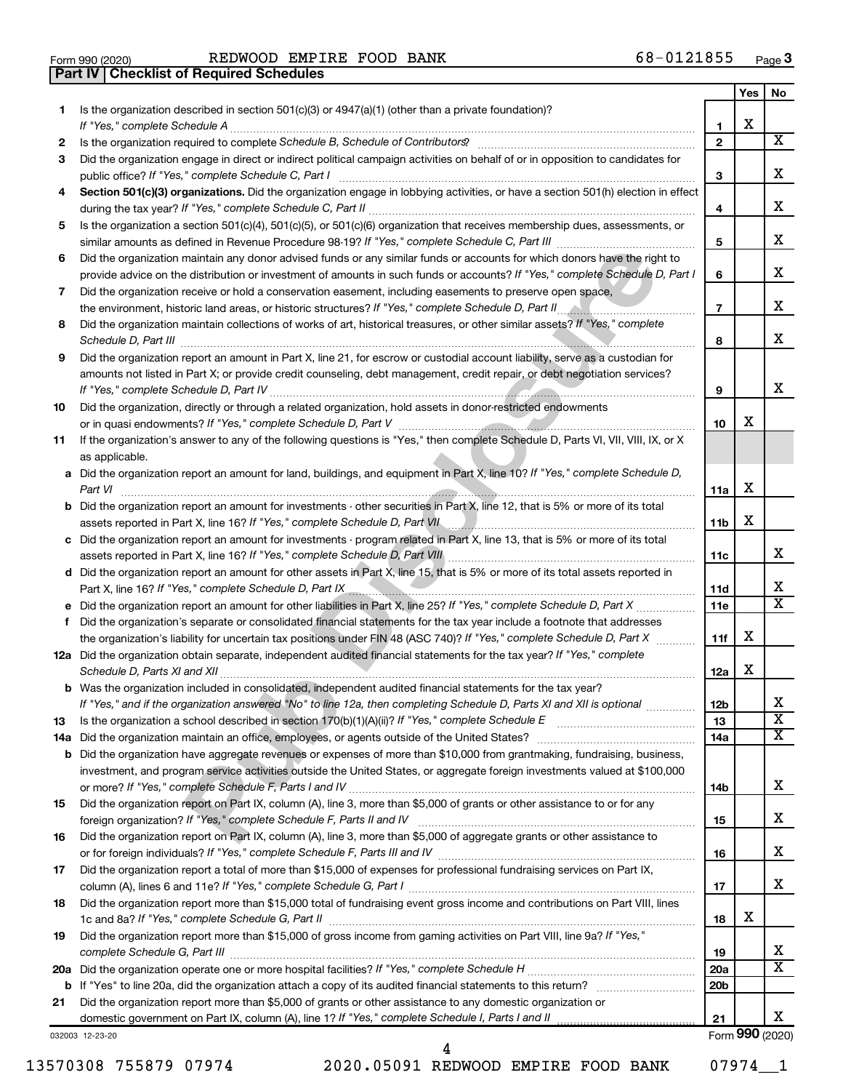|  | Form 990 (2020) |
|--|-----------------|

Form 990 (2020) Page REDWOOD EMPIRE FOOD BANK 68-0121855

**Part IV Checklist of Required Schedules**

|    |                                                                                                                                                                                                                                                                                                                                                                         |                 | Yes | No.                     |
|----|-------------------------------------------------------------------------------------------------------------------------------------------------------------------------------------------------------------------------------------------------------------------------------------------------------------------------------------------------------------------------|-----------------|-----|-------------------------|
| 1. | Is the organization described in section 501(c)(3) or 4947(a)(1) (other than a private foundation)?<br>If "Yes," complete Schedule A                                                                                                                                                                                                                                    | 1               | х   |                         |
| 2  | Is the organization required to complete Schedule B, Schedule of Contributors? [11] The organization required to complete Schedule B, Schedule of Contributors?                                                                                                                                                                                                         | $\mathbf{2}$    |     | х                       |
| 3  | Did the organization engage in direct or indirect political campaign activities on behalf of or in opposition to candidates for                                                                                                                                                                                                                                         |                 |     |                         |
|    | public office? If "Yes," complete Schedule C, Part I                                                                                                                                                                                                                                                                                                                    | з               |     | х                       |
| 4  | Section 501(c)(3) organizations. Did the organization engage in lobbying activities, or have a section 501(h) election in effect                                                                                                                                                                                                                                        | 4               |     | х                       |
| 5  | Is the organization a section 501(c)(4), 501(c)(5), or 501(c)(6) organization that receives membership dues, assessments, or                                                                                                                                                                                                                                            |                 |     |                         |
|    |                                                                                                                                                                                                                                                                                                                                                                         | 5               |     | х                       |
| 6  | Did the organization maintain any donor advised funds or any similar funds or accounts for which donors have the right to<br>provide advice on the distribution or investment of amounts in such funds or accounts? If "Yes," complete Schedule D, Part I                                                                                                               | 6               |     | х                       |
| 7  | Did the organization receive or hold a conservation easement, including easements to preserve open space,                                                                                                                                                                                                                                                               | $\overline{7}$  |     | х                       |
| 8  | Did the organization maintain collections of works of art, historical treasures, or other similar assets? If "Yes," complete                                                                                                                                                                                                                                            |                 |     |                         |
|    |                                                                                                                                                                                                                                                                                                                                                                         | 8               |     | x                       |
| 9  | Did the organization report an amount in Part X, line 21, for escrow or custodial account liability, serve as a custodian for                                                                                                                                                                                                                                           |                 |     |                         |
|    | amounts not listed in Part X; or provide credit counseling, debt management, credit repair, or debt negotiation services?                                                                                                                                                                                                                                               | 9               |     | x                       |
| 10 | Did the organization, directly or through a related organization, hold assets in donor-restricted endowments                                                                                                                                                                                                                                                            |                 |     |                         |
|    |                                                                                                                                                                                                                                                                                                                                                                         | 10              | х   |                         |
| 11 | If the organization's answer to any of the following questions is "Yes," then complete Schedule D, Parts VI, VII, VIII, IX, or X<br>as applicable.                                                                                                                                                                                                                      |                 |     |                         |
|    | a Did the organization report an amount for land, buildings, and equipment in Part X, line 10? If "Yes," complete Schedule D,                                                                                                                                                                                                                                           |                 |     |                         |
|    |                                                                                                                                                                                                                                                                                                                                                                         | 11a             | х   |                         |
|    | <b>b</b> Did the organization report an amount for investments - other securities in Part X, line 12, that is 5% or more of its total<br>assets reported in Part X, line 16? If "Yes," complete Schedule D, Part VII [100] [100] [100] [100] [100] [100] [100] [100] [100] [100] [100] [100] [100] [100] [100] [100] [100] [100] [100] [100] [100] [100] [100] [100] [1 | 11 <sub>b</sub> | х   |                         |
|    | c Did the organization report an amount for investments - program related in Part X, line 13, that is 5% or more of its total                                                                                                                                                                                                                                           |                 |     |                         |
|    | assets reported in Part X, line 16? If "Yes," complete Schedule D, Part VIII [[[[[[[[[[[[[[[[[[[[[[[[[[[[[[[[                                                                                                                                                                                                                                                           | 11c             |     | х                       |
|    | d Did the organization report an amount for other assets in Part X, line 15, that is 5% or more of its total assets reported in                                                                                                                                                                                                                                         |                 |     |                         |
|    | Part X, line 16? If "Yes," complete Schedule D, Part IX [19] Part IN [19] Part IX [19] Part IX [19] Part IX [19] Part IX [19] Part IX [19] Part IX [19] Part IX [19] Part IX [19] Part IX [19] Part IX [19] Part IX [19] Part                                                                                                                                           | 11d             |     | х                       |
|    |                                                                                                                                                                                                                                                                                                                                                                         | 11e             |     | x                       |
| f  | Did the organization's separate or consolidated financial statements for the tax year include a footnote that addresses                                                                                                                                                                                                                                                 |                 |     |                         |
|    | the organization's liability for uncertain tax positions under FIN 48 (ASC 740)? If "Yes," complete Schedule D, Part X                                                                                                                                                                                                                                                  | 11f             | х   |                         |
|    | 12a Did the organization obtain separate, independent audited financial statements for the tax year? If "Yes," complete                                                                                                                                                                                                                                                 | 12a             | х   |                         |
|    | <b>b</b> Was the organization included in consolidated, independent audited financial statements for the tax year?                                                                                                                                                                                                                                                      |                 |     |                         |
|    | If "Yes," and if the organization answered "No" to line 12a, then completing Schedule D, Parts XI and XII is optional                                                                                                                                                                                                                                                   | 12 <sub>b</sub> |     | х                       |
| 13 |                                                                                                                                                                                                                                                                                                                                                                         | 13              |     | $\overline{\mathbf{X}}$ |
|    |                                                                                                                                                                                                                                                                                                                                                                         | 14a             |     | х                       |
|    | <b>b</b> Did the organization have aggregate revenues or expenses of more than \$10,000 from grantmaking, fundraising, business,                                                                                                                                                                                                                                        |                 |     |                         |
|    | investment, and program service activities outside the United States, or aggregate foreign investments valued at \$100,000                                                                                                                                                                                                                                              |                 |     | х                       |
| 15 | Did the organization report on Part IX, column (A), line 3, more than \$5,000 of grants or other assistance to or for any                                                                                                                                                                                                                                               | 14b             |     |                         |
|    |                                                                                                                                                                                                                                                                                                                                                                         | 15              |     | х                       |
| 16 | Did the organization report on Part IX, column (A), line 3, more than \$5,000 of aggregate grants or other assistance to                                                                                                                                                                                                                                                |                 |     |                         |
|    |                                                                                                                                                                                                                                                                                                                                                                         | 16              |     | х                       |
| 17 | Did the organization report a total of more than \$15,000 of expenses for professional fundraising services on Part IX,                                                                                                                                                                                                                                                 |                 |     |                         |
|    |                                                                                                                                                                                                                                                                                                                                                                         | 17              |     | x                       |
| 18 | Did the organization report more than \$15,000 total of fundraising event gross income and contributions on Part VIII, lines                                                                                                                                                                                                                                            | 18              | х   |                         |
| 19 | Did the organization report more than \$15,000 of gross income from gaming activities on Part VIII, line 9a? If "Yes,"                                                                                                                                                                                                                                                  | 19              |     | X                       |
|    |                                                                                                                                                                                                                                                                                                                                                                         | 20a             |     | х                       |
|    |                                                                                                                                                                                                                                                                                                                                                                         | 20 <sub>b</sub> |     |                         |
| 21 | Did the organization report more than \$5,000 of grants or other assistance to any domestic organization or                                                                                                                                                                                                                                                             |                 |     |                         |
|    |                                                                                                                                                                                                                                                                                                                                                                         | 21              |     | х                       |
|    | 032003 12-23-20                                                                                                                                                                                                                                                                                                                                                         |                 |     | Form 990 (2020)         |

13570308 755879 07974 2020.05091 REDWOOD EMPIRE FOOD BANK 07974\_\_1

4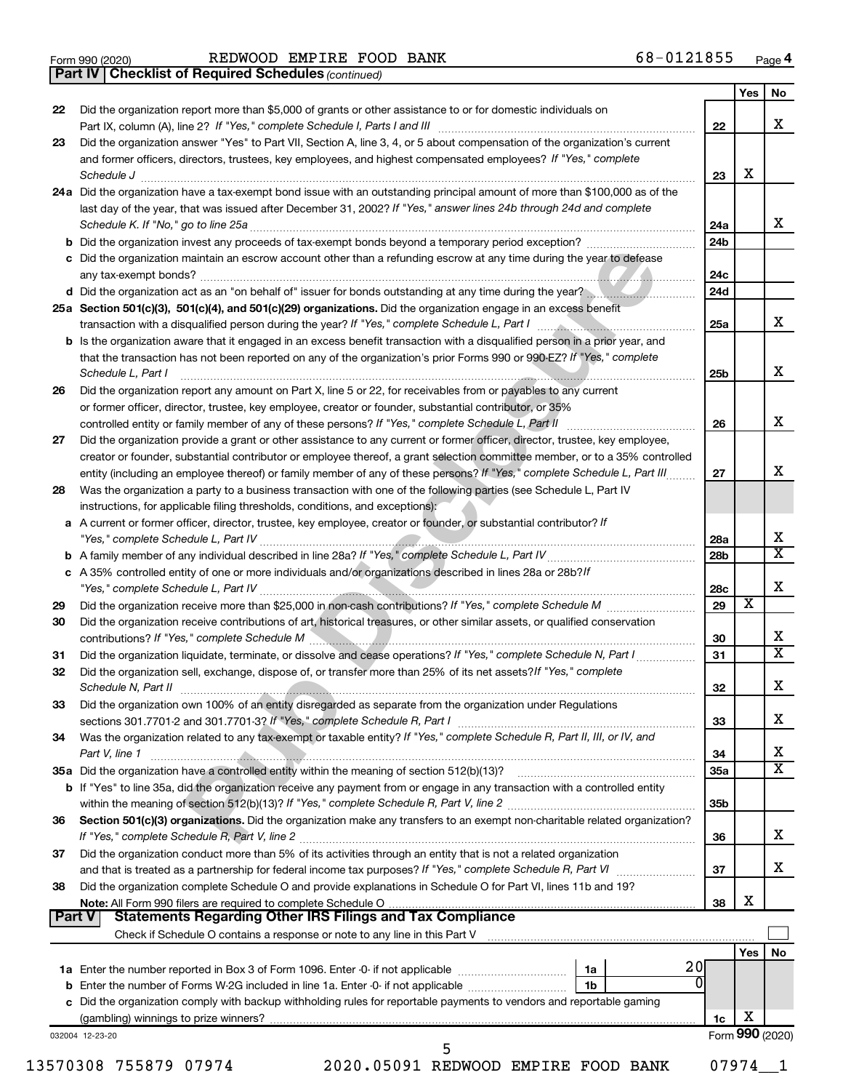|  | Form 990 (2020) |
|--|-----------------|
|  |                 |

*(continued)* **Part IV Checklist of Required Schedules**

|    |                                                                                                                                                                                                                                                                             |     | Yes             | No                      |
|----|-----------------------------------------------------------------------------------------------------------------------------------------------------------------------------------------------------------------------------------------------------------------------------|-----|-----------------|-------------------------|
| 22 | Did the organization report more than \$5,000 of grants or other assistance to or for domestic individuals on                                                                                                                                                               | 22  |                 | x                       |
| 23 | Did the organization answer "Yes" to Part VII, Section A, line 3, 4, or 5 about compensation of the organization's current                                                                                                                                                  |     |                 |                         |
|    | and former officers, directors, trustees, key employees, and highest compensated employees? If "Yes," complete                                                                                                                                                              | 23  | х               |                         |
|    | 24a Did the organization have a tax-exempt bond issue with an outstanding principal amount of more than \$100,000 as of the                                                                                                                                                 |     |                 |                         |
|    | last day of the year, that was issued after December 31, 2002? If "Yes," answer lines 24b through 24d and complete                                                                                                                                                          | 24a |                 | X                       |
|    |                                                                                                                                                                                                                                                                             | 24b |                 |                         |
|    | c Did the organization maintain an escrow account other than a refunding escrow at any time during the year to defease                                                                                                                                                      | 24c |                 |                         |
|    | d Did the organization act as an "on behalf of" issuer for bonds outstanding at any time during the year?                                                                                                                                                                   | 24d |                 |                         |
|    | 25a Section 501(c)(3), 501(c)(4), and 501(c)(29) organizations. Did the organization engage in an excess benefit                                                                                                                                                            |     |                 |                         |
|    | transaction with a disqualified person during the year? If "Yes," complete Schedule L, Part I manufactured and the set                                                                                                                                                      | 25a |                 | x                       |
|    | b Is the organization aware that it engaged in an excess benefit transaction with a disqualified person in a prior year, and<br>that the transaction has not been reported on any of the organization's prior Forms 990 or 990-EZ? If "Yes," complete<br>Schedule L, Part I | 25b |                 | x                       |
| 26 | Did the organization report any amount on Part X, line 5 or 22, for receivables from or payables to any current                                                                                                                                                             |     |                 |                         |
|    | or former officer, director, trustee, key employee, creator or founder, substantial contributor, or 35%                                                                                                                                                                     |     |                 |                         |
|    | controlled entity or family member of any of these persons? If "Yes," complete Schedule L, Part II                                                                                                                                                                          | 26  |                 | x                       |
| 27 | Did the organization provide a grant or other assistance to any current or former officer, director, trustee, key employee,                                                                                                                                                 |     |                 |                         |
|    | creator or founder, substantial contributor or employee thereof, a grant selection committee member, or to a 35% controlled                                                                                                                                                 |     |                 |                         |
|    | entity (including an employee thereof) or family member of any of these persons? If "Yes," complete Schedule L, Part III                                                                                                                                                    | 27  |                 | x                       |
| 28 | Was the organization a party to a business transaction with one of the following parties (see Schedule L, Part IV<br>instructions, for applicable filing thresholds, conditions, and exceptions):                                                                           |     |                 |                         |
|    | a A current or former officer, director, trustee, key employee, creator or founder, or substantial contributor? If                                                                                                                                                          | 28a |                 | X                       |
|    |                                                                                                                                                                                                                                                                             | 28b |                 | $\overline{\mathbf{X}}$ |
|    | c A 35% controlled entity of one or more individuals and/or organizations described in lines 28a or 28b?/f                                                                                                                                                                  | 28c |                 | X                       |
| 29 |                                                                                                                                                                                                                                                                             | 29  | х               |                         |
| 30 | Did the organization receive contributions of art, historical treasures, or other similar assets, or qualified conservation                                                                                                                                                 | 30  |                 | х                       |
| 31 | Did the organization liquidate, terminate, or dissolve and cease operations? If "Yes," complete Schedule N, Part I                                                                                                                                                          | 31  |                 | $\overline{\mathbf{X}}$ |
| 32 | Did the organization sell, exchange, dispose of, or transfer more than 25% of its net assets? If "Yes," complete                                                                                                                                                            | 32  |                 | X                       |
| 33 | Did the organization own 100% of an entity disregarded as separate from the organization under Regulations                                                                                                                                                                  |     |                 |                         |
| 34 | Was the organization related to any tax-exempt or taxable entity? If "Yes," complete Schedule R, Part II, III, or IV, and                                                                                                                                                   | 33  |                 | х                       |
|    | Part V, line 1                                                                                                                                                                                                                                                              | 34  |                 | х                       |
|    |                                                                                                                                                                                                                                                                             | 35a |                 | x                       |
|    | b If "Yes" to line 35a, did the organization receive any payment from or engage in any transaction with a controlled entity                                                                                                                                                 |     |                 |                         |
| 36 | Section 501(c)(3) organizations. Did the organization make any transfers to an exempt non-charitable related organization?                                                                                                                                                  | 35b |                 |                         |
|    |                                                                                                                                                                                                                                                                             | 36  |                 | x                       |
| 37 | Did the organization conduct more than 5% of its activities through an entity that is not a related organization                                                                                                                                                            | 37  |                 | x                       |
| 38 | Did the organization complete Schedule O and provide explanations in Schedule O for Part VI, lines 11b and 19?                                                                                                                                                              |     |                 |                         |
|    | Part V<br><b>Statements Regarding Other IRS Filings and Tax Compliance</b>                                                                                                                                                                                                  | 38  | х               |                         |
|    |                                                                                                                                                                                                                                                                             |     |                 |                         |
|    |                                                                                                                                                                                                                                                                             |     | Yes             | No                      |
|    | 20<br>  1a                                                                                                                                                                                                                                                                  |     |                 |                         |
|    | 0<br>1 <sub>b</sub>                                                                                                                                                                                                                                                         |     |                 |                         |
|    | c Did the organization comply with backup withholding rules for reportable payments to vendors and reportable gaming                                                                                                                                                        |     | X               |                         |
|    |                                                                                                                                                                                                                                                                             | 1c  |                 |                         |
|    | 032004 12-23-20<br>5                                                                                                                                                                                                                                                        |     | Form 990 (2020) |                         |
|    | 2020.05091 REDWOOD EMPIRE FOOD BANK<br>13570308 755879 07974                                                                                                                                                                                                                |     | 07974           |                         |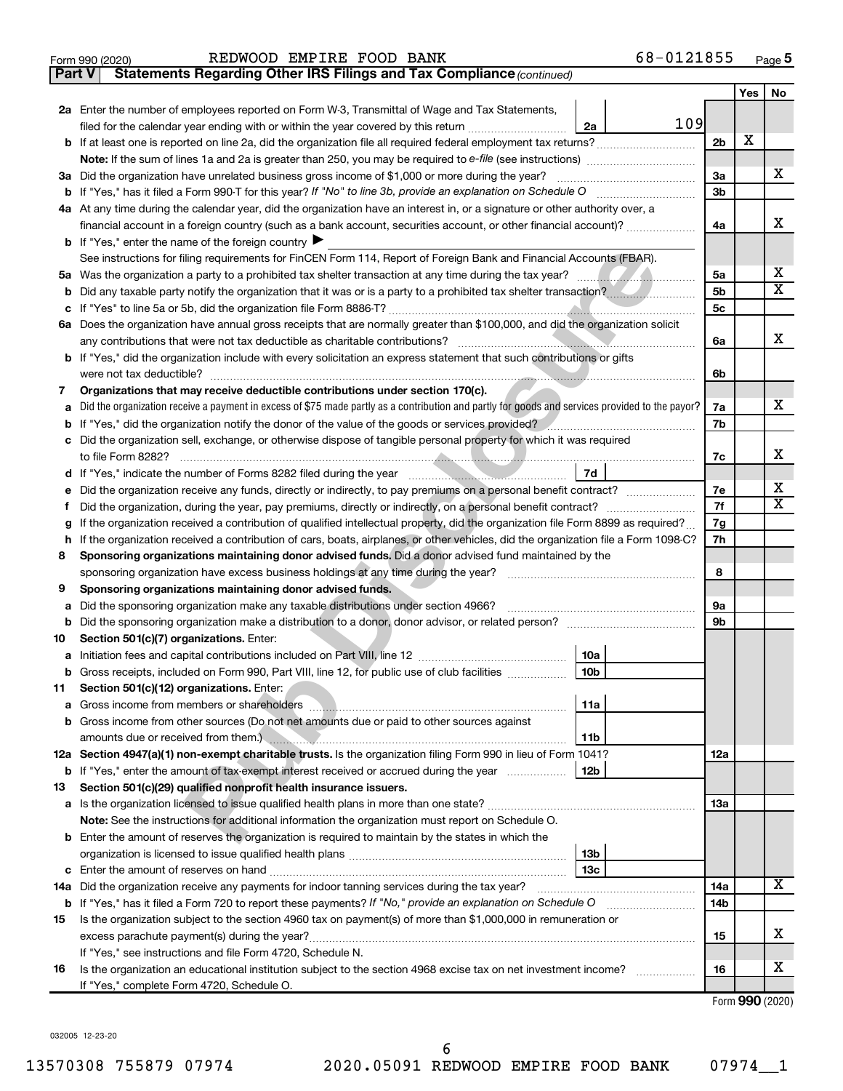| <b>EMPIRE FOOD BANK</b> | Form 990 (2020) | REDWOOD |  | 68-0121855 | Page |
|-------------------------|-----------------|---------|--|------------|------|
|-------------------------|-----------------|---------|--|------------|------|

**Part V Statements Regarding Other IRS Filings and Tax Compliance**

*(continued)*

|    |                                                                                                                                                 |                | Yes | No                      |  |  |
|----|-------------------------------------------------------------------------------------------------------------------------------------------------|----------------|-----|-------------------------|--|--|
|    | 2a Enter the number of employees reported on Form W-3, Transmittal of Wage and Tax Statements,                                                  |                |     |                         |  |  |
|    | 109<br>2a<br>filed for the calendar year ending with or within the year covered by this return                                                  |                |     |                         |  |  |
|    |                                                                                                                                                 | 2 <sub>b</sub> | х   |                         |  |  |
|    |                                                                                                                                                 |                |     |                         |  |  |
|    | 3a Did the organization have unrelated business gross income of \$1,000 or more during the year?                                                | За             |     | x                       |  |  |
|    |                                                                                                                                                 |                |     |                         |  |  |
|    | 4a At any time during the calendar year, did the organization have an interest in, or a signature or other authority over, a                    |                |     |                         |  |  |
|    | financial account in a foreign country (such as a bank account, securities account, or other financial account)?                                | 4a             |     | x                       |  |  |
|    | <b>b</b> If "Yes," enter the name of the foreign country $\blacktriangleright$                                                                  |                |     |                         |  |  |
|    | See instructions for filing requirements for FinCEN Form 114, Report of Foreign Bank and Financial Accounts (FBAR).                             |                |     | x                       |  |  |
|    |                                                                                                                                                 | 5a             |     | $\overline{\texttt{x}}$ |  |  |
|    |                                                                                                                                                 | 5b             |     |                         |  |  |
|    | 6a Does the organization have annual gross receipts that are normally greater than \$100,000, and did the organization solicit                  | 5c             |     |                         |  |  |
|    | any contributions that were not tax deductible as charitable contributions?                                                                     | 6a             |     | x                       |  |  |
|    | b If "Yes," did the organization include with every solicitation an express statement that such contributions or gifts                          |                |     |                         |  |  |
|    | were not tax deductible?                                                                                                                        | 6b             |     |                         |  |  |
| 7  | Organizations that may receive deductible contributions under section 170(c).                                                                   |                |     |                         |  |  |
|    | Did the organization receive a payment in excess of \$75 made partly as a contribution and partly for goods and services provided to the payor? | 7a             |     | x                       |  |  |
|    | If "Yes," did the organization notify the donor of the value of the goods or services provided?                                                 | 7b             |     |                         |  |  |
|    | c Did the organization sell, exchange, or otherwise dispose of tangible personal property for which it was required                             |                |     |                         |  |  |
|    | to file Form 8282?                                                                                                                              | 7c             |     | x                       |  |  |
|    | 7d                                                                                                                                              |                |     |                         |  |  |
|    | Did the organization receive any funds, directly or indirectly, to pay premiums on a personal benefit contract?                                 | 7е             |     | х                       |  |  |
| Ť. |                                                                                                                                                 |                |     |                         |  |  |
| g  | If the organization received a contribution of qualified intellectual property, did the organization file Form 8899 as required?                |                |     |                         |  |  |
| h. | If the organization received a contribution of cars, boats, airplanes, or other vehicles, did the organization file a Form 1098-C?              |                |     |                         |  |  |
| 8  | Sponsoring organizations maintaining donor advised funds. Did a donor advised fund maintained by the                                            |                |     |                         |  |  |
|    | sponsoring organization have excess business holdings at any time during the year?                                                              |                |     |                         |  |  |
| 9  | Sponsoring organizations maintaining donor advised funds.                                                                                       |                |     |                         |  |  |
| а  | Did the sponsoring organization make any taxable distributions under section 4966?                                                              | <b>9a</b>      |     |                         |  |  |
| b  |                                                                                                                                                 | 9b             |     |                         |  |  |
| 10 | Section 501(c)(7) organizations. Enter:                                                                                                         |                |     |                         |  |  |
| а  | 10a                                                                                                                                             |                |     |                         |  |  |
|    | 10 <sub>b</sub><br><b>b</b> Gross receipts, included on Form 990, Part VIII, line 12, for public use of club facilities <i>manument</i>         |                |     |                         |  |  |
| 11 | Section 501(c)(12) organizations. Enter:<br> 11a                                                                                                |                |     |                         |  |  |
|    | <b>b</b> Gross income from other sources (Do not net amounts due or paid to other sources against                                               |                |     |                         |  |  |
|    | amounts due or received from them.) <b>All and Strategie and Strategie and Strategie and Strategie and Strategie a</b><br>11b                   |                |     |                         |  |  |
|    | 12a Section 4947(a)(1) non-exempt charitable trusts. Is the organization filing Form 990 in lieu of Form 1041?                                  | 12a            |     |                         |  |  |
|    | <b>b</b> If "Yes," enter the amount of tax-exempt interest received or accrued during the year<br>12b                                           |                |     |                         |  |  |
| 13 | Section 501(c)(29) qualified nonprofit health insurance issuers.                                                                                |                |     |                         |  |  |
|    |                                                                                                                                                 | 13a            |     |                         |  |  |
|    | Note: See the instructions for additional information the organization must report on Schedule O.                                               |                |     |                         |  |  |
|    | <b>b</b> Enter the amount of reserves the organization is required to maintain by the states in which the                                       |                |     |                         |  |  |
|    | 13 <sub>b</sub>                                                                                                                                 |                |     |                         |  |  |
|    | 13с                                                                                                                                             |                |     |                         |  |  |
|    | 14a Did the organization receive any payments for indoor tanning services during the tax year?                                                  | 14a            |     | х                       |  |  |
|    | <b>b</b> If "Yes," has it filed a Form 720 to report these payments? If "No," provide an explanation on Schedule O                              | 14b            |     |                         |  |  |
| 15 | Is the organization subject to the section 4960 tax on payment(s) of more than \$1,000,000 in remuneration or                                   |                |     |                         |  |  |
|    | excess parachute payment(s) during the year?                                                                                                    | 15             |     | x                       |  |  |
|    | If "Yes," see instructions and file Form 4720, Schedule N.                                                                                      |                |     |                         |  |  |
| 16 | Is the organization an educational institution subject to the section 4968 excise tax on net investment income?                                 | 16             |     | х                       |  |  |
|    | If "Yes," complete Form 4720, Schedule O.                                                                                                       |                |     |                         |  |  |

Form (2020) **990**

032005 12-23-20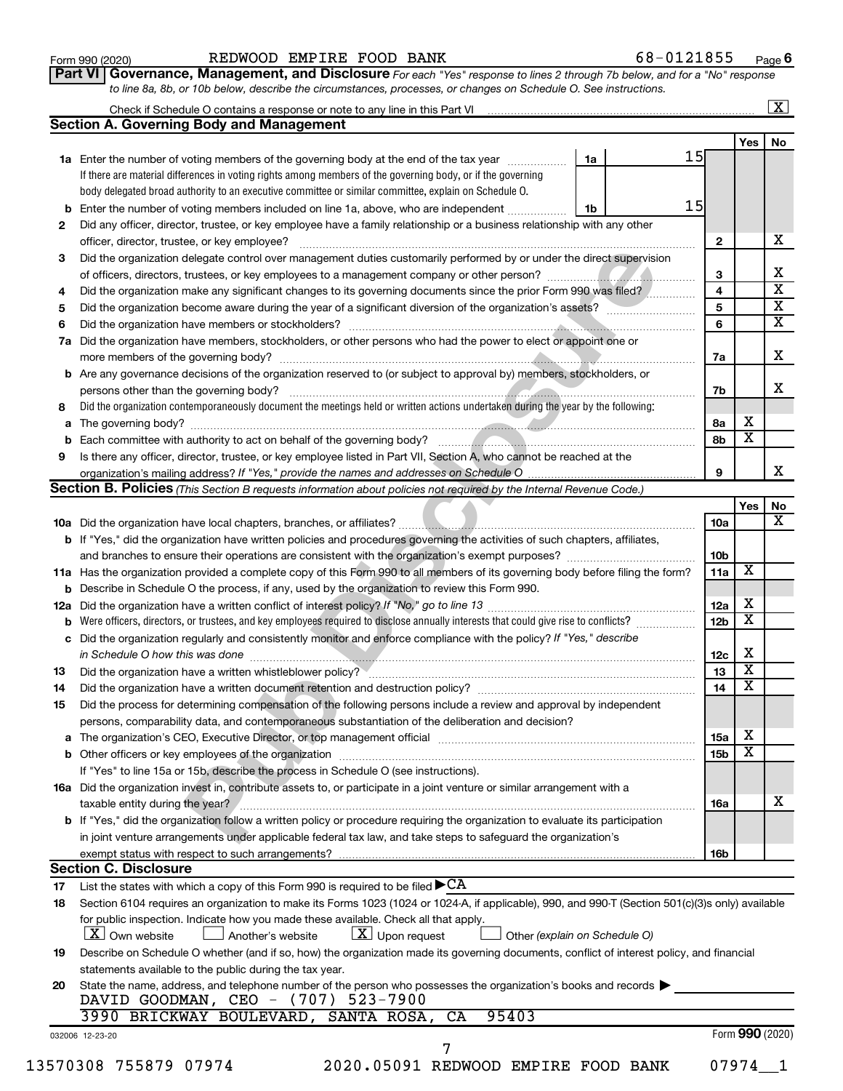#### Form 990 (2020) REDWOOD EMPIRE FOOD BANK 6 8-0121855 <sub>Page</sub> **6** REDWOOD EMPIRE FOOD BANK 68-0121855

*For each "Yes" response to lines 2 through 7b below, and for a "No" response to line 8a, 8b, or 10b below, describe the circumstances, processes, or changes on Schedule O. See instructions.* **Part VI Governance, Management, and Disclosure** 

|     | Check if Schedule O contains a response or note to any line in this Part VI                                                                      |    |  |    |                 |                         | $\mathbf{X}$            |
|-----|--------------------------------------------------------------------------------------------------------------------------------------------------|----|--|----|-----------------|-------------------------|-------------------------|
|     | <b>Section A. Governing Body and Management</b>                                                                                                  |    |  |    |                 |                         |                         |
|     |                                                                                                                                                  |    |  |    |                 | Yes                     | No                      |
|     | <b>1a</b> Enter the number of voting members of the governing body at the end of the tax year                                                    | 1a |  | 15 |                 |                         |                         |
|     | If there are material differences in voting rights among members of the governing body, or if the governing                                      |    |  |    |                 |                         |                         |
|     | body delegated broad authority to an executive committee or similar committee, explain on Schedule O.                                            |    |  |    |                 |                         |                         |
| b   | Enter the number of voting members included on line 1a, above, who are independent                                                               | 1b |  | 15 |                 |                         |                         |
| 2   | Did any officer, director, trustee, or key employee have a family relationship or a business relationship with any other                         |    |  |    |                 |                         |                         |
|     | officer, director, trustee, or key employee?                                                                                                     |    |  |    | 2               |                         | X                       |
| З   | Did the organization delegate control over management duties customarily performed by or under the direct supervision                            |    |  |    |                 |                         |                         |
|     |                                                                                                                                                  |    |  |    | 3               |                         | х                       |
| 4   | Did the organization make any significant changes to its governing documents since the prior Form 990 was filed?                                 |    |  |    | 4               |                         | $\overline{\textbf{X}}$ |
| 5   | Did the organization become aware during the year of a significant diversion of the organization's assets?                                       |    |  |    | 5               |                         | $\overline{\mathbf{X}}$ |
| 6   |                                                                                                                                                  |    |  |    | 6               |                         | $\overline{\mathbf{X}}$ |
| 7a  | Did the organization have members, stockholders, or other persons who had the power to elect or appoint one or                                   |    |  |    |                 |                         |                         |
|     |                                                                                                                                                  |    |  |    | 7a              |                         | x                       |
| b   | Are any governance decisions of the organization reserved to (or subject to approval by) members, stockholders, or                               |    |  |    |                 |                         |                         |
|     | persons other than the governing body?                                                                                                           |    |  |    | 7b              |                         | x                       |
| 8   | Did the organization contemporaneously document the meetings held or written actions undertaken during the year by the following:                |    |  |    |                 |                         |                         |
| a   |                                                                                                                                                  |    |  |    | 8а              | x                       |                         |
| b   |                                                                                                                                                  |    |  |    | 8b              | x                       |                         |
| 9   | Is there any officer, director, trustee, or key employee listed in Part VII, Section A, who cannot be reached at the                             |    |  |    |                 |                         |                         |
|     |                                                                                                                                                  |    |  |    | 9               |                         | x                       |
|     | <b>Section B. Policies</b> (This Section B requests information about policies not required by the Internal Revenue Code.)                       |    |  |    |                 |                         |                         |
|     |                                                                                                                                                  |    |  |    |                 | Yes                     | No                      |
|     |                                                                                                                                                  |    |  |    | 10a             |                         | x                       |
|     | <b>b</b> If "Yes," did the organization have written policies and procedures governing the activities of such chapters, affiliates,              |    |  |    |                 |                         |                         |
|     |                                                                                                                                                  |    |  |    | 10 <sub>b</sub> |                         |                         |
|     | 11a Has the organization provided a complete copy of this Form 990 to all members of its governing body before filing the form?                  |    |  |    | 11a             | X                       |                         |
| b   | Describe in Schedule O the process, if any, used by the organization to review this Form 990.                                                    |    |  |    |                 |                         |                         |
| 12a |                                                                                                                                                  |    |  |    | 12a             | х                       |                         |
| b   | Were officers, directors, or trustees, and key employees required to disclose annually interests that could give rise to conflicts?              |    |  |    | 12 <sub>b</sub> | $\overline{\textbf{x}}$ |                         |
| с   | Did the organization regularly and consistently monitor and enforce compliance with the policy? If "Yes," describe                               |    |  |    |                 |                         |                         |
|     | in Schedule O how this was done <i>manufacture contained a contained a contained a contained a contained a contained</i>                         |    |  |    | 12c             | х                       |                         |
| 13  |                                                                                                                                                  |    |  |    | 13              | $\overline{\textbf{x}}$ |                         |
| 14  | Did the organization have a written document retention and destruction policy? [11] manufaction manufaction in                                   |    |  |    | 14              | $\overline{\textbf{x}}$ |                         |
| 15  | Did the process for determining compensation of the following persons include a review and approval by independent                               |    |  |    |                 |                         |                         |
|     | persons, comparability data, and contemporaneous substantiation of the deliberation and decision?                                                |    |  |    |                 |                         |                         |
| а   |                                                                                                                                                  |    |  |    | 15a             | х                       |                         |
|     |                                                                                                                                                  |    |  |    | <b>15b</b>      | $\overline{\text{X}}$   |                         |
|     | If "Yes" to line 15a or 15b, describe the process in Schedule O (see instructions).                                                              |    |  |    |                 |                         |                         |
|     | 16a Did the organization invest in, contribute assets to, or participate in a joint venture or similar arrangement with a                        |    |  |    |                 |                         |                         |
|     | taxable entity during the year?                                                                                                                  |    |  |    | 16a             |                         | X                       |
|     | b If "Yes," did the organization follow a written policy or procedure requiring the organization to evaluate its participation                   |    |  |    |                 |                         |                         |
|     | in joint venture arrangements under applicable federal tax law, and take steps to safeguard the organization's                                   |    |  |    |                 |                         |                         |
|     | exempt status with respect to such arrangements?                                                                                                 |    |  |    | 16b             |                         |                         |
|     | <b>Section C. Disclosure</b>                                                                                                                     |    |  |    |                 |                         |                         |
| 17  | List the states with which a copy of this Form 990 is required to be filed $\blacktriangleright$ CA                                              |    |  |    |                 |                         |                         |
| 18  | Section 6104 requires an organization to make its Forms 1023 (1024 or 1024-A, if applicable), 990, and 990-T (Section 501(c)(3)s only) available |    |  |    |                 |                         |                         |
|     | for public inspection. Indicate how you made these available. Check all that apply.                                                              |    |  |    |                 |                         |                         |
|     | $\lfloor x \rfloor$ Upon request<br>  X   Own website<br>Another's website<br>Other (explain on Schedule O)                                      |    |  |    |                 |                         |                         |
| 19  | Describe on Schedule O whether (and if so, how) the organization made its governing documents, conflict of interest policy, and financial        |    |  |    |                 |                         |                         |
|     | statements available to the public during the tax year.                                                                                          |    |  |    |                 |                         |                         |
| 20  | State the name, address, and telephone number of the person who possesses the organization's books and records                                   |    |  |    |                 |                         |                         |
|     | DAVID GOODMAN, CEO - (707) 523-7900                                                                                                              |    |  |    |                 |                         |                         |
|     | 95403<br>3990 BRICKWAY BOULEVARD, SANTA ROSA,<br>CA                                                                                              |    |  |    |                 |                         |                         |
|     | 032006 12-23-20                                                                                                                                  |    |  |    |                 | Form 990 (2020)         |                         |
|     |                                                                                                                                                  |    |  |    |                 |                         |                         |
|     | 13570308 755879 07974<br>2020.05091 REDWOOD EMPIRE FOOD BANK                                                                                     |    |  |    |                 | $07974 - 1$             |                         |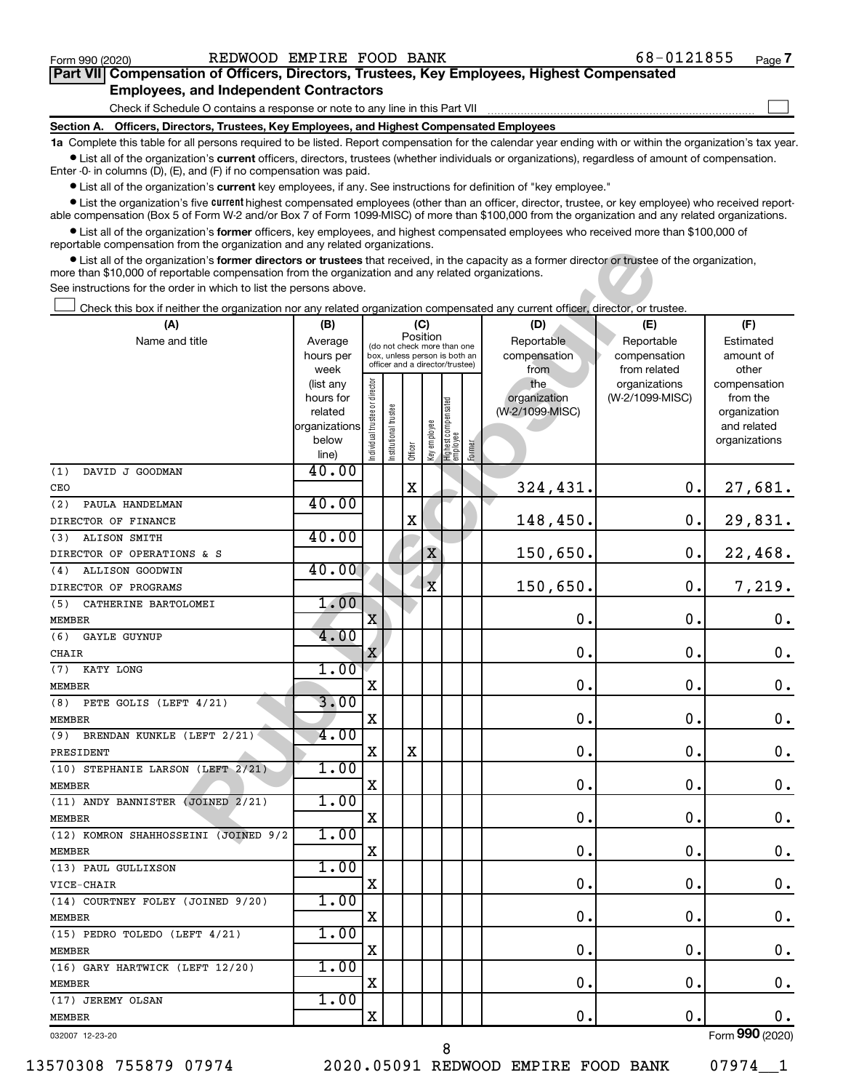$\Box$ 

| Part VII Compensation of Officers, Directors, Trustees, Key Employees, Highest Compensated |  |  |  |  |
|--------------------------------------------------------------------------------------------|--|--|--|--|
| <b>Employees, and Independent Contractors</b>                                              |  |  |  |  |

Check if Schedule O contains a response or note to any line in this Part VII

**Section A. Officers, Directors, Trustees, Key Employees, and Highest Compensated Employees**

**1a**  Complete this table for all persons required to be listed. Report compensation for the calendar year ending with or within the organization's tax year.  $\bullet$  List all of the organization's current officers, directors, trustees (whether individuals or organizations), regardless of amount of compensation.

Enter -0- in columns (D), (E), and (F) if no compensation was paid.

**•** List all of the organization's current key employees, if any. See instructions for definition of "key employee."

• List the organization's five *current* highest compensated employees (other than an officer, director, trustee, or key employee) who received reportable compensation (Box 5 of Form W-2 and/or Box 7 of Form 1099-MISC) of more than \$100,000 from the organization and any related organizations.

 $\bullet$  List all of the organization's former officers, key employees, and highest compensated employees who received more than \$100,000 of reportable compensation from the organization and any related organizations.

| reportable compensation from the organization and any related organizations.                                                                                                                                                                            |                        |                               |                       |          |             |                                                                  |        |                     |                                  |                          |
|---------------------------------------------------------------------------------------------------------------------------------------------------------------------------------------------------------------------------------------------------------|------------------------|-------------------------------|-----------------------|----------|-------------|------------------------------------------------------------------|--------|---------------------|----------------------------------|--------------------------|
| • List all of the organization's former directors or trustees that received, in the capacity as a former director or trustee of the organization,<br>more than \$10,000 of reportable compensation from the organization and any related organizations. |                        |                               |                       |          |             |                                                                  |        |                     |                                  |                          |
| See instructions for the order in which to list the persons above.                                                                                                                                                                                      |                        |                               |                       |          |             |                                                                  |        |                     |                                  |                          |
| Check this box if neither the organization nor any related organization compensated any current officer, director, or trustee.                                                                                                                          |                        |                               |                       |          |             |                                                                  |        |                     |                                  |                          |
| (A)                                                                                                                                                                                                                                                     | (B)                    |                               |                       |          | (C)         |                                                                  |        | (D)                 | (E)                              | (F)                      |
| Name and title                                                                                                                                                                                                                                          | Average                |                               |                       | Position |             | (do not check more than one                                      |        | Reportable          | Reportable                       | Estimated                |
|                                                                                                                                                                                                                                                         | hours per              |                               |                       |          |             | box, unless person is both an<br>officer and a director/trustee) |        | compensation        | compensation                     | amount of                |
|                                                                                                                                                                                                                                                         | week                   |                               |                       |          |             |                                                                  |        | from                | from related                     | other                    |
|                                                                                                                                                                                                                                                         | (list any<br>hours for |                               |                       |          |             |                                                                  |        | the<br>organization | organizations<br>(W-2/1099-MISC) | compensation<br>from the |
|                                                                                                                                                                                                                                                         | related                |                               |                       |          |             |                                                                  |        | (W-2/1099-MISC)     |                                  | organization             |
|                                                                                                                                                                                                                                                         | organizations          |                               |                       |          |             |                                                                  |        |                     |                                  | and related              |
|                                                                                                                                                                                                                                                         | below                  | ndividual trustee or director | Institutional trustee |          | Keyemployee |                                                                  |        |                     |                                  | organizations            |
|                                                                                                                                                                                                                                                         | line)                  |                               |                       | Officer  |             | Highest compensated<br> employee                                 | Former |                     |                                  |                          |
| DAVID J GOODMAN<br>(1)                                                                                                                                                                                                                                  | 40.00                  |                               |                       |          |             |                                                                  |        |                     |                                  |                          |
| CEO                                                                                                                                                                                                                                                     | 40.00                  |                               |                       | X        |             |                                                                  |        | 324,431.            | $\mathbf 0$ .                    | 27,681.                  |
| PAULA HANDELMAN<br>(2)                                                                                                                                                                                                                                  |                        |                               |                       | X        |             |                                                                  |        | 148,450.            | $\mathbf 0$ .                    | 29,831.                  |
| DIRECTOR OF FINANCE<br>ALISON SMITH<br>(3)                                                                                                                                                                                                              | 40.00                  |                               |                       |          |             |                                                                  |        |                     |                                  |                          |
| DIRECTOR OF OPERATIONS & S                                                                                                                                                                                                                              |                        |                               |                       |          | $\mathbf X$ |                                                                  |        | 150,650.            | $\mathbf 0$ .                    | 22,468.                  |
| ALLISON GOODWIN<br>(4)                                                                                                                                                                                                                                  | 40.00                  |                               |                       |          |             |                                                                  |        |                     |                                  |                          |
| DIRECTOR OF PROGRAMS                                                                                                                                                                                                                                    |                        |                               |                       |          | X           |                                                                  |        | 150,650.            | $\mathbf 0$                      | 7,219.                   |
| CATHERINE BARTOLOMEI<br>(5)                                                                                                                                                                                                                             | 1.00                   |                               |                       |          |             |                                                                  |        |                     |                                  |                          |
| <b>MEMBER</b>                                                                                                                                                                                                                                           |                        | X                             |                       |          |             |                                                                  |        | 0                   | 0                                | $0$ .                    |
| (6)<br>GAYLE GUYNUP                                                                                                                                                                                                                                     | 4.00                   |                               |                       |          |             |                                                                  |        |                     |                                  |                          |
| CHAIR                                                                                                                                                                                                                                                   |                        | X                             |                       |          |             |                                                                  |        | 0                   | 0                                | 0.                       |
| (7)<br>KATY LONG                                                                                                                                                                                                                                        | 1.00                   |                               |                       |          |             |                                                                  |        |                     |                                  |                          |
| <b>MEMBER</b><br>PETE GOLIS (LEFT 4/21)                                                                                                                                                                                                                 | 3.00                   | X                             |                       |          |             |                                                                  |        | 0                   | 0                                | 0.                       |
| (8)<br><b>MEMBER</b>                                                                                                                                                                                                                                    |                        | X                             |                       |          |             |                                                                  |        | 0                   | 0                                | 0.                       |
| (9)<br>BRENDAN KUNKLE (LEFT 2/21)                                                                                                                                                                                                                       | 4.00                   |                               |                       |          |             |                                                                  |        |                     |                                  |                          |
| PRESIDENT                                                                                                                                                                                                                                               |                        | X                             |                       | X        |             |                                                                  |        | 0                   | 0                                | $\mathbf 0$ .            |
| (10) STEPHANIE LARSON (LEFT 2/21)                                                                                                                                                                                                                       | 1.00                   |                               |                       |          |             |                                                                  |        |                     |                                  |                          |
| <b>MEMBER</b>                                                                                                                                                                                                                                           |                        | X                             |                       |          |             |                                                                  |        | 0                   | 0                                | 0.                       |
| (11) ANDY BANNISTER (JOINED 2/21)                                                                                                                                                                                                                       | 1.00                   |                               |                       |          |             |                                                                  |        |                     |                                  |                          |
| MEMBER                                                                                                                                                                                                                                                  |                        | X                             |                       |          |             |                                                                  |        | 0                   | $\mathbf 0$                      | $0$ .                    |
| (12) KOMRON SHAHHOSSEINI (JOINED 9/2                                                                                                                                                                                                                    | 1.00                   | X                             |                       |          |             |                                                                  |        | 0                   | 0                                | 0.                       |
| MEMBER<br>(13) PAUL GULLIXSON                                                                                                                                                                                                                           | 1.00                   |                               |                       |          |             |                                                                  |        |                     |                                  |                          |
| VICE-CHAIR                                                                                                                                                                                                                                              |                        | х                             |                       |          |             |                                                                  |        | 0                   | О.                               | 0.                       |
| (14) COURTNEY FOLEY (JOINED 9/20)                                                                                                                                                                                                                       | 1.00                   |                               |                       |          |             |                                                                  |        |                     |                                  |                          |
| MEMBER                                                                                                                                                                                                                                                  |                        | х                             |                       |          |             |                                                                  |        | О.                  | 0.                               | 0.                       |
| (15) PEDRO TOLEDO (LEFT 4/21)                                                                                                                                                                                                                           | 1.00                   |                               |                       |          |             |                                                                  |        |                     |                                  |                          |
| MEMBER                                                                                                                                                                                                                                                  |                        | х                             |                       |          |             |                                                                  |        | 0.                  | 0.                               | 0.                       |
| (16) GARY HARTWICK (LEFT 12/20)                                                                                                                                                                                                                         | 1.00                   |                               |                       |          |             |                                                                  |        |                     |                                  |                          |
| MEMBER                                                                                                                                                                                                                                                  |                        | х                             |                       |          |             |                                                                  |        | 0.                  | 0.                               | 0.                       |
| (17) JEREMY OLSAN                                                                                                                                                                                                                                       | 1.00                   |                               |                       |          |             |                                                                  |        |                     |                                  |                          |
| MEMBER                                                                                                                                                                                                                                                  |                        | х                             |                       |          |             |                                                                  |        | 0.                  | $\mathbf 0$ .                    | $0$ .                    |
| 032007 12-23-20                                                                                                                                                                                                                                         |                        |                               |                       |          |             |                                                                  |        |                     |                                  | Form 990 (2020)          |

13570308 755879 07974 2020.05091 REDWOOD EMPIRE FOOD BANK 07974\_\_1

8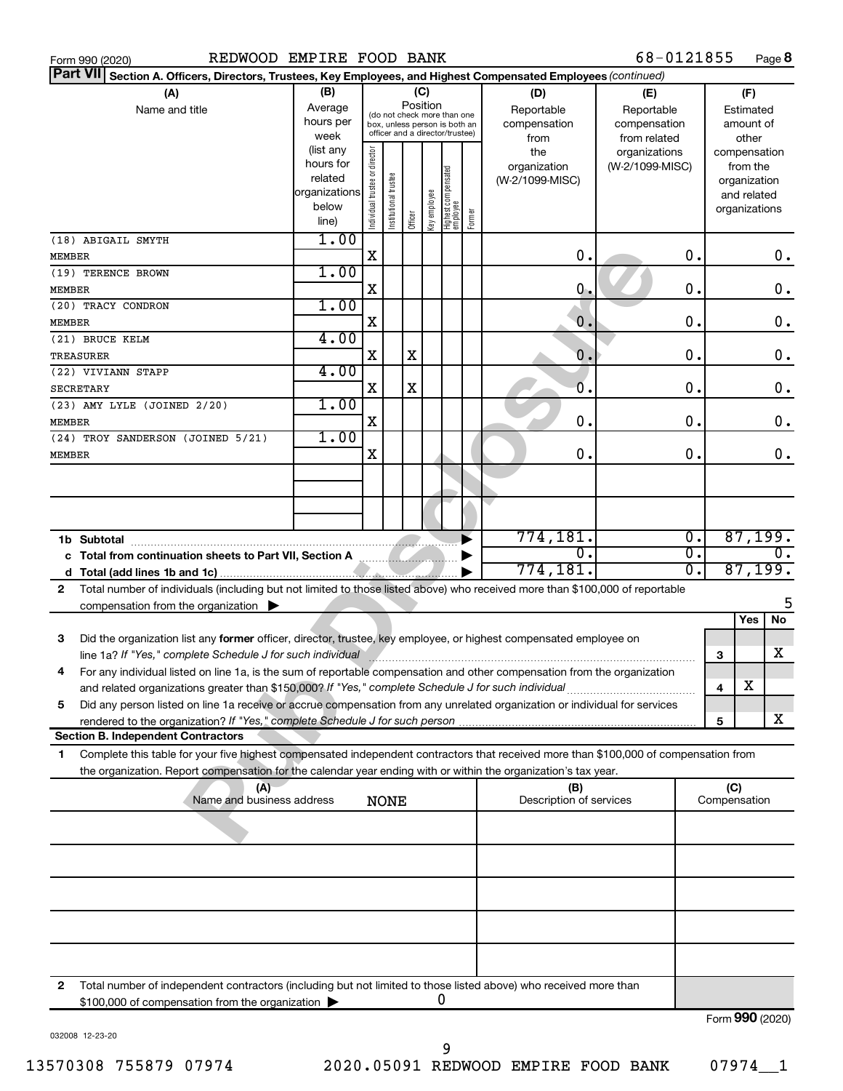|               | REDWOOD EMPIRE FOOD BANK<br>Form 990 (2020)                                                                                          |                        |                                |                                                                  |             |              |                                 |        |                                 | 68-0121855      |                  |                     |                             | Page 8         |
|---------------|--------------------------------------------------------------------------------------------------------------------------------------|------------------------|--------------------------------|------------------------------------------------------------------|-------------|--------------|---------------------------------|--------|---------------------------------|-----------------|------------------|---------------------|-----------------------------|----------------|
|               | <b>Part VII</b><br>Section A. Officers, Directors, Trustees, Key Employees, and Highest Compensated Employees (continued)            |                        |                                |                                                                  |             |              |                                 |        |                                 |                 |                  |                     |                             |                |
|               | (A)                                                                                                                                  | (B)                    |                                |                                                                  | (C)         |              |                                 |        | (D)                             | (E)             |                  |                     | (F)                         |                |
|               | Name and title                                                                                                                       | Average                |                                | (do not check more than one                                      |             | Position     |                                 |        | Reportable                      | Reportable      |                  |                     | Estimated                   |                |
|               |                                                                                                                                      | hours per              |                                | box, unless person is both an<br>officer and a director/trustee) |             |              |                                 |        | compensation                    | compensation    |                  |                     | amount of                   |                |
|               |                                                                                                                                      | week                   |                                |                                                                  |             |              |                                 |        | from                            | from related    |                  |                     | other                       |                |
|               |                                                                                                                                      | (list any<br>hours for |                                |                                                                  |             |              |                                 |        | the                             | organizations   |                  |                     | compensation                |                |
|               |                                                                                                                                      | related                |                                |                                                                  |             |              |                                 |        | organization<br>(W-2/1099-MISC) | (W-2/1099-MISC) |                  |                     | from the                    |                |
|               |                                                                                                                                      | organizations          |                                |                                                                  |             |              |                                 |        |                                 |                 |                  |                     | organization<br>and related |                |
|               |                                                                                                                                      | below                  |                                |                                                                  |             |              |                                 |        |                                 |                 |                  |                     | organizations               |                |
|               |                                                                                                                                      | line)                  | Individual trustee or director | Institutional trustee                                            | Officer     | Key employee | Highest compensated<br>employee | Former |                                 |                 |                  |                     |                             |                |
|               | (18) ABIGAIL SMYTH                                                                                                                   | 1.00                   |                                |                                                                  |             |              |                                 |        |                                 |                 |                  |                     |                             |                |
| <b>MEMBER</b> |                                                                                                                                      |                        | X                              |                                                                  |             |              |                                 |        | 0.                              |                 | $\mathbf 0$ .    |                     |                             | 0.             |
|               | (19) TERENCE BROWN                                                                                                                   | 1.00                   |                                |                                                                  |             |              |                                 |        |                                 |                 |                  |                     |                             |                |
| <b>MEMBER</b> |                                                                                                                                      |                        | X                              |                                                                  |             |              |                                 |        | 0.                              |                 | $\mathbf 0$ .    |                     |                             | 0.             |
|               | (20) TRACY CONDRON                                                                                                                   | 1.00                   |                                |                                                                  |             |              |                                 |        |                                 |                 |                  |                     |                             |                |
| <b>MEMBER</b> |                                                                                                                                      |                        | X                              |                                                                  |             |              |                                 |        | $\overline{0}$ .                |                 | $\mathbf 0$ .    |                     |                             | 0.             |
|               | (21) BRUCE KELM                                                                                                                      | 4.00                   |                                |                                                                  |             |              |                                 |        |                                 |                 |                  |                     |                             |                |
|               | TREASURER                                                                                                                            |                        | X                              |                                                                  | X           |              |                                 |        | $\overline{0}$ .                |                 | 0.               |                     |                             | 0.             |
|               | (22) VIVIANN STAPP                                                                                                                   | 4.00                   |                                |                                                                  |             |              |                                 |        |                                 |                 |                  |                     |                             |                |
|               | <b>SECRETARY</b>                                                                                                                     |                        | X                              |                                                                  | $\mathbf X$ |              |                                 |        | $\overline{0}$ .                |                 | 0.               |                     |                             | 0.             |
|               | (23) AMY LYLE (JOINED 2/20)                                                                                                          | 1.00                   |                                |                                                                  |             |              |                                 |        |                                 |                 |                  |                     |                             |                |
| <b>MEMBER</b> |                                                                                                                                      |                        | X                              |                                                                  |             |              |                                 |        | $\mathbf 0$ .                   |                 | 0.               |                     |                             | 0.             |
|               | (24) TROY SANDERSON (JOINED 5/21)                                                                                                    | 1.00                   |                                |                                                                  |             |              |                                 |        |                                 |                 |                  |                     |                             |                |
| MEMBER        |                                                                                                                                      |                        | X                              |                                                                  |             |              |                                 |        | 0.                              |                 | 0.               |                     |                             | 0.             |
|               |                                                                                                                                      |                        |                                |                                                                  |             |              |                                 |        |                                 |                 |                  |                     |                             |                |
|               |                                                                                                                                      |                        |                                |                                                                  |             |              |                                 |        |                                 |                 |                  |                     |                             |                |
|               |                                                                                                                                      |                        |                                |                                                                  |             |              |                                 |        |                                 |                 |                  |                     |                             |                |
|               |                                                                                                                                      |                        |                                |                                                                  |             |              |                                 |        |                                 |                 |                  |                     |                             |                |
|               | 1b Subtotal                                                                                                                          |                        |                                |                                                                  |             |              |                                 |        | 774,181.                        |                 | $\overline{0}$ . |                     |                             | 87,199.        |
|               |                                                                                                                                      |                        |                                |                                                                  |             |              |                                 |        | σ.                              |                 | $\overline{0}$ . |                     |                             | О.             |
| d             |                                                                                                                                      |                        |                                |                                                                  |             |              |                                 |        | 774,181.                        |                 | $\overline{0}$ . |                     | 87,199.                     |                |
| $\mathbf{2}$  | Total number of individuals (including but not limited to those listed above) who received more than \$100,000 of reportable         |                        |                                |                                                                  |             |              |                                 |        |                                 |                 |                  |                     |                             |                |
|               | compensation from the organization $\blacktriangleright$                                                                             |                        |                                |                                                                  |             |              |                                 |        |                                 |                 |                  |                     |                             | 5              |
|               |                                                                                                                                      |                        |                                |                                                                  |             |              |                                 |        |                                 |                 |                  |                     | Yes                         | $\overline{N}$ |
| 3             | Did the organization list any former officer, director, trustee, key employee, or highest compensated employee on                    |                        |                                |                                                                  |             |              |                                 |        |                                 |                 |                  |                     |                             |                |
|               | line 1a? If "Yes," complete Schedule J for such individual manufacture communications and the settlement of the                      |                        |                                |                                                                  |             |              |                                 |        |                                 |                 |                  | 3                   |                             | x              |
| 4             | For any individual listed on line 1a, is the sum of reportable compensation and other compensation from the organization             |                        |                                |                                                                  |             |              |                                 |        |                                 |                 |                  |                     |                             |                |
|               | and related organizations greater than \$150,000? If "Yes," complete Schedule J for such individual                                  |                        |                                |                                                                  |             |              |                                 |        |                                 |                 |                  | 4                   | х                           |                |
| 5             | Did any person listed on line 1a receive or accrue compensation from any unrelated organization or individual for services           |                        |                                |                                                                  |             |              |                                 |        |                                 |                 |                  |                     |                             |                |
|               |                                                                                                                                      |                        |                                |                                                                  |             |              |                                 |        |                                 |                 |                  | 5                   |                             | x              |
|               | <b>Section B. Independent Contractors</b>                                                                                            |                        |                                |                                                                  |             |              |                                 |        |                                 |                 |                  |                     |                             |                |
| 1             | Complete this table for your five highest compensated independent contractors that received more than \$100,000 of compensation from |                        |                                |                                                                  |             |              |                                 |        |                                 |                 |                  |                     |                             |                |
|               | the organization. Report compensation for the calendar year ending with or within the organization's tax year.                       |                        |                                |                                                                  |             |              |                                 |        |                                 |                 |                  |                     |                             |                |
|               | (A)<br>Name and business address                                                                                                     |                        |                                |                                                                  |             |              |                                 |        | (B)<br>Description of services  |                 |                  | (C)<br>Compensation |                             |                |
|               |                                                                                                                                      |                        |                                | NONE                                                             |             |              |                                 |        |                                 |                 |                  |                     |                             |                |
|               |                                                                                                                                      |                        |                                |                                                                  |             |              |                                 |        |                                 |                 |                  |                     |                             |                |
|               |                                                                                                                                      |                        |                                |                                                                  |             |              |                                 |        |                                 |                 |                  |                     |                             |                |
|               |                                                                                                                                      |                        |                                |                                                                  |             |              |                                 |        |                                 |                 |                  |                     |                             |                |
|               |                                                                                                                                      |                        |                                |                                                                  |             |              |                                 |        |                                 |                 |                  |                     |                             |                |
|               |                                                                                                                                      |                        |                                |                                                                  |             |              |                                 |        |                                 |                 |                  |                     |                             |                |
|               |                                                                                                                                      |                        |                                |                                                                  |             |              |                                 |        |                                 |                 |                  |                     |                             |                |
|               |                                                                                                                                      |                        |                                |                                                                  |             |              |                                 |        |                                 |                 |                  |                     |                             |                |
|               |                                                                                                                                      |                        |                                |                                                                  |             |              |                                 |        |                                 |                 |                  |                     |                             |                |
|               |                                                                                                                                      |                        |                                |                                                                  |             |              |                                 |        |                                 |                 |                  |                     |                             |                |
| 2             | Total number of independent contractors (including but not limited to those listed above) who received more than                     |                        |                                |                                                                  |             |              |                                 |        |                                 |                 |                  |                     |                             |                |
|               | \$100,000 of compensation from the organization                                                                                      |                        |                                |                                                                  |             |              | 0                               |        |                                 |                 |                  |                     |                             |                |
|               |                                                                                                                                      |                        |                                |                                                                  |             |              |                                 |        |                                 |                 |                  | Form 990 (2020)     |                             |                |

032008 12-23-20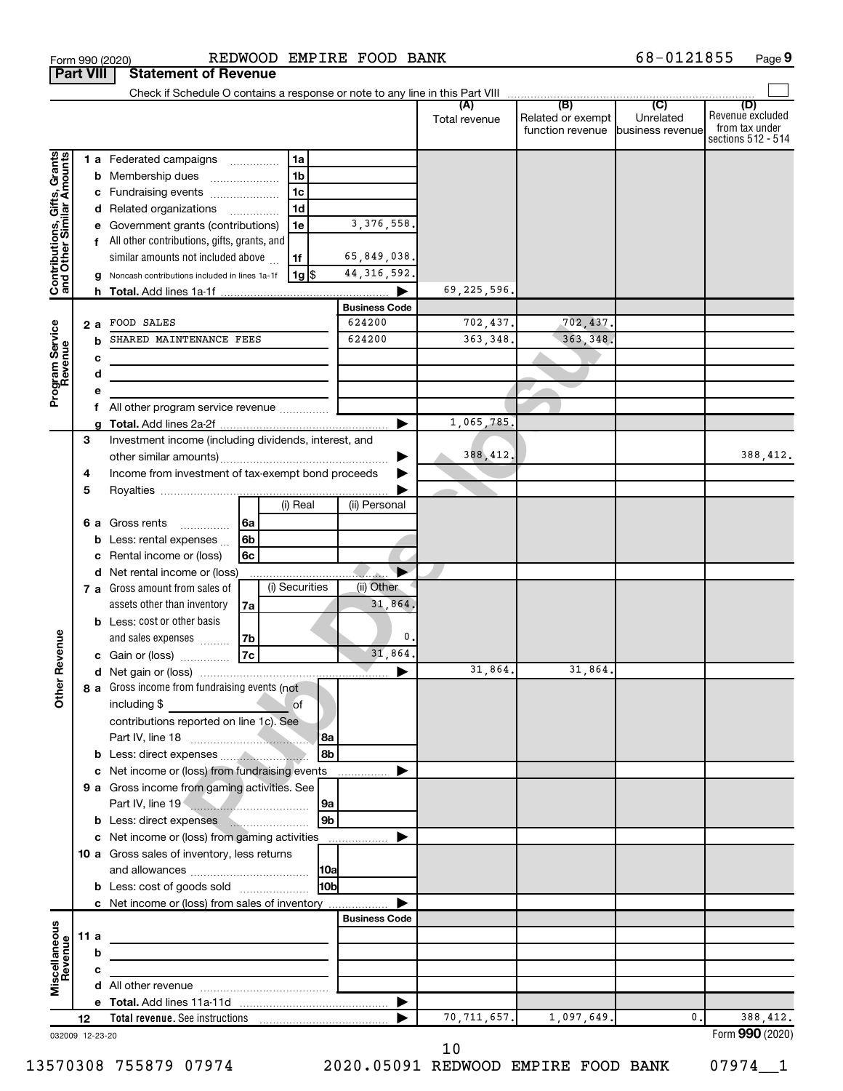|                                                           |      |    |                                                        |          |                |                |                      | (A)<br>Total revenue | (B)<br>Related or exempt<br>function revenue | (C)<br>Unrelated<br>business revenue | (D)<br>Revenue excluded<br>from tax under<br>sections 512 - 514 |
|-----------------------------------------------------------|------|----|--------------------------------------------------------|----------|----------------|----------------|----------------------|----------------------|----------------------------------------------|--------------------------------------|-----------------------------------------------------------------|
|                                                           |      |    | 1 a Federated campaigns                                |          | 1a             |                |                      |                      |                                              |                                      |                                                                 |
| Contributions, Gifts, Grants<br>and Other Similar Amounts |      |    | <b>b</b> Membership dues                               |          | 1 <sub>b</sub> |                |                      |                      |                                              |                                      |                                                                 |
|                                                           |      |    | c Fundraising events                                   |          | 1 <sub>c</sub> |                |                      |                      |                                              |                                      |                                                                 |
|                                                           |      |    | d Related organizations                                |          | 1 <sub>d</sub> |                |                      |                      |                                              |                                      |                                                                 |
|                                                           |      |    | e Government grants (contributions)                    |          | 1e             |                | 3, 376, 558.         |                      |                                              |                                      |                                                                 |
|                                                           |      |    | f All other contributions, gifts, grants, and          |          |                |                |                      |                      |                                              |                                      |                                                                 |
|                                                           |      |    | similar amounts not included above                     |          | 1f             |                | 65,849,038.          |                      |                                              |                                      |                                                                 |
|                                                           |      |    | g Noncash contributions included in lines 1a-1f        |          | $1g$ \$        |                | 44, 316, 592.        |                      |                                              |                                      |                                                                 |
|                                                           |      |    |                                                        |          |                |                |                      | 69,225,596.          |                                              |                                      |                                                                 |
|                                                           |      |    |                                                        |          |                |                | <b>Business Code</b> |                      |                                              |                                      |                                                                 |
|                                                           |      | 2а | FOOD SALES                                             |          |                |                | 624200               | 702,437.             | 702,437.                                     |                                      |                                                                 |
| Program Service<br>Revenue                                |      |    | SHARED MAINTENANCE FEES                                |          |                |                | 624200               | 363,348.             | 363, 348.                                    |                                      |                                                                 |
|                                                           |      | с  |                                                        |          |                |                |                      |                      |                                              |                                      |                                                                 |
|                                                           |      | d  |                                                        |          |                |                |                      |                      |                                              |                                      |                                                                 |
|                                                           |      |    |                                                        |          |                |                |                      |                      |                                              |                                      |                                                                 |
|                                                           |      |    | All other program service revenue                      |          |                |                |                      |                      |                                              |                                      |                                                                 |
|                                                           |      | a  |                                                        |          |                |                |                      | 1,065,785.           |                                              |                                      |                                                                 |
|                                                           | 3    |    | Investment income (including dividends, interest, and  |          |                |                |                      |                      |                                              |                                      |                                                                 |
|                                                           |      |    |                                                        |          |                |                |                      | 388, 412,            |                                              |                                      | 388,412.                                                        |
|                                                           | 4    |    | Income from investment of tax-exempt bond proceeds     |          |                |                |                      |                      |                                              |                                      |                                                                 |
|                                                           | 5    |    |                                                        |          |                |                |                      |                      |                                              |                                      |                                                                 |
|                                                           |      |    |                                                        |          | (i) Real       |                | (ii) Personal        |                      |                                              |                                      |                                                                 |
|                                                           |      |    | 6 a Gross rents                                        | 6a       |                |                |                      |                      |                                              |                                      |                                                                 |
|                                                           |      |    | <b>b</b> Less: rental expenses $\ldots$                | 6b       |                |                |                      |                      |                                              |                                      |                                                                 |
|                                                           |      | c  | Rental income or (loss)                                | 6c       |                |                |                      |                      |                                              |                                      |                                                                 |
|                                                           |      |    | d Net rental income or (loss)                          |          |                |                |                      |                      |                                              |                                      |                                                                 |
|                                                           |      |    | 7 a Gross amount from sales of                         |          | (i) Securities |                | (ii) Other           |                      |                                              |                                      |                                                                 |
|                                                           |      |    | assets other than inventory                            | 7a       |                |                | 31,864               |                      |                                              |                                      |                                                                 |
|                                                           |      |    | <b>b</b> Less: cost or other basis                     |          |                |                | 0                    |                      |                                              |                                      |                                                                 |
|                                                           |      |    | and sales expenses                                     | 7b<br>7c |                |                | 31,864.              |                      |                                              |                                      |                                                                 |
|                                                           |      |    | c Gain or (loss)                                       |          |                |                |                      | 31,864.              | 31,864.                                      |                                      |                                                                 |
| ther Revenue                                              |      |    | 8 a Gross income from fundraising events (not          |          |                |                | ▶                    |                      |                                              |                                      |                                                                 |
| Ò                                                         |      |    | including \$                                           |          | of             |                |                      |                      |                                              |                                      |                                                                 |
|                                                           |      |    | contributions reported on line 1c). See                |          |                |                |                      |                      |                                              |                                      |                                                                 |
|                                                           |      |    |                                                        |          |                | l 8a           |                      |                      |                                              |                                      |                                                                 |
|                                                           |      |    |                                                        |          |                | 8b             |                      |                      |                                              |                                      |                                                                 |
|                                                           |      |    | c Net income or (loss) from fundraising events         |          |                |                | .                    |                      |                                              |                                      |                                                                 |
|                                                           |      |    | 9 a Gross income from gaming activities. See           |          |                |                |                      |                      |                                              |                                      |                                                                 |
|                                                           |      |    |                                                        |          |                | 9a             |                      |                      |                                              |                                      |                                                                 |
|                                                           |      |    | <b>b</b> Less: direct expenses <b>human</b> materials. |          |                | 9 <sub>b</sub> |                      |                      |                                              |                                      |                                                                 |
|                                                           |      |    | c Net income or (loss) from gaming activities          |          |                |                | ▶                    |                      |                                              |                                      |                                                                 |
|                                                           |      |    | 10 a Gross sales of inventory, less returns            |          |                |                |                      |                      |                                              |                                      |                                                                 |
|                                                           |      |    |                                                        |          |                | 10a            |                      |                      |                                              |                                      |                                                                 |
|                                                           |      |    | <b>b</b> Less: cost of goods sold                      |          |                | l10bl          |                      |                      |                                              |                                      |                                                                 |
|                                                           |      |    | c Net income or (loss) from sales of inventory         |          |                |                |                      |                      |                                              |                                      |                                                                 |
|                                                           |      |    |                                                        |          |                |                | <b>Business Code</b> |                      |                                              |                                      |                                                                 |
| $\mathbf{S}$                                              | 11 a |    |                                                        |          |                |                |                      |                      |                                              |                                      |                                                                 |
| event                                                     |      | b  |                                                        |          |                |                |                      |                      |                                              |                                      |                                                                 |
| Miscellaneous<br>Revenue                                  |      | с  |                                                        |          |                |                |                      |                      |                                              |                                      |                                                                 |
|                                                           |      |    |                                                        |          |                |                |                      |                      |                                              |                                      |                                                                 |
|                                                           |      |    |                                                        |          |                |                | ▶                    |                      |                                              |                                      |                                                                 |
|                                                           | 12   |    |                                                        |          |                |                |                      | 70, 711, 657.        | 1,097,649.                                   | $\mathbf 0$ .                        | 388,412.                                                        |
| 032009 12-23-20                                           |      |    |                                                        |          |                |                |                      |                      |                                              |                                      | Form 990 (2020)                                                 |

10

13570308 755879 07974 2020.05091 REDWOOD EMPIRE FOOD BANK 07974\_\_1

68-0121855 Page 9

Form 990 (2020) **REDWOOD EMPIRE FOOD BANK** 68-0121855 Page

**Part VIII** Statement of Revenue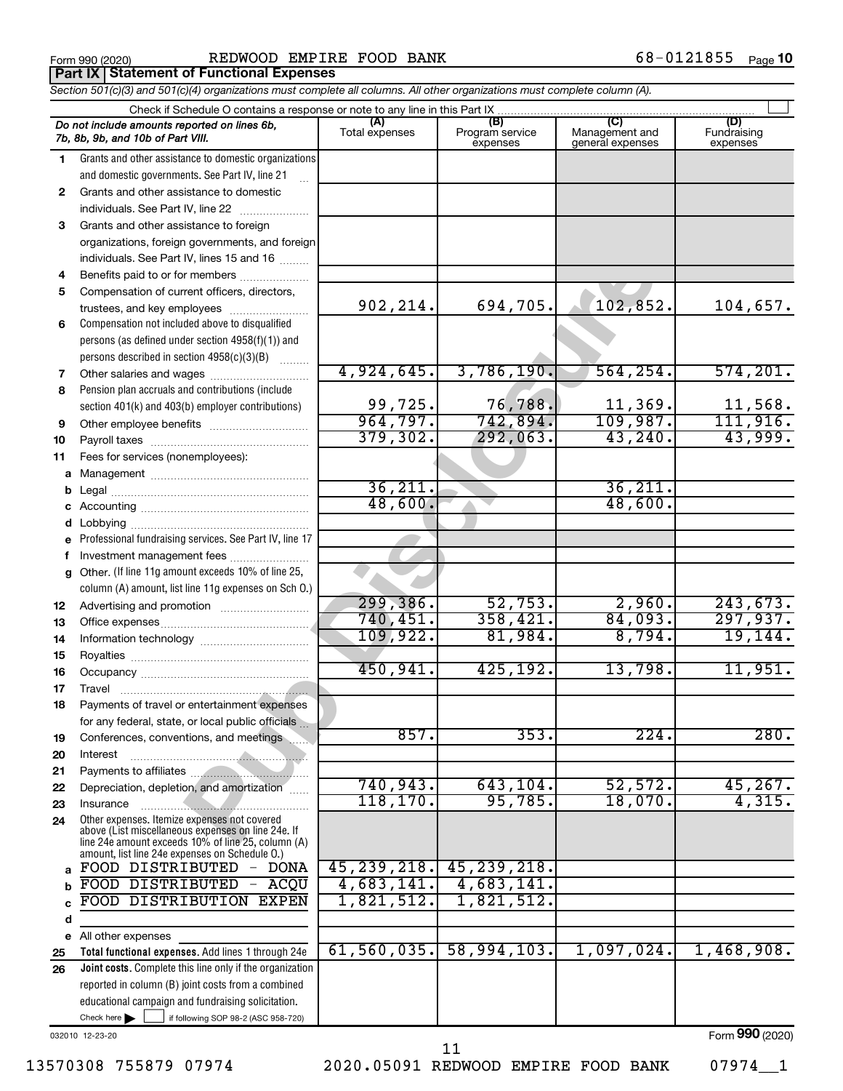|  | Form 990 (2020) |
|--|-----------------|
|  |                 |

**Part IX Statement of Functional Expenses**

Form 990 (2020) **REDWOOD EMPIRE FOOD BANK** 68-0121855  $_{\text{Page}}$ 

|              | Section 501(c)(3) and 501(c)(4) organizations must complete all columns. All other organizations must complete column (A).                                                                                 |                          |                                    |                                           |                                |
|--------------|------------------------------------------------------------------------------------------------------------------------------------------------------------------------------------------------------------|--------------------------|------------------------------------|-------------------------------------------|--------------------------------|
|              | Check if Schedule O contains a response or note to any line in this Part IX.                                                                                                                               |                          |                                    |                                           |                                |
|              | Do not include amounts reported on lines 6b,<br>7b, 8b, 9b, and 10b of Part VIII.                                                                                                                          | (A)<br>Total expenses    | (B)<br>Program service<br>expenses | (C)<br>Management and<br>general expenses | (D)<br>Fundraising<br>expenses |
| 1            | Grants and other assistance to domestic organizations                                                                                                                                                      |                          |                                    |                                           |                                |
|              | and domestic governments. See Part IV, line 21                                                                                                                                                             |                          |                                    |                                           |                                |
| $\mathbf{2}$ | Grants and other assistance to domestic                                                                                                                                                                    |                          |                                    |                                           |                                |
|              | individuals. See Part IV, line 22                                                                                                                                                                          |                          |                                    |                                           |                                |
| 3            | Grants and other assistance to foreign                                                                                                                                                                     |                          |                                    |                                           |                                |
|              | organizations, foreign governments, and foreign                                                                                                                                                            |                          |                                    |                                           |                                |
|              | individuals. See Part IV, lines 15 and 16                                                                                                                                                                  |                          |                                    |                                           |                                |
| 4            | Benefits paid to or for members                                                                                                                                                                            |                          |                                    |                                           |                                |
| 5            | Compensation of current officers, directors,                                                                                                                                                               |                          |                                    |                                           |                                |
|              | trustees, and key employees                                                                                                                                                                                | 902, 214.                | 694,705.                           | 102,852.                                  | 104,657.                       |
| 6            | Compensation not included above to disqualified                                                                                                                                                            |                          |                                    |                                           |                                |
|              | persons (as defined under section 4958(f)(1)) and                                                                                                                                                          |                          |                                    |                                           |                                |
|              | persons described in section 4958(c)(3)(B)                                                                                                                                                                 |                          |                                    |                                           |                                |
| 7            |                                                                                                                                                                                                            | 4,924,645.               | 3,786,190.                         | 564, 254.                                 | 574, 201.                      |
| 8            | Pension plan accruals and contributions (include                                                                                                                                                           |                          |                                    |                                           |                                |
|              | section 401(k) and 403(b) employer contributions)                                                                                                                                                          | $\frac{99,725}{964,797}$ | 76,788.                            | $\frac{11,369}{109,987}$                  | 11,568.                        |
| 9            |                                                                                                                                                                                                            |                          | 742,894.                           |                                           | 111,916.                       |
| 10           |                                                                                                                                                                                                            | 379, 302.                | 292,063.                           | 43,240.                                   | 43,999.                        |
| 11           | Fees for services (nonemployees):                                                                                                                                                                          |                          |                                    |                                           |                                |
| a            |                                                                                                                                                                                                            |                          |                                    |                                           |                                |
|              |                                                                                                                                                                                                            | 36, 211.<br>48,600.      |                                    | 36, 211.<br>48,600.                       |                                |
|              |                                                                                                                                                                                                            |                          |                                    |                                           |                                |
|              |                                                                                                                                                                                                            |                          |                                    |                                           |                                |
| e            | Professional fundraising services. See Part IV, line 17                                                                                                                                                    |                          |                                    |                                           |                                |
|              | Investment management fees                                                                                                                                                                                 |                          |                                    |                                           |                                |
| q            | Other. (If line 11g amount exceeds 10% of line 25,<br>column (A) amount, list line 11g expenses on Sch O.)                                                                                                 |                          |                                    |                                           |                                |
|              |                                                                                                                                                                                                            | 299,386.                 | 52,753.                            | 2,960.                                    | 243,673.                       |
| 12<br>13     |                                                                                                                                                                                                            | 740, 451.                | 358,421.                           | 84,093.                                   | 297,937.                       |
| 14           |                                                                                                                                                                                                            | 109,922.                 | 81,984.                            | 8,794.                                    | 19, 144.                       |
| 15           |                                                                                                                                                                                                            |                          |                                    |                                           |                                |
| 16           |                                                                                                                                                                                                            | 450,941.                 | 425, 192.                          | 13,798.                                   | 11,951.                        |
| 17           |                                                                                                                                                                                                            |                          |                                    |                                           |                                |
| 18           | Payments of travel or entertainment expenses                                                                                                                                                               |                          |                                    |                                           |                                |
|              | for any federal, state, or local public officials.                                                                                                                                                         |                          |                                    |                                           |                                |
| 19           | Conferences, conventions, and meetings                                                                                                                                                                     | 857.                     | 353.                               | 224.                                      | 280.                           |
| 20           | Interest                                                                                                                                                                                                   |                          |                                    |                                           |                                |
| 21           |                                                                                                                                                                                                            |                          |                                    |                                           |                                |
| 22           | Depreciation, depletion, and amortization                                                                                                                                                                  | 740,943.                 | 643, 104.                          | 52,572.                                   | 45,267.                        |
| 23           | Insurance                                                                                                                                                                                                  | 118, 170.                | 95,785.                            | 18,070.                                   | 4,315.                         |
| 24           | Other expenses. Itemize expenses not covered<br>above (List miscellaneous expenses on line 24e. If<br>line 24e amount exceeds 10% of line 25, column (A)<br>amount, list line 24e expenses on Schedule O.) |                          |                                    |                                           |                                |
| a            | FOOD DISTRIBUTED - DONA                                                                                                                                                                                    | 45, 239, 218.            | 45, 239, 218.                      |                                           |                                |
| b            | FOOD DISTRIBUTED - ACQU                                                                                                                                                                                    | 4,683,141.               | 4,683,141.                         |                                           |                                |
| C            | FOOD DISTRIBUTION EXPEN                                                                                                                                                                                    | 1,821,512.               | 1,821,512.                         |                                           |                                |
| d            |                                                                                                                                                                                                            |                          |                                    |                                           |                                |
| е            | All other expenses                                                                                                                                                                                         |                          |                                    |                                           |                                |
| 25           | Total functional expenses. Add lines 1 through 24e                                                                                                                                                         | 61,560,035.              | 58,994,103.                        | 1,097,024.                                | 1,468,908.                     |
| 26           | Joint costs. Complete this line only if the organization                                                                                                                                                   |                          |                                    |                                           |                                |
|              | reported in column (B) joint costs from a combined                                                                                                                                                         |                          |                                    |                                           |                                |
|              | educational campaign and fundraising solicitation.                                                                                                                                                         |                          |                                    |                                           |                                |

032010 12-23-20

Check here

13570308 755879 07974 2020.05091 REDWOOD EMPIRE FOOD BANK 07974\_\_1

 $\Box$ 

if following SOP 98-2 (ASC 958-720)

Form (2020) **990**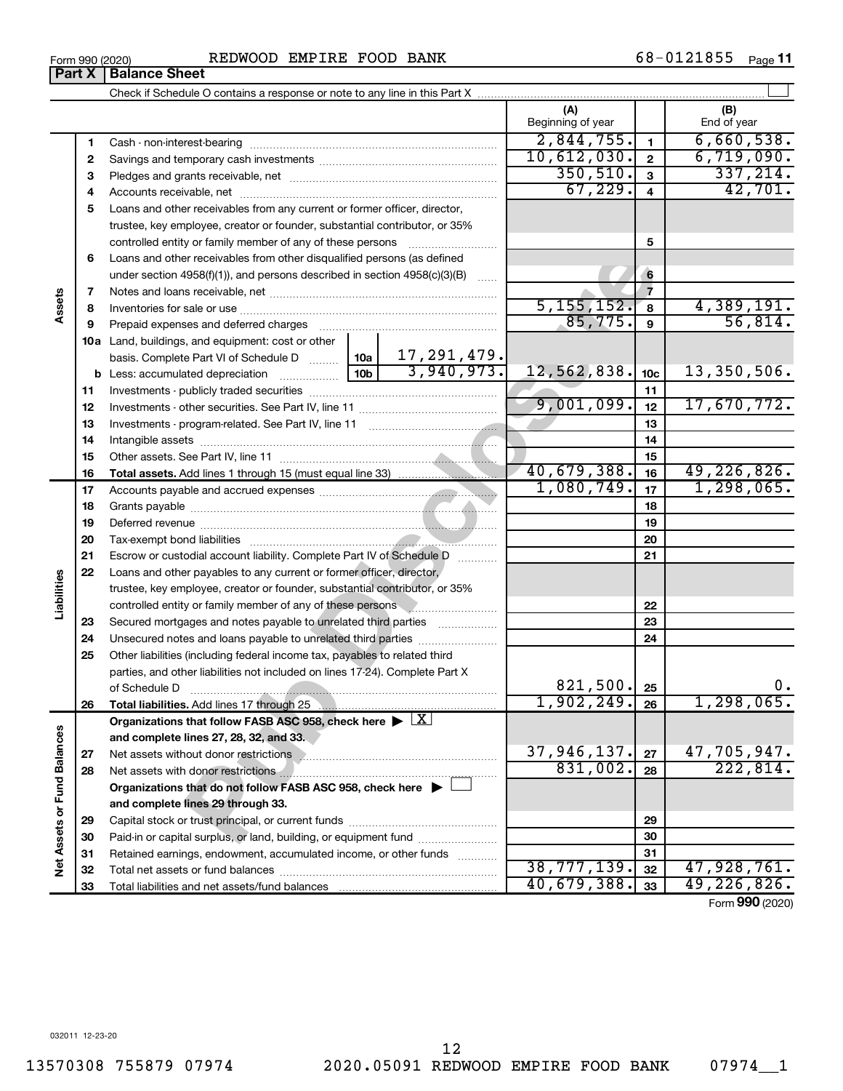**Part X Balance Sheet** 

|                             |    |                                                                                                                                          |                           | (A)                     |                         | (B)                     |
|-----------------------------|----|------------------------------------------------------------------------------------------------------------------------------------------|---------------------------|-------------------------|-------------------------|-------------------------|
|                             |    |                                                                                                                                          |                           | Beginning of year       |                         | End of year             |
|                             | 1  |                                                                                                                                          |                           | 2,844,755.              | $\mathbf{1}$            | 6,660,538.              |
|                             | 2  |                                                                                                                                          |                           | 10,612,030.             | $\mathbf{2}$            | 6,719,090.              |
|                             | 3  |                                                                                                                                          |                           | 350, 510.               | 3                       | 337,214.                |
|                             | 4  |                                                                                                                                          |                           | 67,229.                 | $\overline{\mathbf{4}}$ | 42,701.                 |
|                             | 5  | Loans and other receivables from any current or former officer, director,                                                                |                           |                         |                         |                         |
|                             |    |                                                                                                                                          |                           |                         |                         |                         |
|                             |    | trustee, key employee, creator or founder, substantial contributor, or 35%<br>controlled entity or family member of any of these persons |                           |                         |                         |                         |
|                             |    |                                                                                                                                          |                           |                         | 5                       |                         |
|                             | 6  | Loans and other receivables from other disqualified persons (as defined                                                                  |                           |                         |                         |                         |
|                             |    | under section $4958(f)(1)$ , and persons described in section $4958(c)(3)(B)$                                                            |                           |                         | 6<br>$\overline{7}$     |                         |
| Assets                      | 7  |                                                                                                                                          |                           | 5, 155, 152.            |                         | 4,389,191.              |
|                             | 8  |                                                                                                                                          |                           | 85,775.                 | 8                       | 56,814.                 |
|                             | 9  | Prepaid expenses and deferred charges                                                                                                    |                           |                         | $\boldsymbol{9}$        |                         |
|                             |    | 10a Land, buildings, and equipment: cost or other                                                                                        |                           |                         |                         |                         |
|                             |    | basis. Complete Part VI of Schedule D  10a                                                                                               | 17,291,479.<br>3,940,973. | 12,562,838.             |                         | 13,350,506.             |
|                             |    |                                                                                                                                          |                           |                         | 10 <sub>c</sub>         |                         |
|                             | 11 |                                                                                                                                          |                           | 9,001,099.              | 11                      | 17,670,772.             |
|                             | 12 |                                                                                                                                          |                           |                         | 12                      |                         |
|                             | 13 |                                                                                                                                          |                           |                         | 13                      |                         |
|                             | 14 |                                                                                                                                          |                           |                         | 14                      |                         |
|                             | 15 |                                                                                                                                          |                           | 40,679,388.             | 15                      |                         |
|                             | 16 |                                                                                                                                          |                           |                         | 16                      | 49,226,826.             |
|                             | 17 |                                                                                                                                          |                           | 1,080,749.              | 17                      | 1, 298, 065.            |
|                             | 18 |                                                                                                                                          |                           |                         | 18                      |                         |
|                             | 19 |                                                                                                                                          |                           |                         | 19                      |                         |
|                             | 20 |                                                                                                                                          |                           |                         | 20                      |                         |
|                             | 21 | Escrow or custodial account liability. Complete Part IV of Schedule D                                                                    |                           |                         | 21                      |                         |
|                             | 22 | Loans and other payables to any current or former officer, director,                                                                     |                           |                         |                         |                         |
| Liabilities                 |    | trustee, key employee, creator or founder, substantial contributor, or 35%                                                               |                           |                         |                         |                         |
|                             |    | controlled entity or family member of any of these persons members of the set of the controlled entity or family                         |                           |                         | 22                      |                         |
|                             | 23 | Secured mortgages and notes payable to unrelated third parties                                                                           |                           |                         | 23                      |                         |
|                             | 24 | Unsecured notes and loans payable to unrelated third parties                                                                             |                           |                         | 24                      |                         |
|                             | 25 | Other liabilities (including federal income tax, payables to related third                                                               |                           |                         |                         |                         |
|                             |    | parties, and other liabilities not included on lines 17-24). Complete Part X                                                             |                           |                         |                         | 0.                      |
|                             |    | of Schedule D                                                                                                                            |                           | 821,500.                | 25                      |                         |
|                             | 26 | Total liabilities. Add lines 17 through 25                                                                                               |                           | 1,902,249.              | 26                      | $1,298,065$ .           |
|                             |    | Organizations that follow FASB ASC 958, check here $\blacktriangleright \boxed{X}$                                                       |                           |                         |                         |                         |
|                             |    | and complete lines 27, 28, 32, and 33.                                                                                                   |                           |                         |                         |                         |
|                             | 27 | Net assets without donor restrictions                                                                                                    |                           | 37,946,137.<br>831,002. | 27                      | 47,705,947.<br>222,814. |
|                             | 28 |                                                                                                                                          |                           |                         | 28                      |                         |
|                             |    | Organizations that do not follow FASB ASC 958, check here $\blacktriangleright$                                                          |                           |                         |                         |                         |
|                             |    | and complete lines 29 through 33.                                                                                                        |                           |                         |                         |                         |
|                             | 29 |                                                                                                                                          |                           |                         | 29                      |                         |
|                             | 30 | Paid-in or capital surplus, or land, building, or equipment fund                                                                         |                           |                         | 30                      |                         |
| Net Assets or Fund Balances | 31 | Retained earnings, endowment, accumulated income, or other funds                                                                         |                           | 38,777,139.             | 31                      |                         |
|                             | 32 | Total net assets or fund balances                                                                                                        |                           |                         | 32                      | 47,928,761.             |
|                             | 33 |                                                                                                                                          |                           | 40,679,388.             | 33                      | 49,226,826.             |

Form (2020) **990**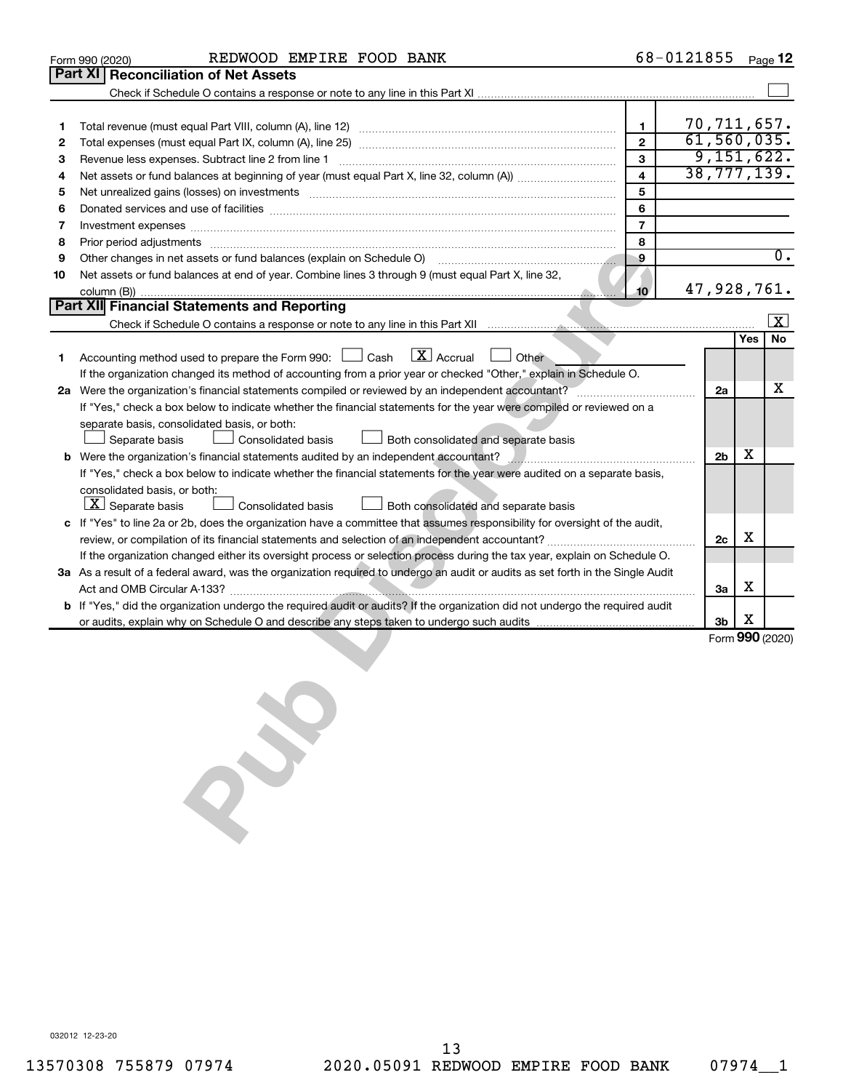|    | REDWOOD EMPIRE FOOD BANK<br>Form 990 (2020)                                                                                                                                                                                    |                         | 68-0121855 |                |     | Page 12                 |
|----|--------------------------------------------------------------------------------------------------------------------------------------------------------------------------------------------------------------------------------|-------------------------|------------|----------------|-----|-------------------------|
|    | Part XI<br><b>Reconciliation of Net Assets</b>                                                                                                                                                                                 |                         |            |                |     |                         |
|    |                                                                                                                                                                                                                                |                         |            |                |     |                         |
|    |                                                                                                                                                                                                                                |                         |            |                |     |                         |
| 1  |                                                                                                                                                                                                                                | 1                       |            | 70, 711, 657.  |     |                         |
| 2  |                                                                                                                                                                                                                                | $\overline{2}$          |            | 61, 560, 035.  |     |                         |
| 3  |                                                                                                                                                                                                                                | $\mathbf{3}$            |            |                |     | 9,151,622.              |
| 4  |                                                                                                                                                                                                                                | $\overline{\mathbf{4}}$ |            |                |     | 38,777,139.             |
| 5  | Net unrealized gains (losses) on investments [11] matter continuum matter is a set of the set of the set of the                                                                                                                | 5                       |            |                |     |                         |
| 6  | Donated services and use of facilities [[111][12] manufactures in the service of facilities [[11] manufactures in the service and use of facilities [[11] manufactures in the service of facilities [[11] manufactures in the  | 6                       |            |                |     |                         |
| 7  | Investment expenses <b>construction and construction of the construction of the construction of the construction</b>                                                                                                           | $\overline{7}$          |            |                |     |                         |
| 8  | Prior period adjustments [111] All and the contract of the contract of the contract of the contract of the contract of the contract of the contract of the contract of the contract of the contract of the contract of the con | 8                       |            |                |     |                         |
| 9  | Other changes in net assets or fund balances (explain on Schedule O)                                                                                                                                                           | $\overline{9}$          |            |                |     | $\overline{0}$ .        |
| 10 | Net assets or fund balances at end of year. Combine lines 3 through 9 (must equal Part X, line 32,                                                                                                                             |                         |            |                |     |                         |
|    |                                                                                                                                                                                                                                | 10 <sup>10</sup>        |            | 47,928,761.    |     |                         |
|    | <b>Part XII</b> Financial Statements and Reporting                                                                                                                                                                             |                         |            |                |     |                         |
|    |                                                                                                                                                                                                                                |                         |            |                |     | $\overline{\mathbf{x}}$ |
|    |                                                                                                                                                                                                                                |                         |            |                | Yes | No                      |
| 1. | $\lfloor x \rfloor$ Accrual<br>Accounting method used to prepare the Form 990: [130] Cash<br>Other                                                                                                                             |                         |            |                |     |                         |
|    | If the organization changed its method of accounting from a prior year or checked "Other," explain in Schedule O.                                                                                                              |                         |            |                |     |                         |
|    | 2a Were the organization's financial statements compiled or reviewed by an independent accountant?                                                                                                                             |                         |            | 2a             |     | x                       |
|    | If "Yes," check a box below to indicate whether the financial statements for the year were compiled or reviewed on a                                                                                                           |                         |            |                |     |                         |
|    | separate basis, consolidated basis, or both:                                                                                                                                                                                   |                         |            |                |     |                         |
|    | Separate basis<br>Consolidated basis<br>Both consolidated and separate basis                                                                                                                                                   |                         |            |                |     |                         |
| b  | Were the organization's financial statements audited by an independent accountant?                                                                                                                                             |                         |            | 2 <sub>b</sub> | х   |                         |
|    | If "Yes," check a box below to indicate whether the financial statements for the year were audited on a separate basis,                                                                                                        |                         |            |                |     |                         |
|    | consolidated basis, or both:                                                                                                                                                                                                   |                         |            |                |     |                         |
|    | $ \mathbf{X} $ Separate basis<br><b>Consolidated basis</b><br>Both consolidated and separate basis                                                                                                                             |                         |            |                |     |                         |
|    | c If "Yes" to line 2a or 2b, does the organization have a committee that assumes responsibility for oversight of the audit,                                                                                                    |                         |            |                |     |                         |
|    |                                                                                                                                                                                                                                |                         |            | 2c             | х   |                         |
|    | If the organization changed either its oversight process or selection process during the tax year, explain on Schedule O.                                                                                                      |                         |            |                |     |                         |
|    | 3a As a result of a federal award, was the organization required to undergo an audit or audits as set forth in the Single Audit                                                                                                |                         |            |                |     |                         |
|    |                                                                                                                                                                                                                                |                         |            | 3a             | х   |                         |
|    | <b>b</b> If "Yes," did the organization undergo the required audit or audits? If the organization did not undergo the required audit                                                                                           |                         |            |                |     |                         |
|    |                                                                                                                                                                                                                                |                         |            | 3 <sub>b</sub> | х   |                         |
|    |                                                                                                                                                                                                                                |                         |            |                |     | Form 990 (2020)         |
|    |                                                                                                                                                                                                                                |                         |            |                |     |                         |
|    |                                                                                                                                                                                                                                |                         |            |                |     |                         |
|    |                                                                                                                                                                                                                                |                         |            |                |     |                         |
|    |                                                                                                                                                                                                                                |                         |            |                |     |                         |
|    |                                                                                                                                                                                                                                |                         |            |                |     |                         |
|    | X                                                                                                                                                                                                                              |                         |            |                |     |                         |
|    |                                                                                                                                                                                                                                |                         |            |                |     |                         |
|    |                                                                                                                                                                                                                                |                         |            |                |     |                         |
|    |                                                                                                                                                                                                                                |                         |            |                |     |                         |
|    |                                                                                                                                                                                                                                |                         |            |                |     |                         |
|    |                                                                                                                                                                                                                                |                         |            |                |     |                         |
|    |                                                                                                                                                                                                                                |                         |            |                |     |                         |

032012 12-23-20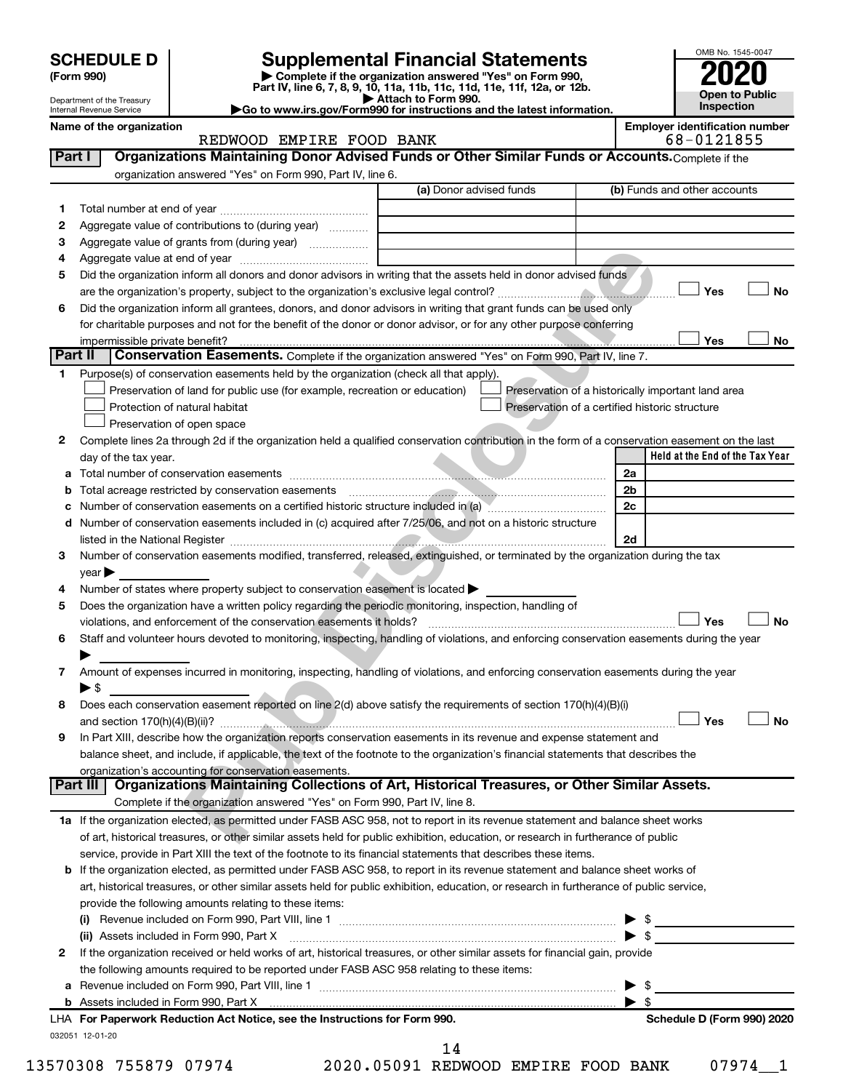| <b>SCHEDULE D</b> |  |
|-------------------|--|
|-------------------|--|

# **SCHEDULE D Supplemental Financial Statements**<br> **Form 990 2020**<br> **Part IV** line 6.7.8.9.10, 11a, 11b, 11d, 11d, 11d, 11d, 11d, 12a, 0r, 12b

**(Form 990) | Complete if the organization answered "Yes" on Form 990, Part IV, line 6, 7, 8, 9, 10, 11a, 11b, 11c, 11d, 11e, 11f, 12a, or 12b.**

**| Attach to Form 990. |Go to www.irs.gov/Form990 for instructions and the latest information.**



Department of the Treasury Internal Revenue Service **Name of the organization Employer identification number**

### **Part I** | Organizations Maintaining Donor Advised Funds or Other Similar Funds or Accounts. Complete if the REDWOOD EMPIRE FOOD BANK 68-0121855

|              | organization answered "Yes" on Form 990, Part IV, line 6.                                                                                      |                         |                                                    |
|--------------|------------------------------------------------------------------------------------------------------------------------------------------------|-------------------------|----------------------------------------------------|
|              |                                                                                                                                                | (a) Donor advised funds | (b) Funds and other accounts                       |
| 1.           |                                                                                                                                                |                         |                                                    |
| 2            | Aggregate value of contributions to (during year)                                                                                              |                         |                                                    |
| З            | Aggregate value of grants from (during year)                                                                                                   |                         |                                                    |
| 4            |                                                                                                                                                |                         |                                                    |
| 5            | Did the organization inform all donors and donor advisors in writing that the assets held in donor advised funds                               |                         |                                                    |
|              |                                                                                                                                                |                         | Yes<br>No                                          |
| 6            | Did the organization inform all grantees, donors, and donor advisors in writing that grant funds can be used only                              |                         |                                                    |
|              | for charitable purposes and not for the benefit of the donor or donor advisor, or for any other purpose conferring                             |                         |                                                    |
|              | impermissible private benefit?                                                                                                                 |                         | Yes<br>No                                          |
| Part II      | Conservation Easements. Complete if the organization answered "Yes" on Form 990, Part IV, line 7.                                              |                         |                                                    |
| 1            | Purpose(s) of conservation easements held by the organization (check all that apply).                                                          |                         |                                                    |
|              | Preservation of land for public use (for example, recreation or education)                                                                     |                         | Preservation of a historically important land area |
|              | Protection of natural habitat                                                                                                                  |                         | Preservation of a certified historic structure     |
|              | Preservation of open space                                                                                                                     |                         |                                                    |
| 2            | Complete lines 2a through 2d if the organization held a qualified conservation contribution in the form of a conservation easement on the last |                         |                                                    |
|              | day of the tax year.                                                                                                                           |                         | Held at the End of the Tax Year                    |
|              |                                                                                                                                                |                         | 2a                                                 |
|              | Total acreage restricted by conservation easements                                                                                             |                         | 2b                                                 |
|              | Number of conservation easements on a certified historic structure included in (a) mummumumum                                                  |                         | 2c                                                 |
|              | Number of conservation easements included in (c) acquired after 7/25/06, and not on a historic structure                                       |                         |                                                    |
| 3            | Number of conservation easements modified, transferred, released, extinguished, or terminated by the organization during the tax               |                         | 2d                                                 |
|              | year                                                                                                                                           |                         |                                                    |
| 4            | Number of states where property subject to conservation easement is located >                                                                  |                         |                                                    |
| 5            | Does the organization have a written policy regarding the periodic monitoring, inspection, handling of                                         |                         |                                                    |
|              | violations, and enforcement of the conservation easements it holds?                                                                            |                         | Yes<br>No                                          |
| 6            | Staff and volunteer hours devoted to monitoring, inspecting, handling of violations, and enforcing conservation easements during the year      |                         |                                                    |
|              |                                                                                                                                                |                         |                                                    |
| 7            | Amount of expenses incurred in monitoring, inspecting, handling of violations, and enforcing conservation easements during the year            |                         |                                                    |
|              | ▶ \$                                                                                                                                           |                         |                                                    |
| 8            | Does each conservation easement reported on line 2(d) above satisfy the requirements of section 170(h)(4)(B)(i)                                |                         |                                                    |
|              |                                                                                                                                                |                         | Yes<br>No                                          |
| 9            | In Part XIII, describe how the organization reports conservation easements in its revenue and expense statement and                            |                         |                                                    |
|              | balance sheet, and include, if applicable, the text of the footnote to the organization's financial statements that describes the              |                         |                                                    |
|              | organization's accounting for conservation easements.                                                                                          |                         |                                                    |
|              | Part III   Organizations Maintaining Collections of Art, Historical Treasures, or Other Similar Assets.                                        |                         |                                                    |
|              | Complete if the organization answered "Yes" on Form 990, Part IV, line 8.                                                                      |                         |                                                    |
|              | 1a If the organization elected, as permitted under FASB ASC 958, not to report in its revenue statement and balance sheet works                |                         |                                                    |
|              | of art, historical treasures, or other similar assets held for public exhibition, education, or research in furtherance of public              |                         |                                                    |
|              | service, provide in Part XIII the text of the footnote to its financial statements that describes these items.                                 |                         |                                                    |
|              | <b>b</b> If the organization elected, as permitted under FASB ASC 958, to report in its revenue statement and balance sheet works of           |                         |                                                    |
|              | art, historical treasures, or other similar assets held for public exhibition, education, or research in furtherance of public service,        |                         |                                                    |
|              | provide the following amounts relating to these items:                                                                                         |                         |                                                    |
|              |                                                                                                                                                |                         |                                                    |
|              | (ii) Assets included in Form 990, Part X                                                                                                       |                         | $\blacktriangleright$ s                            |
| $\mathbf{2}$ | If the organization received or held works of art, historical treasures, or other similar assets for financial gain, provide                   |                         |                                                    |
|              | the following amounts required to be reported under FASB ASC 958 relating to these items:                                                      |                         |                                                    |
|              |                                                                                                                                                |                         | S                                                  |
|              |                                                                                                                                                |                         | -\$                                                |
|              | LHA For Paperwork Reduction Act Notice, see the Instructions for Form 990.                                                                     |                         | Schedule D (Form 990) 2020                         |
|              | 032051 12-01-20                                                                                                                                | 14                      |                                                    |
|              |                                                                                                                                                |                         |                                                    |

13570308 755879 07974 2020.05091 REDWOOD EMPIRE FOOD BANK 07974\_\_1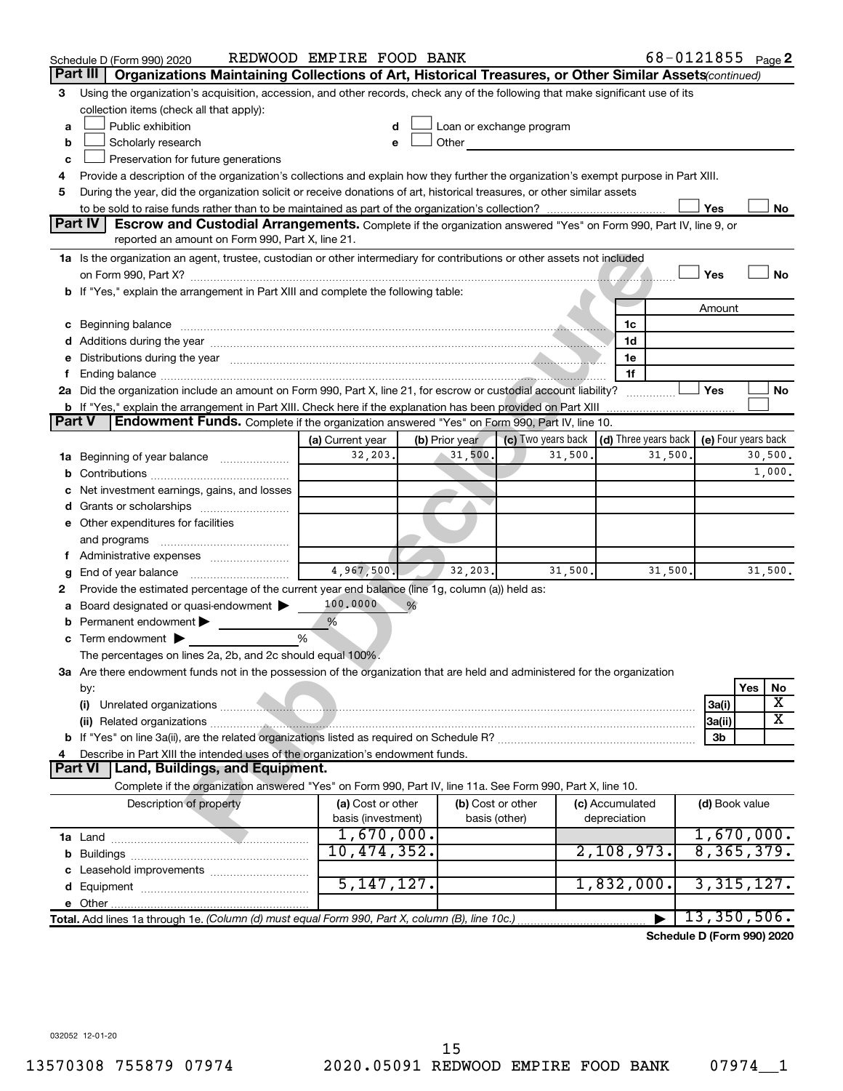|               | Schedule D (Form 990) 2020                                                                                                                                                                                                                                                                                                                          | REDWOOD EMPIRE FOOD BANK  |                |                                                                                                                                                                                                                                |         |                                                         | 68-0121855 Page 2          |                            |
|---------------|-----------------------------------------------------------------------------------------------------------------------------------------------------------------------------------------------------------------------------------------------------------------------------------------------------------------------------------------------------|---------------------------|----------------|--------------------------------------------------------------------------------------------------------------------------------------------------------------------------------------------------------------------------------|---------|---------------------------------------------------------|----------------------------|----------------------------|
|               | Part III<br>Organizations Maintaining Collections of Art, Historical Treasures, or Other Similar Assets (continued)                                                                                                                                                                                                                                 |                           |                |                                                                                                                                                                                                                                |         |                                                         |                            |                            |
| З             | Using the organization's acquisition, accession, and other records, check any of the following that make significant use of its                                                                                                                                                                                                                     |                           |                |                                                                                                                                                                                                                                |         |                                                         |                            |                            |
|               | collection items (check all that apply):                                                                                                                                                                                                                                                                                                            |                           |                |                                                                                                                                                                                                                                |         |                                                         |                            |                            |
| a             | Public exhibition                                                                                                                                                                                                                                                                                                                                   | d                         |                | Loan or exchange program                                                                                                                                                                                                       |         |                                                         |                            |                            |
| b             | Scholarly research                                                                                                                                                                                                                                                                                                                                  | e                         |                | Other and the control of the control of the control of the control of the control of the control of the control of the control of the control of the control of the control of the control of the control of the control of th |         |                                                         |                            |                            |
| с             | Preservation for future generations                                                                                                                                                                                                                                                                                                                 |                           |                |                                                                                                                                                                                                                                |         |                                                         |                            |                            |
| 4             | Provide a description of the organization's collections and explain how they further the organization's exempt purpose in Part XIII.                                                                                                                                                                                                                |                           |                |                                                                                                                                                                                                                                |         |                                                         |                            |                            |
| 5             | During the year, did the organization solicit or receive donations of art, historical treasures, or other similar assets                                                                                                                                                                                                                            |                           |                |                                                                                                                                                                                                                                |         |                                                         |                            |                            |
|               |                                                                                                                                                                                                                                                                                                                                                     |                           |                |                                                                                                                                                                                                                                |         |                                                         | Yes                        | No                         |
|               | <b>Part IV</b><br><b>Escrow and Custodial Arrangements.</b> Complete if the organization answered "Yes" on Form 990, Part IV, line 9, or                                                                                                                                                                                                            |                           |                |                                                                                                                                                                                                                                |         |                                                         |                            |                            |
|               | reported an amount on Form 990, Part X, line 21.                                                                                                                                                                                                                                                                                                    |                           |                |                                                                                                                                                                                                                                |         |                                                         |                            |                            |
|               | 1a Is the organization an agent, trustee, custodian or other intermediary for contributions or other assets not included                                                                                                                                                                                                                            |                           |                |                                                                                                                                                                                                                                |         |                                                         |                            |                            |
|               |                                                                                                                                                                                                                                                                                                                                                     |                           |                |                                                                                                                                                                                                                                |         |                                                         | Yes                        | <b>No</b>                  |
|               | b If "Yes," explain the arrangement in Part XIII and complete the following table:                                                                                                                                                                                                                                                                  |                           |                |                                                                                                                                                                                                                                |         |                                                         |                            |                            |
|               |                                                                                                                                                                                                                                                                                                                                                     |                           |                |                                                                                                                                                                                                                                |         |                                                         | Amount                     |                            |
|               | c Beginning balance (1000) (1000) (2000) (2000) (2000) (2000) (2000) (2000) (2000) (2000) (2000) (2000) (2000) (2000) (2000) (2000) (2000) (2000) (2000) (2000) (2000) (2000) (2000) (2000) (2000) (2000) (2000) (2000) (2000)                                                                                                                      |                           |                |                                                                                                                                                                                                                                |         | 1c                                                      |                            |                            |
|               |                                                                                                                                                                                                                                                                                                                                                     |                           |                |                                                                                                                                                                                                                                |         | 1d<br>1e                                                |                            |                            |
|               | e Distributions during the year manufactured and continuum and contact the control of the control of the control of the control of the control of the control of the control of the control of the control of the control of t                                                                                                                      |                           |                |                                                                                                                                                                                                                                |         | 1f                                                      |                            |                            |
|               | f Ending balance manufactured and contact the contract of the contract of the contract of the contract of the contract of the contract of the contract of the contract of the contract of the contract of the contract of the<br>2a Did the organization include an amount on Form 990, Part X, line 21, for escrow or custodial account liability? |                           |                |                                                                                                                                                                                                                                |         |                                                         | Yes                        | No                         |
|               | <b>b</b> If "Yes," explain the arrangement in Part XIII. Check here if the explanation has been provided on Part XIII                                                                                                                                                                                                                               |                           |                |                                                                                                                                                                                                                                |         |                                                         |                            |                            |
| <b>Part V</b> | <b>Endowment Funds.</b> Complete if the organization answered "Yes" on Form 990, Part IV, line 10.                                                                                                                                                                                                                                                  |                           |                |                                                                                                                                                                                                                                |         |                                                         |                            |                            |
|               |                                                                                                                                                                                                                                                                                                                                                     | (a) Current year          | (b) Prior year |                                                                                                                                                                                                                                |         | (c) Two years back $\vert$ (d) Three years back $\vert$ |                            | (e) Four years back        |
|               | <b>1a</b> Beginning of year balance <i>manumumum</i>                                                                                                                                                                                                                                                                                                | 32,203.                   | 31,500.        |                                                                                                                                                                                                                                | 31,500. | 31,500.                                                 |                            | 30,500.                    |
| b             |                                                                                                                                                                                                                                                                                                                                                     |                           |                |                                                                                                                                                                                                                                |         |                                                         |                            | 1,000.                     |
|               | Net investment earnings, gains, and losses                                                                                                                                                                                                                                                                                                          |                           |                |                                                                                                                                                                                                                                |         |                                                         |                            |                            |
|               |                                                                                                                                                                                                                                                                                                                                                     |                           |                |                                                                                                                                                                                                                                |         |                                                         |                            |                            |
|               | e Other expenditures for facilities                                                                                                                                                                                                                                                                                                                 |                           |                |                                                                                                                                                                                                                                |         |                                                         |                            |                            |
|               | and programs                                                                                                                                                                                                                                                                                                                                        |                           |                |                                                                                                                                                                                                                                |         |                                                         |                            |                            |
|               | f Administrative expenses                                                                                                                                                                                                                                                                                                                           |                           |                |                                                                                                                                                                                                                                |         |                                                         |                            |                            |
| g             |                                                                                                                                                                                                                                                                                                                                                     | 4,967,500.                | 32,203.        |                                                                                                                                                                                                                                | 31,500. | 31,500.                                                 |                            | 31,500.                    |
| 2             | Provide the estimated percentage of the current year end balance (line 1g, column (a)) held as:                                                                                                                                                                                                                                                     |                           |                |                                                                                                                                                                                                                                |         |                                                         |                            |                            |
| а             | Board designated or quasi-endowment                                                                                                                                                                                                                                                                                                                 | 100,0000<br>%             |                |                                                                                                                                                                                                                                |         |                                                         |                            |                            |
|               | Permanent endowment                                                                                                                                                                                                                                                                                                                                 | %                         |                |                                                                                                                                                                                                                                |         |                                                         |                            |                            |
|               | $\mathbf c$ Term endowment $\blacktriangleright$                                                                                                                                                                                                                                                                                                    | %                         |                |                                                                                                                                                                                                                                |         |                                                         |                            |                            |
|               | The percentages on lines 2a, 2b, and 2c should equal 100%.                                                                                                                                                                                                                                                                                          |                           |                |                                                                                                                                                                                                                                |         |                                                         |                            |                            |
|               | 3a Are there endowment funds not in the possession of the organization that are held and administered for the organization                                                                                                                                                                                                                          |                           |                |                                                                                                                                                                                                                                |         |                                                         |                            |                            |
|               | by:                                                                                                                                                                                                                                                                                                                                                 |                           |                |                                                                                                                                                                                                                                |         |                                                         |                            | Yes<br>No                  |
|               | (i)                                                                                                                                                                                                                                                                                                                                                 |                           |                |                                                                                                                                                                                                                                |         |                                                         | 3a(i)                      | х                          |
|               |                                                                                                                                                                                                                                                                                                                                                     |                           |                |                                                                                                                                                                                                                                |         |                                                         | 3a(ii)                     | $\overline{\texttt{x}}$    |
|               |                                                                                                                                                                                                                                                                                                                                                     |                           |                |                                                                                                                                                                                                                                |         |                                                         | 3b                         |                            |
| 4             | Describe in Part XIII the intended uses of the organization's endowment funds.                                                                                                                                                                                                                                                                      |                           |                |                                                                                                                                                                                                                                |         |                                                         |                            |                            |
|               | <b>Land, Buildings, and Equipment.</b><br><b>Part VI</b>                                                                                                                                                                                                                                                                                            |                           |                |                                                                                                                                                                                                                                |         |                                                         |                            |                            |
|               | Complete if the organization answered "Yes" on Form 990, Part IV, line 11a. See Form 990, Part X, line 10.                                                                                                                                                                                                                                          |                           |                |                                                                                                                                                                                                                                |         |                                                         |                            |                            |
|               | Description of property                                                                                                                                                                                                                                                                                                                             | (a) Cost or other         |                | (b) Cost or other                                                                                                                                                                                                              |         | (c) Accumulated                                         | (d) Book value             |                            |
|               |                                                                                                                                                                                                                                                                                                                                                     | basis (investment)        |                | basis (other)                                                                                                                                                                                                                  |         | depreciation                                            |                            |                            |
|               |                                                                                                                                                                                                                                                                                                                                                     | 1,670,000.<br>10,474,352. |                |                                                                                                                                                                                                                                |         | 2,108,973.                                              |                            | 1,670,000.<br>8, 365, 379. |
| b             |                                                                                                                                                                                                                                                                                                                                                     |                           |                |                                                                                                                                                                                                                                |         |                                                         |                            |                            |
|               | c Leasehold improvements                                                                                                                                                                                                                                                                                                                            | 5, 147, 127.              |                |                                                                                                                                                                                                                                |         | 1,832,000.                                              |                            | 3,315,127.                 |
|               |                                                                                                                                                                                                                                                                                                                                                     |                           |                |                                                                                                                                                                                                                                |         |                                                         |                            |                            |
|               | Total. Add lines 1a through 1e. (Column (d) must equal Form 990, Part X, column (B), line 10c.)                                                                                                                                                                                                                                                     |                           |                |                                                                                                                                                                                                                                |         |                                                         | 13,350,506.                |                            |
|               |                                                                                                                                                                                                                                                                                                                                                     |                           |                |                                                                                                                                                                                                                                |         |                                                         | Schedule D (Form 990) 2020 |                            |
|               |                                                                                                                                                                                                                                                                                                                                                     |                           |                |                                                                                                                                                                                                                                |         |                                                         |                            |                            |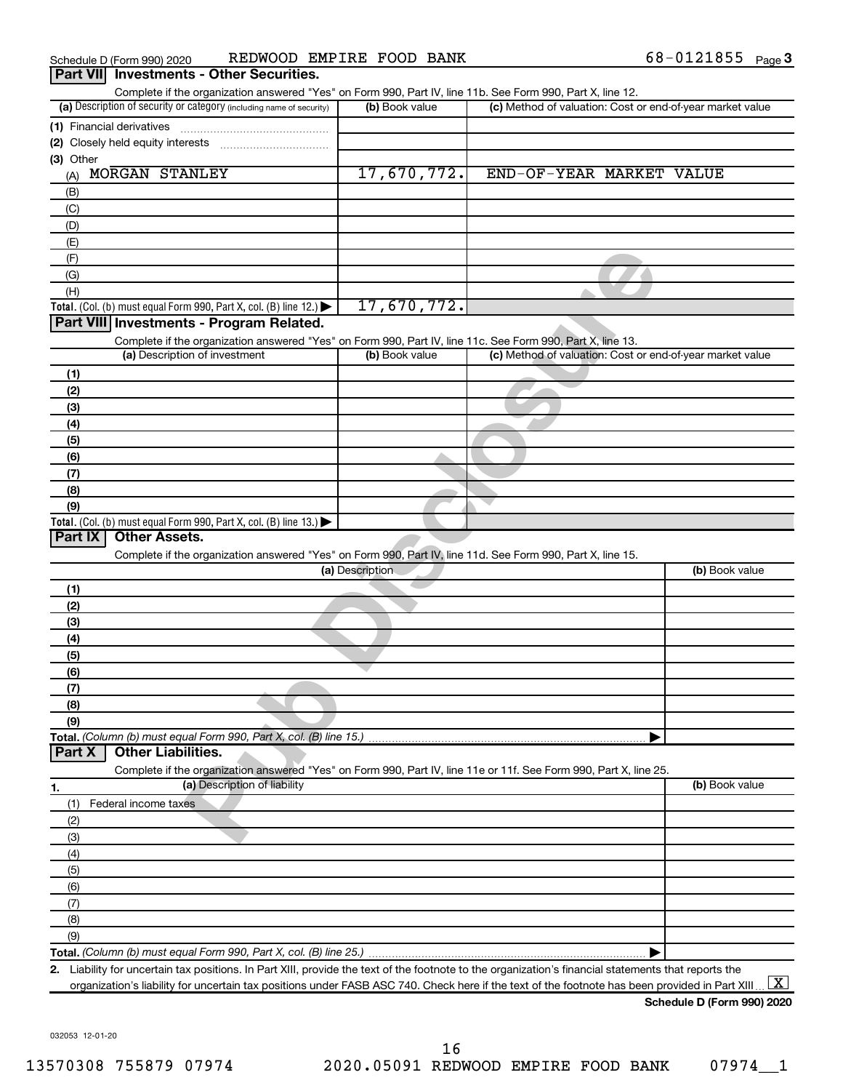| Complete if the organization answered "Yes" on Form 990, Part IV, line 11b. See Form 990, Part X, line 12.                              |                 |                                                           |
|-----------------------------------------------------------------------------------------------------------------------------------------|-----------------|-----------------------------------------------------------|
| (a) Description of security or category (including name of security)                                                                    | (b) Book value  | (c) Method of valuation: Cost or end-of-year market value |
| (1) Financial derivatives                                                                                                               |                 |                                                           |
| (2) Closely held equity interests                                                                                                       |                 |                                                           |
| (3) Other                                                                                                                               |                 |                                                           |
| MORGAN STANLEY<br>(A)                                                                                                                   | 17,670,772.     | END-OF-YEAR MARKET VALUE                                  |
| (B)                                                                                                                                     |                 |                                                           |
| (C)                                                                                                                                     |                 |                                                           |
| (D)                                                                                                                                     |                 |                                                           |
| (E)                                                                                                                                     |                 |                                                           |
| (F)                                                                                                                                     |                 |                                                           |
| (G)                                                                                                                                     |                 |                                                           |
| (H)                                                                                                                                     |                 |                                                           |
| Total. (Col. (b) must equal Form 990, Part X, col. (B) line 12.) $\blacktriangleright$                                                  | 17,670,772.     |                                                           |
| Part VIII Investments - Program Related.                                                                                                |                 |                                                           |
| Complete if the organization answered "Yes" on Form 990, Part IV, line 11c. See Form 990, Part X, line 13.                              |                 |                                                           |
| (a) Description of investment                                                                                                           | (b) Book value  | (c) Method of valuation: Cost or end-of-year market value |
| (1)                                                                                                                                     |                 |                                                           |
| (2)                                                                                                                                     |                 |                                                           |
| (3)                                                                                                                                     |                 |                                                           |
| (4)                                                                                                                                     |                 |                                                           |
| (5)                                                                                                                                     |                 |                                                           |
| (6)                                                                                                                                     |                 |                                                           |
| (7)                                                                                                                                     |                 |                                                           |
| (8)                                                                                                                                     |                 |                                                           |
|                                                                                                                                         |                 |                                                           |
|                                                                                                                                         |                 |                                                           |
| (9)<br>Total. (Col. (b) must equal Form 990, Part X, col. (B) line 13.) $\blacktriangleright$<br><b>Part IX</b><br><b>Other Assets.</b> |                 |                                                           |
| Complete if the organization answered "Yes" on Form 990, Part IV, line 11d. See Form 990, Part X, line 15.                              | (a) Description | (b) Book value                                            |
| (1)                                                                                                                                     |                 |                                                           |
|                                                                                                                                         |                 |                                                           |
|                                                                                                                                         |                 |                                                           |
|                                                                                                                                         |                 |                                                           |
|                                                                                                                                         |                 |                                                           |
|                                                                                                                                         |                 |                                                           |
|                                                                                                                                         |                 |                                                           |
| (2)<br>(3)<br>(4)<br>(5)<br>(6)<br>(7)<br>(8)                                                                                           |                 |                                                           |
| (9)                                                                                                                                     |                 |                                                           |
| Total. (Column (b) must equal Form 990, Part X, col. (B) line 15.)<br><b>Other Liabilities.</b><br><b>Part X</b>                        |                 |                                                           |
| Complete if the organization answered "Yes" on Form 990, Part IV, line 11e or 11f. See Form 990, Part X, line 25.                       |                 |                                                           |
| (a) Description of liability                                                                                                            |                 | (b) Book value                                            |
| Federal income taxes                                                                                                                    |                 |                                                           |
|                                                                                                                                         |                 |                                                           |
|                                                                                                                                         |                 |                                                           |
| (1)<br>(2)<br>(3)<br>(4)                                                                                                                |                 |                                                           |
|                                                                                                                                         |                 |                                                           |
|                                                                                                                                         |                 |                                                           |
|                                                                                                                                         |                 |                                                           |
|                                                                                                                                         |                 |                                                           |
| (5)<br>(6)<br>(7)<br>(8)<br>(9)                                                                                                         |                 |                                                           |

032053 12-01-20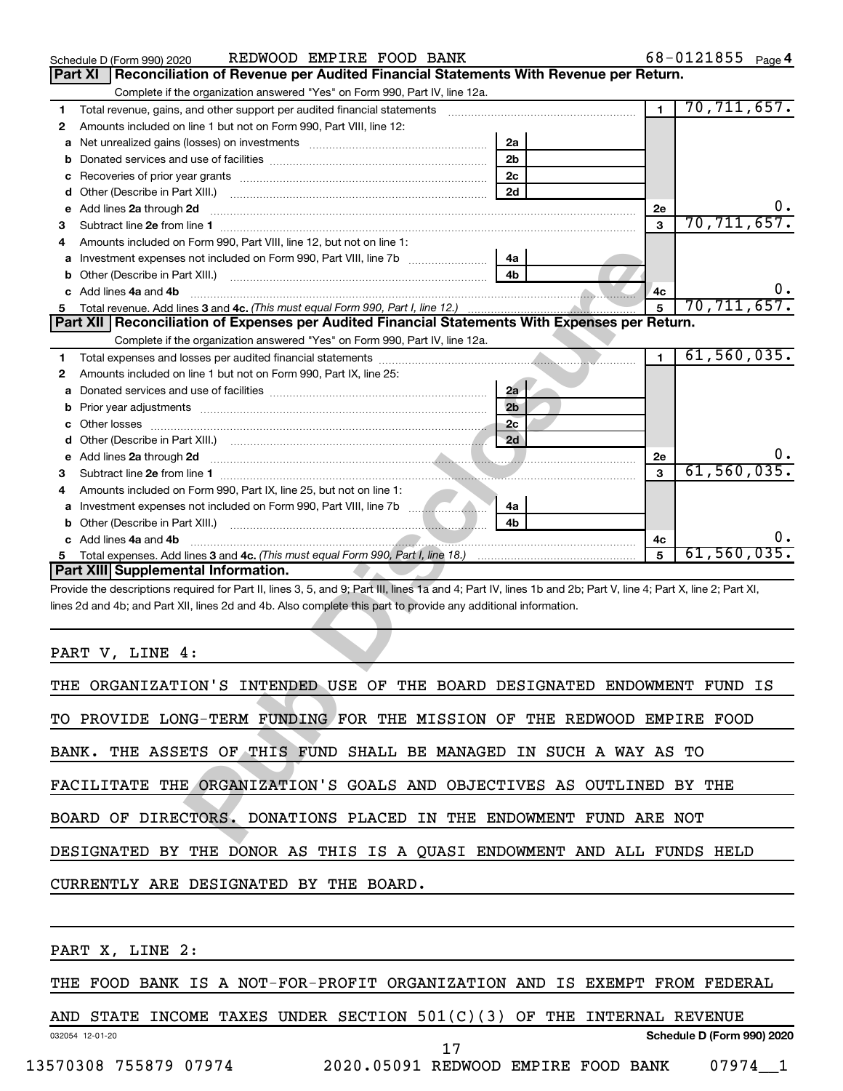|                | REDWOOD EMPIRE FOOD BANK<br>Schedule D (Form 990) 2020                                                                                                                                                                               |                | $68 - 0121855$ Page 4 |
|----------------|--------------------------------------------------------------------------------------------------------------------------------------------------------------------------------------------------------------------------------------|----------------|-----------------------|
| <b>Part XI</b> | Reconciliation of Revenue per Audited Financial Statements With Revenue per Return.                                                                                                                                                  |                |                       |
|                | Complete if the organization answered "Yes" on Form 990, Part IV, line 12a.                                                                                                                                                          |                |                       |
| 1              | Total revenue, gains, and other support per audited financial statements [11] [11] Total revenue, [21] Total revenue of the support per audited financial statements                                                                 | $\blacksquare$ | 70, 711, 657.         |
| 2              | Amounts included on line 1 but not on Form 990, Part VIII, line 12:                                                                                                                                                                  |                |                       |
| а              | 2a                                                                                                                                                                                                                                   |                |                       |
| b              | 2 <sub>b</sub>                                                                                                                                                                                                                       |                |                       |
| с              | 2 <sub>c</sub>                                                                                                                                                                                                                       |                |                       |
| d              | 2d                                                                                                                                                                                                                                   |                |                       |
| е              | Add lines 2a through 2d                                                                                                                                                                                                              | 2e             | υ.                    |
| з              |                                                                                                                                                                                                                                      | $\mathbf{3}$   | 70, 711, 657.         |
| 4              | Amounts included on Form 990. Part VIII. line 12, but not on line 1:                                                                                                                                                                 |                |                       |
|                | 4a                                                                                                                                                                                                                                   |                |                       |
| b              | 4 <sub>h</sub>                                                                                                                                                                                                                       |                |                       |
|                | Add lines 4a and 4b                                                                                                                                                                                                                  |                | υ.                    |
|                |                                                                                                                                                                                                                                      | 4с             | 70, 711, 657.         |
| 5              | Part XII Reconciliation of Expenses per Audited Financial Statements With Expenses per Return.                                                                                                                                       |                |                       |
|                |                                                                                                                                                                                                                                      |                |                       |
|                | Complete if the organization answered "Yes" on Form 990, Part IV, line 12a.<br><b>Contract Contract</b>                                                                                                                              |                | 61, 560, 035.         |
| 1              |                                                                                                                                                                                                                                      | $\blacksquare$ |                       |
| 2              | Amounts included on line 1 but not on Form 990, Part IX, line 25:                                                                                                                                                                    |                |                       |
| а              | 2a                                                                                                                                                                                                                                   |                |                       |
| b              | 2 <sub>b</sub><br>Prior year adjustments [111] Prior year adjustments [11] Masseum Masseum Masseum Masseum Masseum Masseum Mass                                                                                                      |                |                       |
|                | 2 <sub>c</sub>                                                                                                                                                                                                                       |                |                       |
| d              |                                                                                                                                                                                                                                      |                |                       |
| е              | Add lines 2a through 2d <b>contained a contained a contained a contained a contained a contained a contained a contained a contact a contact a contact a contact a contact a contact a contact a contact a contact a contact a c</b> | 2e             |                       |
| з              |                                                                                                                                                                                                                                      | $\mathbf{3}$   | 61, 560, 035.         |
| 4              | Amounts included on Form 990, Part IX, line 25, but not on line 1:                                                                                                                                                                   |                |                       |
| a              | 4a                                                                                                                                                                                                                                   |                |                       |
| b              | 4h<br>Other (Describe in Part XIII.) [11] [2000] [2010] [2010] [2010] [2010] [2010] [2010] [2010] [2010] [2010] [20                                                                                                                  |                |                       |
|                | c Add lines 4a and 4b                                                                                                                                                                                                                | 4с             | υ.                    |
| 5              |                                                                                                                                                                                                                                      | 5              | 61,560,035.           |
|                | Part XIII Supplemental Information.                                                                                                                                                                                                  |                |                       |
|                | Provide the descriptions required for Part II, lines 3, 5, and 9; Part III, lines 1a and 4; Part IV, lines 1b and 2b; Part V, line 4; Part X, line 2; Part XI,                                                                       |                |                       |
|                | lines 2d and 4b; and Part XII, lines 2d and 4b. Also complete this part to provide any additional information.                                                                                                                       |                |                       |
|                |                                                                                                                                                                                                                                      |                |                       |
|                |                                                                                                                                                                                                                                      |                |                       |
|                | PART V, LINE 4:                                                                                                                                                                                                                      |                |                       |
|                |                                                                                                                                                                                                                                      |                |                       |
|                | THE ORGANIZATION'S INTENDED USE OF THE BOARD DESIGNATED ENDOWMENT FUND IS                                                                                                                                                            |                |                       |
|                |                                                                                                                                                                                                                                      |                |                       |
|                | TO PROVIDE LONG-TERM FUNDING FOR THE MISSION OF THE REDWOOD EMPIRE FOOD                                                                                                                                                              |                |                       |
|                |                                                                                                                                                                                                                                      |                |                       |
|                | BANK. THE ASSETS OF THIS FUND SHALL BE MANAGED IN SUCH A WAY AS TO                                                                                                                                                                   |                |                       |
|                |                                                                                                                                                                                                                                      |                |                       |
|                | FACILITATE THE ORGANIZATION'S GOALS AND OBJECTIVES AS OUTLINED BY THE                                                                                                                                                                |                |                       |
|                |                                                                                                                                                                                                                                      |                |                       |
|                |                                                                                                                                                                                                                                      |                |                       |
|                | BOARD OF DIRECTORS. DONATIONS PLACED IN THE ENDOWMENT FUND ARE NOT                                                                                                                                                                   |                |                       |
|                |                                                                                                                                                                                                                                      |                |                       |

| THE ORGANIZATION'S INTENDED USE OF THE BOARD DESIGNATED ENDOWMENT FUND IS |
|---------------------------------------------------------------------------|
| TO PROVIDE LONG-TERM FUNDING FOR THE MISSION OF THE REDWOOD EMPIRE FOOD   |
| BANK. THE ASSETS OF THIS FUND SHALL BE MANAGED IN SUCH A WAY AS TO        |
| FACILITATE THE ORGANIZATION'S GOALS AND OBJECTIVES AS OUTLINED BY THE     |
| BOARD OF DIRECTORS. DONATIONS PLACED IN THE ENDOWMENT FUND ARE NOT        |
| DESIGNATED BY THE DONOR AS THIS IS A OUASI ENDOWMENT AND ALL FUNDS HELD   |
| CURRENTLY ARE DESIGNATED BY THE BOARD.                                    |
|                                                                           |
|                                                                           |

PART X, LINE 2:

THE FOOD BANK IS A NOT-FOR-PROFIT ORGANIZATION AND IS EXEMPT FROM FEDERAL

032054 12-01-20 **Schedule D (Form 990) 2020** AND STATE INCOME TAXES UNDER SECTION 501(C)(3) OF THE INTERNAL REVENUE 13570308 755879 07974 2020.05091 REDWOOD EMPIRE FOOD BANK 07974\_\_1 17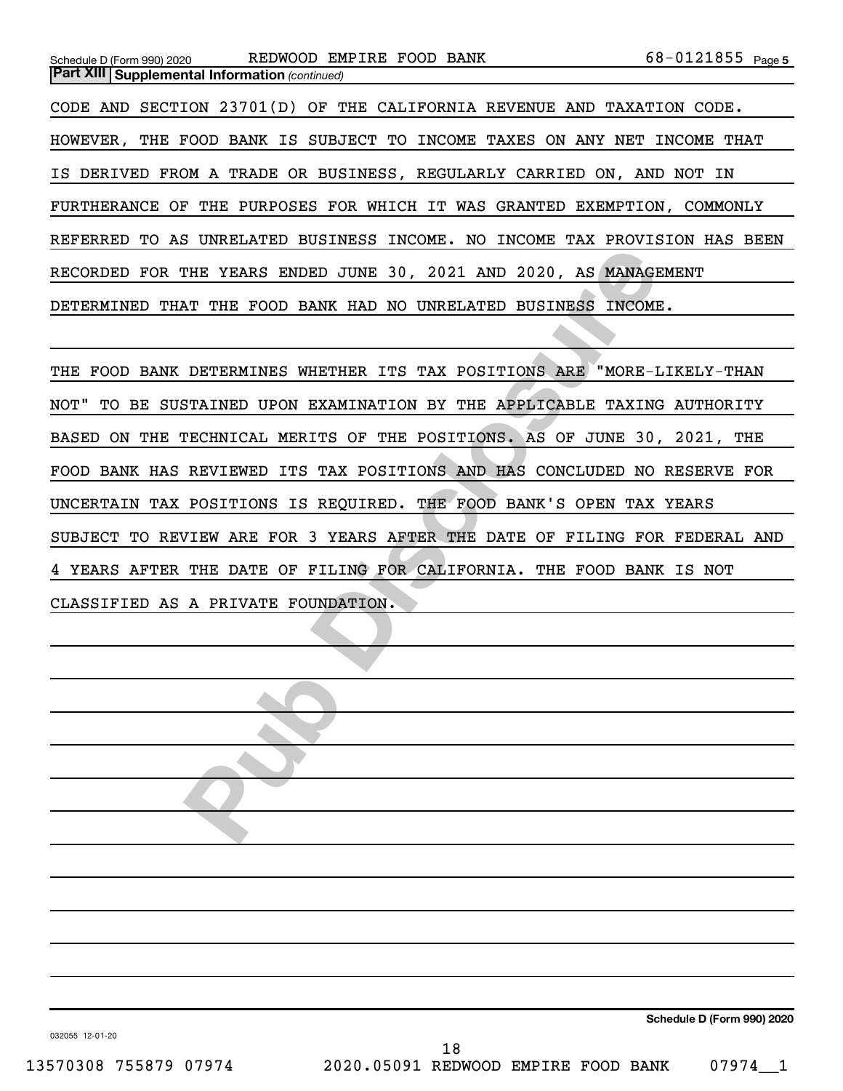| Schedule D (Form 990) 2020                            | REDWOOD EMPIRE FOOD BANK                                                   | 68-0121855 Page 5 |
|-------------------------------------------------------|----------------------------------------------------------------------------|-------------------|
| <b>Part XIII Supplemental Information (continued)</b> |                                                                            |                   |
|                                                       | CODE AND SECTION 23701(D) OF THE CALIFORNIA REVENUE AND TAXATION CODE.     |                   |
|                                                       | HOWEVER, THE FOOD BANK IS SUBJECT TO INCOME TAXES ON ANY NET               | INCOME<br>THAT    |
|                                                       | IS DERIVED FROM A TRADE OR BUSINESS, REGULARLY CARRIED ON, AND NOT IN      |                   |
|                                                       | FURTHERANCE OF THE PURPOSES FOR WHICH IT WAS GRANTED EXEMPTION, COMMONLY   |                   |
|                                                       | REFERRED TO AS UNRELATED BUSINESS INCOME. NO INCOME TAX PROVISION HAS BEEN |                   |
|                                                       | RECORDED FOR THE YEARS ENDED JUNE 30, 2021 AND 2020, AS MANAGEMENT         |                   |
| DETERMINED                                            | THAT THE FOOD BANK HAD NO UNRELATED                                        | BUSINESS INCOME.  |

THE YEARS ENDED JUNE 30, 2021 AND 2020, AS MANAGEMENT<br>THE YEARS ENDED JUNE 30, 2021 AND 2020, AS MANAGEMENT<br>THE FOOD BANK HAD NO UNRELATED BUSINESS INCOME.<br>DETERMINES WHETHER ITS TAX POSITIONS ARE "MORE-LIKEI<br>TAINED UPON E THE FOOD BANK DETERMINES WHETHER ITS TAX POSITIONS ARE "MORE-LIKELY-THAN NOT" TO BE SUSTAINED UPON EXAMINATION BY THE APPLICABLE TAXING AUTHORITY BASED ON THE TECHNICAL MERITS OF THE POSITIONS. AS OF JUNE 30, 2021, THE FOOD BANK HAS REVIEWED ITS TAX POSITIONS AND HAS CONCLUDED NO RESERVE FOR UNCERTAIN TAX POSITIONS IS REQUIRED. THE FOOD BANK'S OPEN TAX YEARS SUBJECT TO REVIEW ARE FOR 3 YEARS AFTER THE DATE OF FILING FOR FEDERAL AND 4 YEARS AFTER THE DATE OF FILING FOR CALIFORNIA. THE FOOD BANK IS NOT CLASSIFIED AS A PRIVATE FOUNDATION.



032055 12-01-20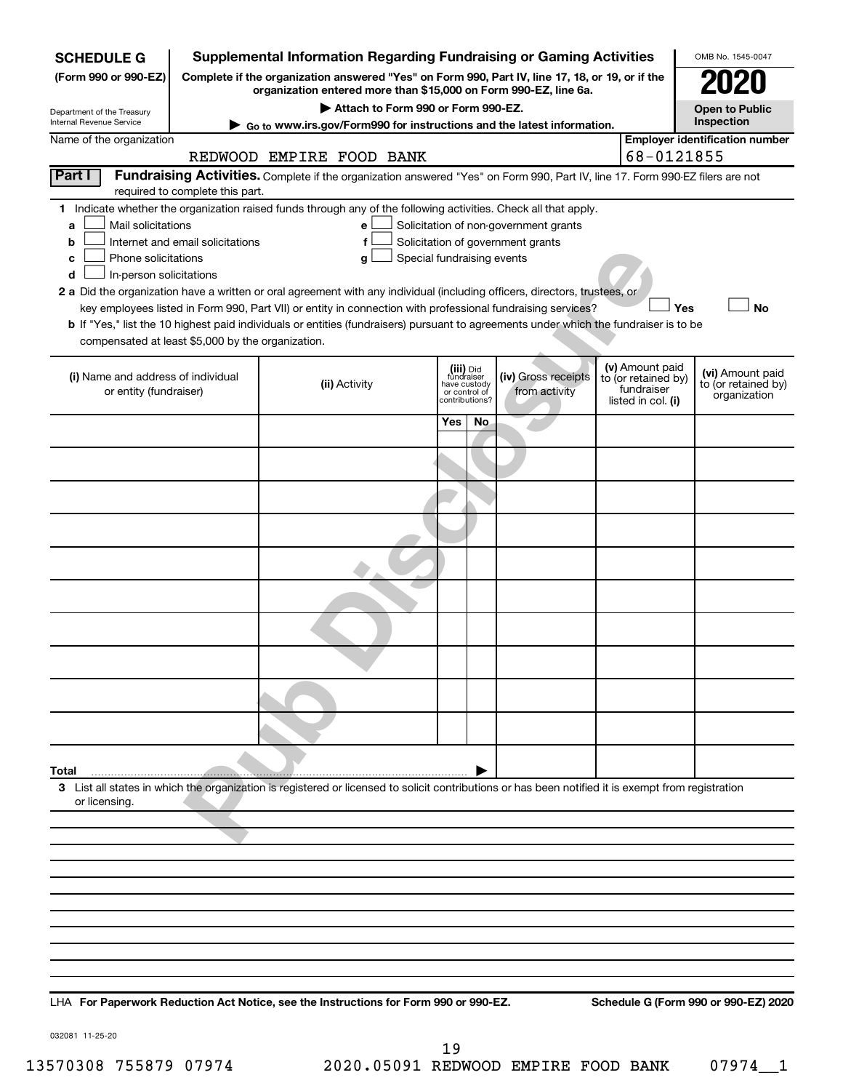| <b>SCHEDULE G</b>                                 |                                                                                                                                                                     | <b>Supplemental Information Regarding Fundraising or Gaming Activities</b>                                                                         |                       |                               |                                       |  |                                   | OMB No. 1545-0047                     |
|---------------------------------------------------|---------------------------------------------------------------------------------------------------------------------------------------------------------------------|----------------------------------------------------------------------------------------------------------------------------------------------------|-----------------------|-------------------------------|---------------------------------------|--|-----------------------------------|---------------------------------------|
| (Form 990 or 990-EZ)                              | Complete if the organization answered "Yes" on Form 990, Part IV, line 17, 18, or 19, or if the<br>organization entered more than \$15,000 on Form 990-EZ, line 6a. |                                                                                                                                                    |                       |                               |                                       |  |                                   |                                       |
| Department of the Treasury                        |                                                                                                                                                                     |                                                                                                                                                    | <b>Open to Public</b> |                               |                                       |  |                                   |                                       |
| Internal Revenue Service                          | Go to www.irs.gov/Form990 for instructions and the latest information.                                                                                              |                                                                                                                                                    | Inspection            |                               |                                       |  |                                   |                                       |
| Name of the organization                          |                                                                                                                                                                     |                                                                                                                                                    |                       |                               |                                       |  |                                   | <b>Employer identification number</b> |
|                                                   |                                                                                                                                                                     | REDWOOD EMPIRE FOOD BANK                                                                                                                           |                       |                               |                                       |  | 68-0121855                        |                                       |
| Part I                                            | required to complete this part.                                                                                                                                     | Fundraising Activities. Complete if the organization answered "Yes" on Form 990, Part IV, line 17. Form 990-EZ filers are not                      |                       |                               |                                       |  |                                   |                                       |
|                                                   |                                                                                                                                                                     | 1 Indicate whether the organization raised funds through any of the following activities. Check all that apply.                                    |                       |                               |                                       |  |                                   |                                       |
| Mail solicitations<br>a                           |                                                                                                                                                                     | е                                                                                                                                                  |                       |                               | Solicitation of non-government grants |  |                                   |                                       |
| b                                                 | Internet and email solicitations                                                                                                                                    | f                                                                                                                                                  |                       |                               | Solicitation of government grants     |  |                                   |                                       |
| Phone solicitations<br>c                          |                                                                                                                                                                     | Special fundraising events<br>g                                                                                                                    |                       |                               |                                       |  |                                   |                                       |
| In-person solicitations<br>d                      |                                                                                                                                                                     |                                                                                                                                                    |                       |                               |                                       |  |                                   |                                       |
|                                                   |                                                                                                                                                                     | 2 a Did the organization have a written or oral agreement with any individual (including officers, directors, trustees, or                         |                       |                               |                                       |  |                                   |                                       |
|                                                   |                                                                                                                                                                     | key employees listed in Form 990, Part VII) or entity in connection with professional fundraising services?                                        |                       |                               |                                       |  | Yes                               | <b>No</b>                             |
| compensated at least \$5,000 by the organization. |                                                                                                                                                                     | b If "Yes," list the 10 highest paid individuals or entities (fundraisers) pursuant to agreements under which the fundraiser is to be              |                       |                               |                                       |  |                                   |                                       |
|                                                   |                                                                                                                                                                     |                                                                                                                                                    |                       |                               |                                       |  |                                   |                                       |
| (i) Name and address of individual                |                                                                                                                                                                     |                                                                                                                                                    |                       | (iii) Did<br>fundraiser       | (iv) Gross receipts                   |  | (v) Amount paid                   | (vi) Amount paid                      |
| or entity (fundraiser)                            |                                                                                                                                                                     | (ii) Activity                                                                                                                                      |                       | have custody<br>or control of | from activity                         |  | to (or retained by)<br>fundraiser | to (or retained by)                   |
|                                                   |                                                                                                                                                                     |                                                                                                                                                    |                       | contributions?                |                                       |  | listed in col. (i)                | organization                          |
|                                                   |                                                                                                                                                                     |                                                                                                                                                    | Yes                   | No.                           |                                       |  |                                   |                                       |
|                                                   |                                                                                                                                                                     |                                                                                                                                                    |                       |                               |                                       |  |                                   |                                       |
|                                                   |                                                                                                                                                                     |                                                                                                                                                    |                       |                               |                                       |  |                                   |                                       |
|                                                   |                                                                                                                                                                     |                                                                                                                                                    |                       |                               |                                       |  |                                   |                                       |
|                                                   |                                                                                                                                                                     |                                                                                                                                                    |                       |                               |                                       |  |                                   |                                       |
|                                                   |                                                                                                                                                                     |                                                                                                                                                    |                       |                               |                                       |  |                                   |                                       |
|                                                   |                                                                                                                                                                     |                                                                                                                                                    |                       |                               |                                       |  |                                   |                                       |
|                                                   |                                                                                                                                                                     |                                                                                                                                                    |                       |                               |                                       |  |                                   |                                       |
|                                                   |                                                                                                                                                                     |                                                                                                                                                    |                       |                               |                                       |  |                                   |                                       |
|                                                   |                                                                                                                                                                     |                                                                                                                                                    |                       |                               |                                       |  |                                   |                                       |
|                                                   |                                                                                                                                                                     |                                                                                                                                                    |                       |                               |                                       |  |                                   |                                       |
|                                                   |                                                                                                                                                                     |                                                                                                                                                    |                       |                               |                                       |  |                                   |                                       |
|                                                   |                                                                                                                                                                     |                                                                                                                                                    |                       |                               |                                       |  |                                   |                                       |
| Total                                             |                                                                                                                                                                     |                                                                                                                                                    |                       |                               |                                       |  |                                   |                                       |
| or licensing.                                     |                                                                                                                                                                     | 3 List all states in which the organization is registered or licensed to solicit contributions or has been notified it is exempt from registration |                       |                               |                                       |  |                                   |                                       |
|                                                   |                                                                                                                                                                     |                                                                                                                                                    |                       |                               |                                       |  |                                   |                                       |
|                                                   |                                                                                                                                                                     |                                                                                                                                                    |                       |                               |                                       |  |                                   |                                       |
|                                                   |                                                                                                                                                                     |                                                                                                                                                    |                       |                               |                                       |  |                                   |                                       |
|                                                   |                                                                                                                                                                     |                                                                                                                                                    |                       |                               |                                       |  |                                   |                                       |
|                                                   |                                                                                                                                                                     |                                                                                                                                                    |                       |                               |                                       |  |                                   |                                       |
|                                                   |                                                                                                                                                                     |                                                                                                                                                    |                       |                               |                                       |  |                                   |                                       |
|                                                   |                                                                                                                                                                     |                                                                                                                                                    |                       |                               |                                       |  |                                   |                                       |
|                                                   |                                                                                                                                                                     |                                                                                                                                                    |                       |                               |                                       |  |                                   |                                       |
|                                                   |                                                                                                                                                                     |                                                                                                                                                    |                       |                               |                                       |  |                                   |                                       |
|                                                   |                                                                                                                                                                     |                                                                                                                                                    |                       |                               |                                       |  |                                   |                                       |
|                                                   |                                                                                                                                                                     |                                                                                                                                                    |                       |                               |                                       |  |                                   |                                       |

**For Paperwork Reduction Act Notice, see the Instructions for Form 990 or 990-EZ. Schedule G (Form 990 or 990-EZ) 2020** LHA

032081 11-25-20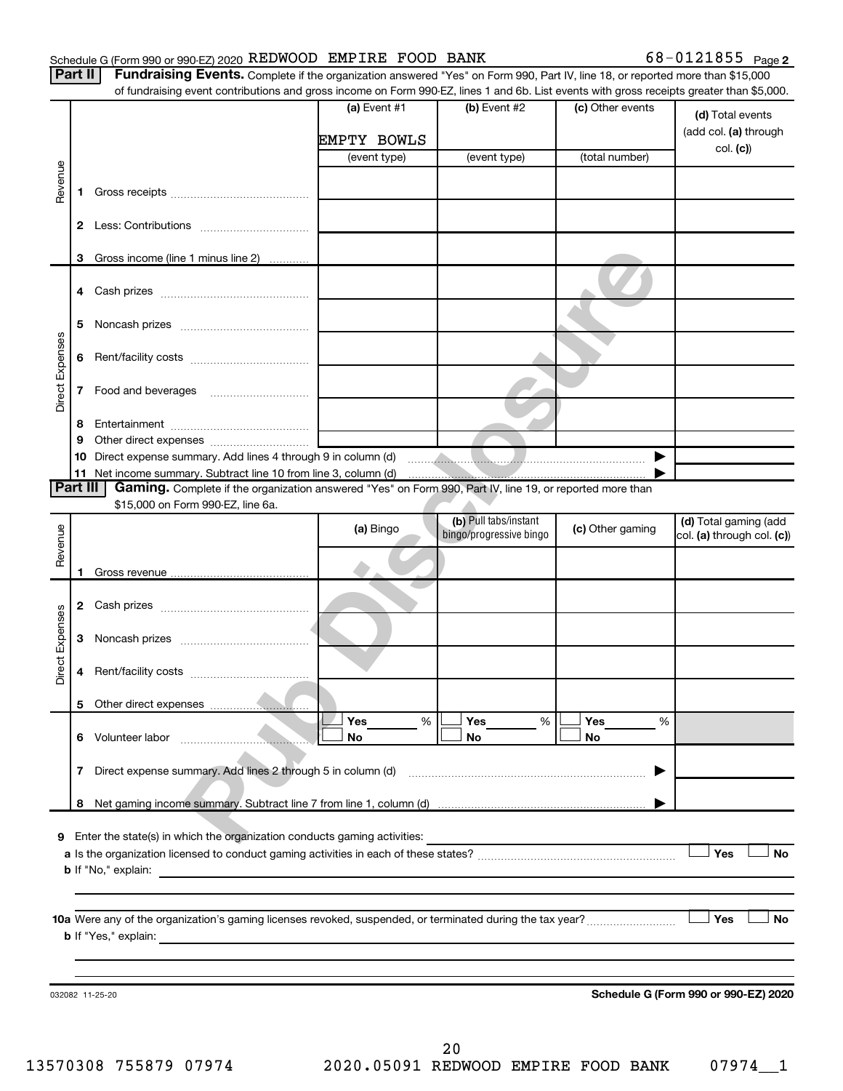#### Schedule G (Form 990 or 990-EZ) 2020 REDWOOD EMPIRE FOOD BANK  $68-0121855$  Page

Part II | Fundraising Events. Complete if the organization answered "Yes" on Form 990, Part IV, line 18, or reported more than \$15,000

|                 |              | of fundraising event contributions and gross income on Form 990-EZ, lines 1 and 6b. List events with gross receipts greater than \$5,000. |              |                         |                  |                                      |
|-----------------|--------------|-------------------------------------------------------------------------------------------------------------------------------------------|--------------|-------------------------|------------------|--------------------------------------|
|                 |              |                                                                                                                                           | (a) Event #1 | (b) Event #2            | (c) Other events | (d) Total events                     |
|                 |              |                                                                                                                                           |              |                         |                  | (add col. (a) through                |
|                 |              |                                                                                                                                           | EMPTY BOWLS  |                         |                  | col. (c))                            |
|                 |              |                                                                                                                                           | (event type) | (event type)            | (total number)   |                                      |
| Revenue         |              |                                                                                                                                           |              |                         |                  |                                      |
|                 | 1.           |                                                                                                                                           |              |                         |                  |                                      |
|                 |              |                                                                                                                                           |              |                         |                  |                                      |
|                 |              |                                                                                                                                           |              |                         |                  |                                      |
|                 | 3            | Gross income (line 1 minus line 2)                                                                                                        |              |                         |                  |                                      |
|                 |              |                                                                                                                                           |              |                         |                  |                                      |
|                 |              |                                                                                                                                           |              |                         |                  |                                      |
|                 |              |                                                                                                                                           |              |                         |                  |                                      |
|                 | 5            |                                                                                                                                           |              |                         |                  |                                      |
| Direct Expenses | 6            |                                                                                                                                           |              |                         |                  |                                      |
|                 |              |                                                                                                                                           |              |                         |                  |                                      |
|                 | 7            |                                                                                                                                           |              |                         |                  |                                      |
|                 |              |                                                                                                                                           |              |                         |                  |                                      |
|                 | 8            |                                                                                                                                           |              |                         |                  |                                      |
|                 | 9            |                                                                                                                                           |              |                         |                  |                                      |
|                 |              |                                                                                                                                           |              |                         |                  |                                      |
| <b>Part III</b> |              | Gaming. Complete if the organization answered "Yes" on Form 990, Part IV, line 19, or reported more than                                  |              |                         |                  |                                      |
|                 |              | \$15,000 on Form 990-EZ, line 6a.                                                                                                         |              |                         |                  |                                      |
|                 |              |                                                                                                                                           | (a) Bingo    | (b) Pull tabs/instant   | (c) Other gaming | (d) Total gaming (add                |
| Revenue         |              |                                                                                                                                           |              | bingo/progressive bingo |                  | col. (a) through col. (c))           |
|                 |              |                                                                                                                                           |              |                         |                  |                                      |
|                 |              |                                                                                                                                           |              |                         |                  |                                      |
|                 |              |                                                                                                                                           |              |                         |                  |                                      |
|                 |              |                                                                                                                                           |              |                         |                  |                                      |
|                 | 3            |                                                                                                                                           |              |                         |                  |                                      |
| Direct Expenses |              |                                                                                                                                           |              |                         |                  |                                      |
|                 | 4            |                                                                                                                                           |              |                         |                  |                                      |
|                 |              |                                                                                                                                           |              |                         |                  |                                      |
|                 |              |                                                                                                                                           |              |                         |                  |                                      |
|                 |              |                                                                                                                                           | Yes<br>%     | Yes<br>%                | Yes<br>%         |                                      |
|                 |              |                                                                                                                                           | No           | No                      | No               |                                      |
|                 | $\mathbf{7}$ | Direct expense summary. Add lines 2 through 5 in column (d)                                                                               |              |                         |                  |                                      |
|                 |              |                                                                                                                                           |              |                         |                  |                                      |
|                 |              |                                                                                                                                           |              |                         |                  |                                      |
|                 |              |                                                                                                                                           |              |                         |                  |                                      |
|                 |              | 9 Enter the state(s) in which the organization conducts gaming activities:                                                                |              |                         |                  |                                      |
|                 |              |                                                                                                                                           |              |                         |                  | Yes<br><b>No</b>                     |
|                 |              |                                                                                                                                           |              |                         |                  |                                      |
|                 |              |                                                                                                                                           |              |                         |                  |                                      |
|                 |              |                                                                                                                                           |              |                         |                  | Yes<br>No                            |
|                 |              |                                                                                                                                           |              |                         |                  |                                      |
|                 |              |                                                                                                                                           |              |                         |                  |                                      |
|                 |              |                                                                                                                                           |              |                         |                  |                                      |
|                 |              | 032082 11-25-20                                                                                                                           |              |                         |                  | Schedule G (Form 990 or 990-EZ) 2020 |
|                 |              |                                                                                                                                           |              |                         |                  |                                      |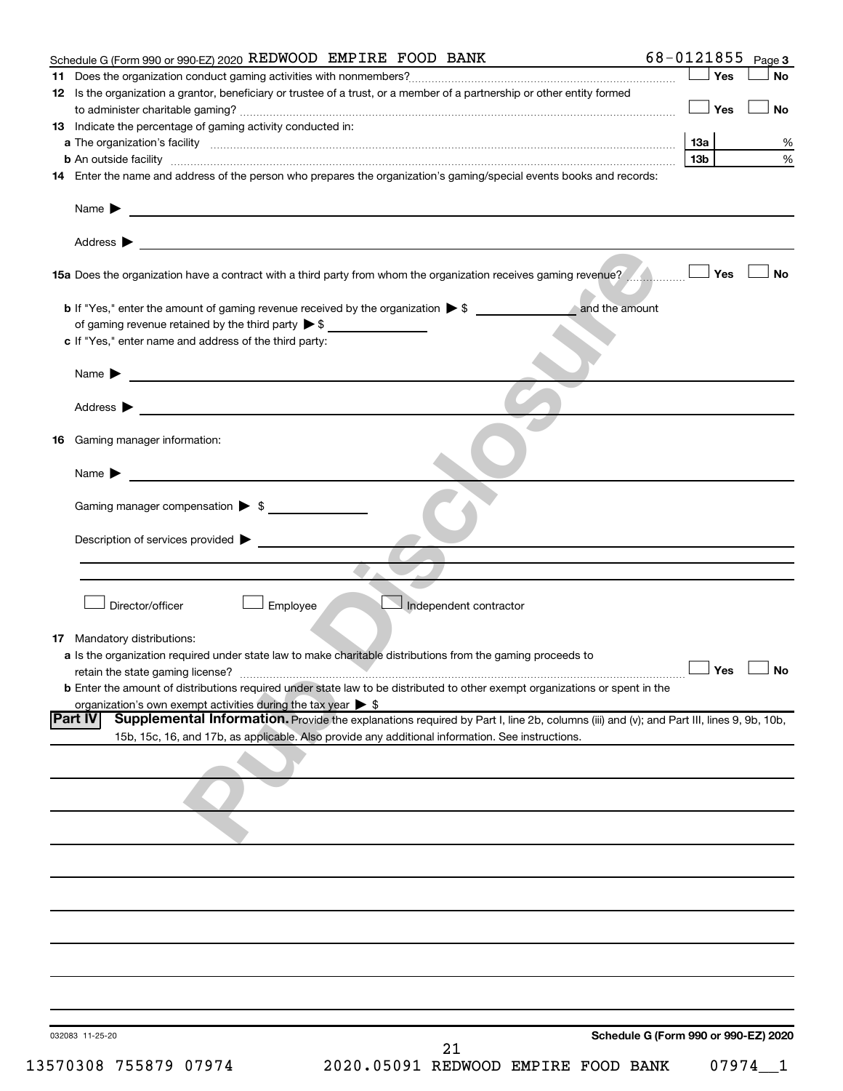| Schedule G (Form 990 or 990-EZ) 2020 REDWOOD EMPIRE FOOD BANK                                                                                            | 68-0121855 Page 3                    |
|----------------------------------------------------------------------------------------------------------------------------------------------------------|--------------------------------------|
| 11                                                                                                                                                       | $\Box$ Yes<br><b>No</b>              |
| 12 Is the organization a grantor, beneficiary or trustee of a trust, or a member of a partnership or other entity formed                                 |                                      |
|                                                                                                                                                          | $\Box$ Yes<br><b>No</b>              |
| 13 Indicate the percentage of gaming activity conducted in:                                                                                              |                                      |
|                                                                                                                                                          | 13а<br>%                             |
|                                                                                                                                                          | $\%$<br>13b                          |
| 14 Enter the name and address of the person who prepares the organization's gaming/special events books and records:                                     |                                      |
|                                                                                                                                                          |                                      |
| Name $\sum_{n=1}^{\infty}$                                                                                                                               |                                      |
|                                                                                                                                                          |                                      |
| Address $\blacktriangleright$                                                                                                                            |                                      |
| 15a Does the organization have a contract with a third party from whom the organization receives gaming revenue?                                         | — ∣ Yes<br><b>No</b>                 |
| <b>b</b> If "Yes," enter the amount of gaming revenue received by the organization $\triangleright$ \$                                                   | and the amount                       |
| of gaming revenue retained by the third party $\triangleright$ \$                                                                                        |                                      |
| c If "Yes," enter name and address of the third party:                                                                                                   |                                      |
|                                                                                                                                                          |                                      |
| Name $\blacktriangleright$<br><u> 1980 - Jan Barbara, martxa al II-lea (h. 1980).</u>                                                                    |                                      |
|                                                                                                                                                          |                                      |
| Address $\blacktriangleright$                                                                                                                            |                                      |
| 16 Gaming manager information:                                                                                                                           |                                      |
| Name $\blacktriangleright$                                                                                                                               |                                      |
| <u> 1980 - Andrea Amerikaanse kommunister (</u>                                                                                                          |                                      |
| Gaming manager compensation $\triangleright$ \$                                                                                                          |                                      |
|                                                                                                                                                          |                                      |
| Description of services provided $\blacktriangleright$                                                                                                   |                                      |
|                                                                                                                                                          |                                      |
|                                                                                                                                                          |                                      |
|                                                                                                                                                          |                                      |
| Director/officer<br>Independent contractor<br>Employee                                                                                                   |                                      |
|                                                                                                                                                          |                                      |
| 17 Mandatory distributions:                                                                                                                              |                                      |
| a Is the organization required under state law to make charitable distributions from the gaming proceeds to                                              |                                      |
| retain the state gaming license?                                                                                                                         | $\Box$ Yes $\Box$ No                 |
| <b>b</b> Enter the amount of distributions required under state law to be distributed to other exempt organizations or spent in the                      |                                      |
| organization's own exempt activities during the tax year $\triangleright$ \$                                                                             |                                      |
| <b>Part IV</b><br>Supplemental Information. Provide the explanations required by Part I, line 2b, columns (iii) and (v); and Part III, lines 9, 9b, 10b, |                                      |
| 15b, 15c, 16, and 17b, as applicable. Also provide any additional information. See instructions.                                                         |                                      |
|                                                                                                                                                          |                                      |
|                                                                                                                                                          |                                      |
|                                                                                                                                                          |                                      |
|                                                                                                                                                          |                                      |
|                                                                                                                                                          |                                      |
|                                                                                                                                                          |                                      |
|                                                                                                                                                          |                                      |
|                                                                                                                                                          |                                      |
|                                                                                                                                                          |                                      |
|                                                                                                                                                          |                                      |
|                                                                                                                                                          |                                      |
|                                                                                                                                                          |                                      |
|                                                                                                                                                          |                                      |
|                                                                                                                                                          |                                      |
|                                                                                                                                                          |                                      |
|                                                                                                                                                          |                                      |
| 032083 11-25-20                                                                                                                                          | Schedule G (Form 990 or 990-EZ) 2020 |
| 21                                                                                                                                                       |                                      |

| 13570308 755879 0797 |  |  |
|----------------------|--|--|
|----------------------|--|--|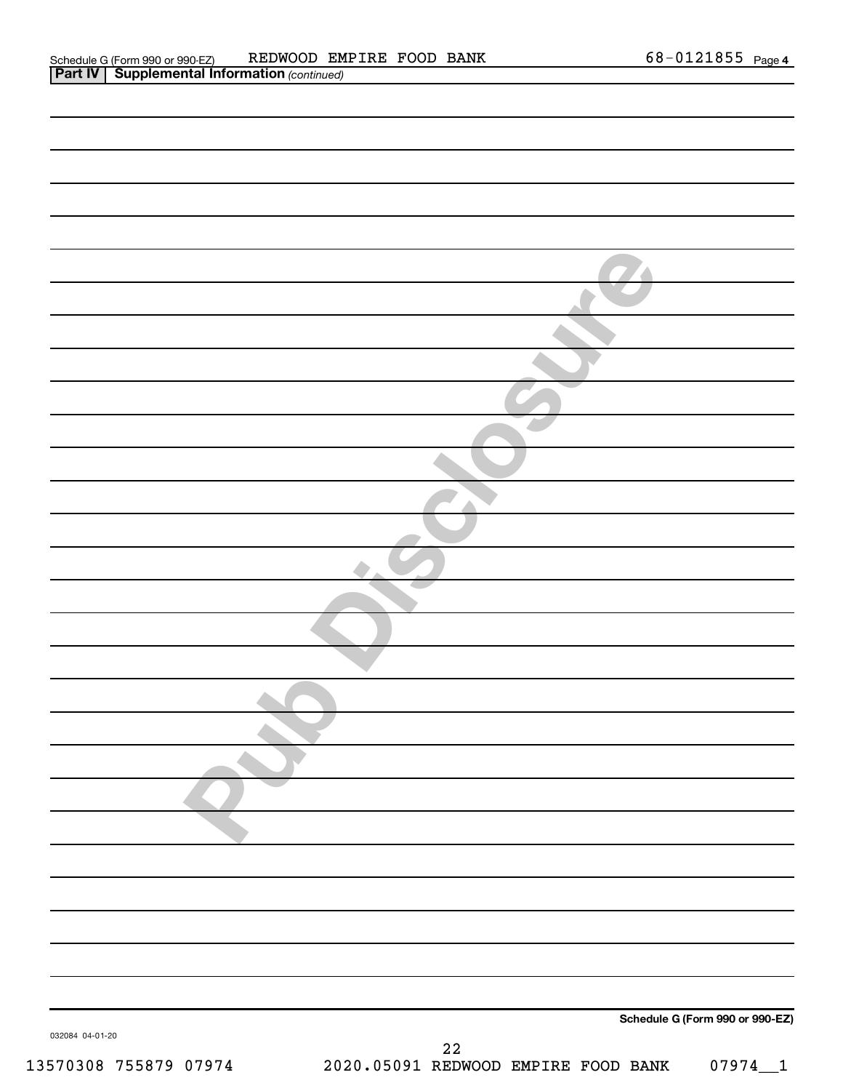| 032084 04-01-20       | Schedule G (Form 990 or 990-EZ)                                  |
|-----------------------|------------------------------------------------------------------|
| 13570308 755879 07974 | ${\bf 22}$<br>2020.05091 REDWOOD EMPIRE FOOD BANK<br>$07974 - 1$ |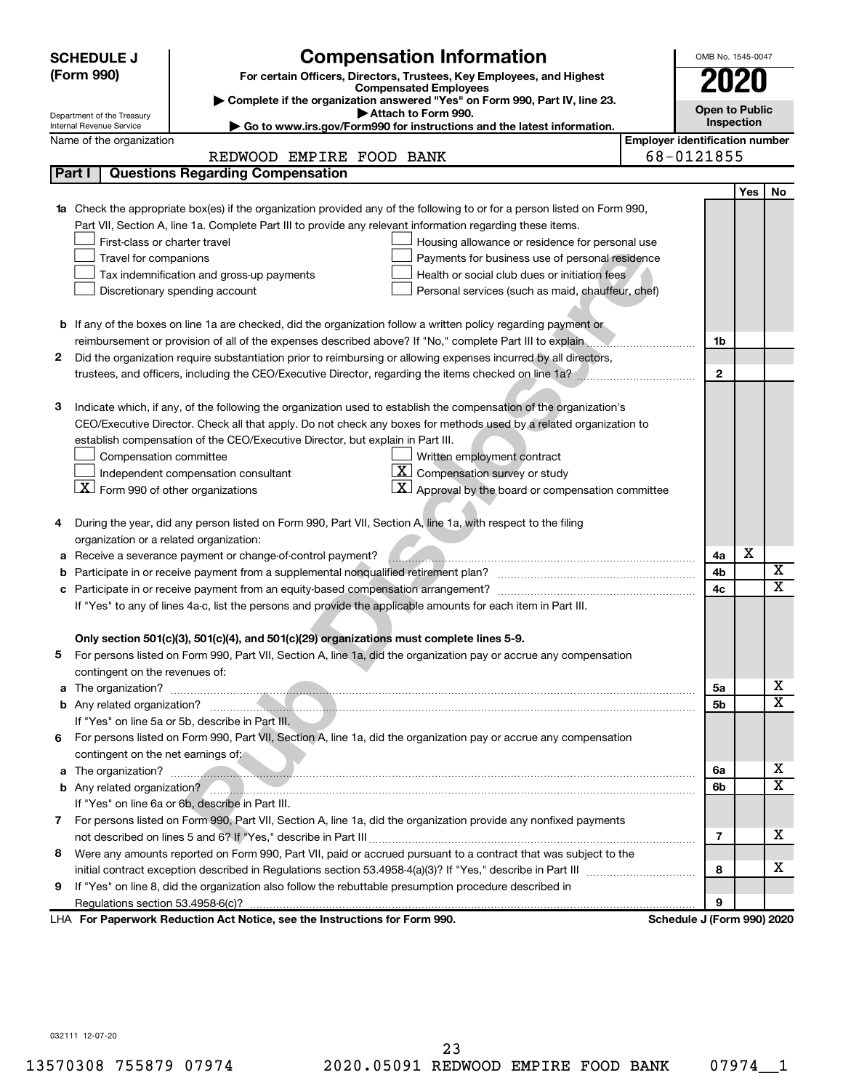|   | <b>SCHEDULE J</b>                                                                                                | <b>Compensation Information</b>                                                                                        |                                       | OMB No. 1545-0047          |            |                  |  |  |  |
|---|------------------------------------------------------------------------------------------------------------------|------------------------------------------------------------------------------------------------------------------------|---------------------------------------|----------------------------|------------|------------------|--|--|--|
|   | (Form 990)<br>For certain Officers, Directors, Trustees, Key Employees, and Highest                              |                                                                                                                        |                                       |                            |            |                  |  |  |  |
|   |                                                                                                                  | <b>Compensated Employees</b><br>Complete if the organization answered "Yes" on Form 990, Part IV, line 23.             |                                       |                            | 2020       |                  |  |  |  |
|   | <b>Open to Public</b><br>Attach to Form 990.<br>Department of the Treasury                                       |                                                                                                                        |                                       |                            |            |                  |  |  |  |
|   | Inspection<br>Go to www.irs.gov/Form990 for instructions and the latest information.<br>Internal Revenue Service |                                                                                                                        |                                       |                            |            |                  |  |  |  |
|   | Name of the organization                                                                                         |                                                                                                                        | <b>Employer identification number</b> |                            |            |                  |  |  |  |
|   |                                                                                                                  | REDWOOD EMPIRE FOOD BANK                                                                                               |                                       | 68-0121855                 |            |                  |  |  |  |
|   | Part I                                                                                                           | <b>Questions Regarding Compensation</b>                                                                                |                                       |                            |            |                  |  |  |  |
|   |                                                                                                                  |                                                                                                                        |                                       |                            | <b>Yes</b> | No               |  |  |  |
|   |                                                                                                                  | Check the appropriate box(es) if the organization provided any of the following to or for a person listed on Form 990, |                                       |                            |            |                  |  |  |  |
|   |                                                                                                                  | Part VII, Section A, line 1a. Complete Part III to provide any relevant information regarding these items.             |                                       |                            |            |                  |  |  |  |
|   | First-class or charter travel                                                                                    | Housing allowance or residence for personal use                                                                        |                                       |                            |            |                  |  |  |  |
|   | Travel for companions                                                                                            | Payments for business use of personal residence                                                                        |                                       |                            |            |                  |  |  |  |
|   |                                                                                                                  | Health or social club dues or initiation fees<br>Tax indemnification and gross-up payments                             |                                       |                            |            |                  |  |  |  |
|   |                                                                                                                  | Discretionary spending account<br>Personal services (such as maid, chauffeur, chef)                                    |                                       |                            |            |                  |  |  |  |
|   |                                                                                                                  | <b>b</b> If any of the boxes on line 1a are checked, did the organization follow a written policy regarding payment or |                                       |                            |            |                  |  |  |  |
|   |                                                                                                                  | reimbursement or provision of all of the expenses described above? If "No," complete Part III to explain               |                                       | 1b                         |            |                  |  |  |  |
| 2 |                                                                                                                  | Did the organization require substantiation prior to reimbursing or allowing expenses incurred by all directors,       |                                       |                            |            |                  |  |  |  |
|   |                                                                                                                  | trustees, and officers, including the CEO/Executive Director, regarding the items checked on line 1a?                  |                                       | $\mathbf{2}$               |            |                  |  |  |  |
|   |                                                                                                                  |                                                                                                                        |                                       |                            |            |                  |  |  |  |
| 3 |                                                                                                                  | Indicate which, if any, of the following the organization used to establish the compensation of the organization's     |                                       |                            |            |                  |  |  |  |
|   |                                                                                                                  | CEO/Executive Director. Check all that apply. Do not check any boxes for methods used by a related organization to     |                                       |                            |            |                  |  |  |  |
|   |                                                                                                                  | establish compensation of the CEO/Executive Director, but explain in Part III.                                         |                                       |                            |            |                  |  |  |  |
|   | Compensation committee                                                                                           | Written employment contract                                                                                            |                                       |                            |            |                  |  |  |  |
|   |                                                                                                                  | X<br>Compensation survey or study<br>Independent compensation consultant                                               |                                       |                            |            |                  |  |  |  |
|   | $X$ Form 990 of other organizations                                                                              | Approval by the board or compensation committee                                                                        |                                       |                            |            |                  |  |  |  |
|   |                                                                                                                  |                                                                                                                        |                                       |                            |            |                  |  |  |  |
|   |                                                                                                                  | During the year, did any person listed on Form 990, Part VII, Section A, line 1a, with respect to the filing           |                                       |                            |            |                  |  |  |  |
|   | organization or a related organization:                                                                          |                                                                                                                        |                                       |                            |            |                  |  |  |  |
| а |                                                                                                                  | Receive a severance payment or change-of-control payment?                                                              |                                       | 4a                         | х          |                  |  |  |  |
| b |                                                                                                                  |                                                                                                                        |                                       | 4b                         |            | X<br>$\mathbf x$ |  |  |  |
| с | Participate in or receive payment from an equity-based compensation arrangement?<br>4c                           |                                                                                                                        |                                       |                            |            |                  |  |  |  |
|   |                                                                                                                  | If "Yes" to any of lines 4a-c, list the persons and provide the applicable amounts for each item in Part III.          |                                       |                            |            |                  |  |  |  |
|   |                                                                                                                  |                                                                                                                        |                                       |                            |            |                  |  |  |  |
|   |                                                                                                                  | Only section 501(c)(3), 501(c)(4), and 501(c)(29) organizations must complete lines 5-9.                               |                                       |                            |            |                  |  |  |  |
|   |                                                                                                                  | For persons listed on Form 990, Part VII, Section A, line 1a, did the organization pay or accrue any compensation      |                                       |                            |            |                  |  |  |  |
|   | contingent on the revenues of:                                                                                   |                                                                                                                        |                                       |                            |            |                  |  |  |  |
| a |                                                                                                                  |                                                                                                                        |                                       | 5a                         |            | х<br>X           |  |  |  |
|   |                                                                                                                  |                                                                                                                        |                                       | 5b                         |            |                  |  |  |  |
|   |                                                                                                                  | If "Yes" on line 5a or 5b, describe in Part III.                                                                       |                                       |                            |            |                  |  |  |  |
|   |                                                                                                                  | 6 For persons listed on Form 990, Part VII, Section A, line 1a, did the organization pay or accrue any compensation    |                                       |                            |            |                  |  |  |  |
|   | contingent on the net earnings of:                                                                               |                                                                                                                        |                                       |                            |            | х                |  |  |  |
| a |                                                                                                                  |                                                                                                                        |                                       | 6а                         |            | X                |  |  |  |
|   |                                                                                                                  | If "Yes" on line 6a or 6b, describe in Part III.                                                                       |                                       | 6b                         |            |                  |  |  |  |
|   |                                                                                                                  | 7 For persons listed on Form 990, Part VII, Section A, line 1a, did the organization provide any nonfixed payments     |                                       |                            |            |                  |  |  |  |
|   |                                                                                                                  |                                                                                                                        |                                       | 7                          |            | x                |  |  |  |
| 8 |                                                                                                                  | Were any amounts reported on Form 990, Part VII, paid or accrued pursuant to a contract that was subject to the        |                                       |                            |            |                  |  |  |  |
|   |                                                                                                                  |                                                                                                                        |                                       | 8                          |            | x                |  |  |  |
| 9 |                                                                                                                  | If "Yes" on line 8, did the organization also follow the rebuttable presumption procedure described in                 |                                       |                            |            |                  |  |  |  |
|   |                                                                                                                  |                                                                                                                        |                                       | 9                          |            |                  |  |  |  |
|   |                                                                                                                  | LHA For Paperwork Reduction Act Notice, see the Instructions for Form 990.                                             |                                       | Schedule J (Form 990) 2020 |            |                  |  |  |  |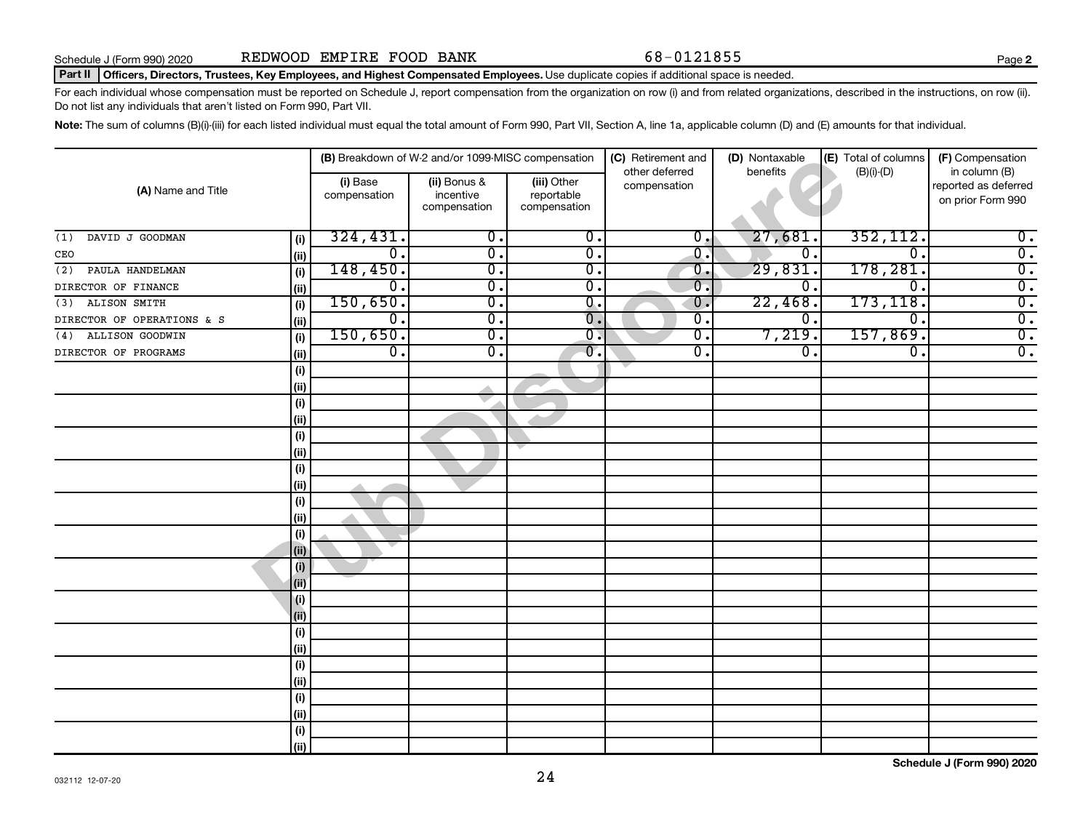**2**

#### Part II | Officers, Directors, Trustees, Key Employees, and Highest Compensated Employees. Use duplicate copies if additional space is needed.

For each individual whose compensation must be reported on Schedule J, report compensation from the organization on row (i) and from related organizations, described in the instructions, on row (ii). Do not list any individuals that aren't listed on Form 990, Part VII.

Note: The sum of columns (B)(i)-(iii) for each listed individual must equal the total amount of Form 990, Part VII, Section A, line 1a, applicable column (D) and (E) amounts for that individual.

|                            |       |                          | (B) Breakdown of W-2 and/or 1099-MISC compensation |                                           | (C) Retirement and<br>other deferred | (D) Nontaxable<br>benefits | (E) Total of columns | (F) Compensation<br>in column (B)         |
|----------------------------|-------|--------------------------|----------------------------------------------------|-------------------------------------------|--------------------------------------|----------------------------|----------------------|-------------------------------------------|
| (A) Name and Title         |       | (i) Base<br>compensation | (ii) Bonus &<br>incentive<br>compensation          | (iii) Other<br>reportable<br>compensation | compensation                         |                            | $(B)(i)-(D)$         | reported as deferred<br>on prior Form 990 |
| DAVID J GOODMAN<br>(1)     | (i)   | 324, 431.                | $\overline{\mathbf{0}}$ .                          | $\overline{0}$ .                          | $\overline{0}$ ,                     | 27,681                     | 352, 112.            | $\overline{0}$ .                          |
| CEO                        | (ii)  | $\overline{0}$ .         | $\overline{\mathbf{0}}$ .                          | $\overline{0}$ .                          | $\overline{0}$ .                     | О.                         | $\overline{0}$ .     | $\overline{0}$ .                          |
| PAULA HANDELMAN<br>(2)     | (i)   | 148,450.                 | $\overline{0}$ .                                   | $\overline{\mathbf{0}}$ .                 | $\overline{0}$                       | 29,831.                    | 178,281.             | $\overline{0}$ .                          |
| DIRECTOR OF FINANCE        | (ii)  | 0.                       | $\overline{0}$ .                                   | $\overline{\mathbf{0}}$ .                 | $\overline{0}$ .                     | 0.                         | $\mathbf 0$ .        | $\overline{0}$ .                          |
| ALISON SMITH<br>(3)        | (i)   | 150,650.                 | $\overline{0}$ .                                   | $\overline{0}$ .                          | $\overline{0}$                       | 22,468.                    | 173, 118.            | $\overline{0}$ .                          |
| DIRECTOR OF OPERATIONS & S | (ii)  | $\overline{0}$ .         | $\overline{\mathfrak{o}}$ .                        | $\overline{0}$ .                          | $\overline{0}$ .                     | $\overline{0}$ .           | 0.                   | $\overline{0}$ .                          |
| ALLISON GOODWIN<br>(4)     | (i)   | 150,650.                 | $\overline{\mathfrak{o}}$ .                        | $\overline{\mathbf{0}}$ .                 | $\overline{0}$ .                     | 7,219.                     | 157,869.             | $\overline{0}$ .                          |
| DIRECTOR OF PROGRAMS       | (ii)  | $\overline{0}$ .         | $\overline{0}$ .                                   | $\overline{0}$ .                          | σ.                                   | 0.                         | 0.                   | $\overline{0}$ .                          |
|                            | (i)   |                          |                                                    |                                           |                                      |                            |                      |                                           |
|                            | (ii)  |                          |                                                    |                                           |                                      |                            |                      |                                           |
|                            | (i)   |                          |                                                    |                                           |                                      |                            |                      |                                           |
|                            | (ii)  |                          |                                                    |                                           |                                      |                            |                      |                                           |
|                            | (i)   |                          |                                                    |                                           |                                      |                            |                      |                                           |
|                            | (ii)  |                          |                                                    |                                           |                                      |                            |                      |                                           |
|                            | (i)   |                          |                                                    |                                           |                                      |                            |                      |                                           |
|                            | (ii)  |                          |                                                    |                                           |                                      |                            |                      |                                           |
|                            | (i)   |                          |                                                    |                                           |                                      |                            |                      |                                           |
|                            | (ii)  |                          |                                                    |                                           |                                      |                            |                      |                                           |
|                            | (i)   |                          |                                                    |                                           |                                      |                            |                      |                                           |
|                            | (iii) |                          |                                                    |                                           |                                      |                            |                      |                                           |
|                            | (i)   |                          |                                                    |                                           |                                      |                            |                      |                                           |
|                            | (i)   |                          |                                                    |                                           |                                      |                            |                      |                                           |
|                            | (i)   |                          |                                                    |                                           |                                      |                            |                      |                                           |
|                            | (ii)  |                          |                                                    |                                           |                                      |                            |                      |                                           |
|                            | (i)   |                          |                                                    |                                           |                                      |                            |                      |                                           |
|                            | (ii)  |                          |                                                    |                                           |                                      |                            |                      |                                           |
|                            | (i)   |                          |                                                    |                                           |                                      |                            |                      |                                           |
|                            | (ii)  |                          |                                                    |                                           |                                      |                            |                      |                                           |
|                            | (i)   |                          |                                                    |                                           |                                      |                            |                      |                                           |
|                            | (ii)  |                          |                                                    |                                           |                                      |                            |                      |                                           |
|                            | (i)   |                          |                                                    |                                           |                                      |                            |                      |                                           |
|                            | (ii)  |                          |                                                    |                                           |                                      |                            |                      |                                           |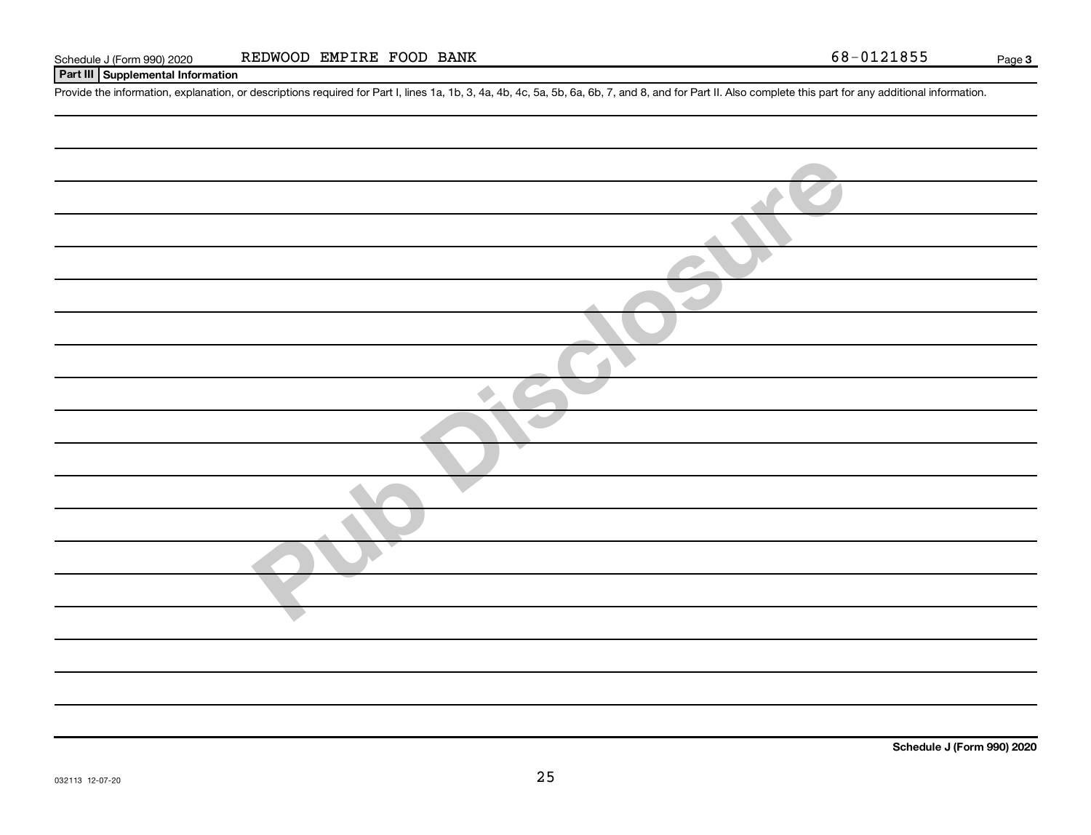## **Part III Supplemental Information**

Provide the information, explanation, or descriptions required for Part I, lines 1a, 1b, 3, 4a, 4b, 4c, 5a, 5b, 6a, 6b, 7, and 8, and for Part II. Also complete this part for any additional information.

| $\sim$ |
|--------|
|        |
|        |
|        |
|        |
|        |
|        |
|        |
|        |
|        |
|        |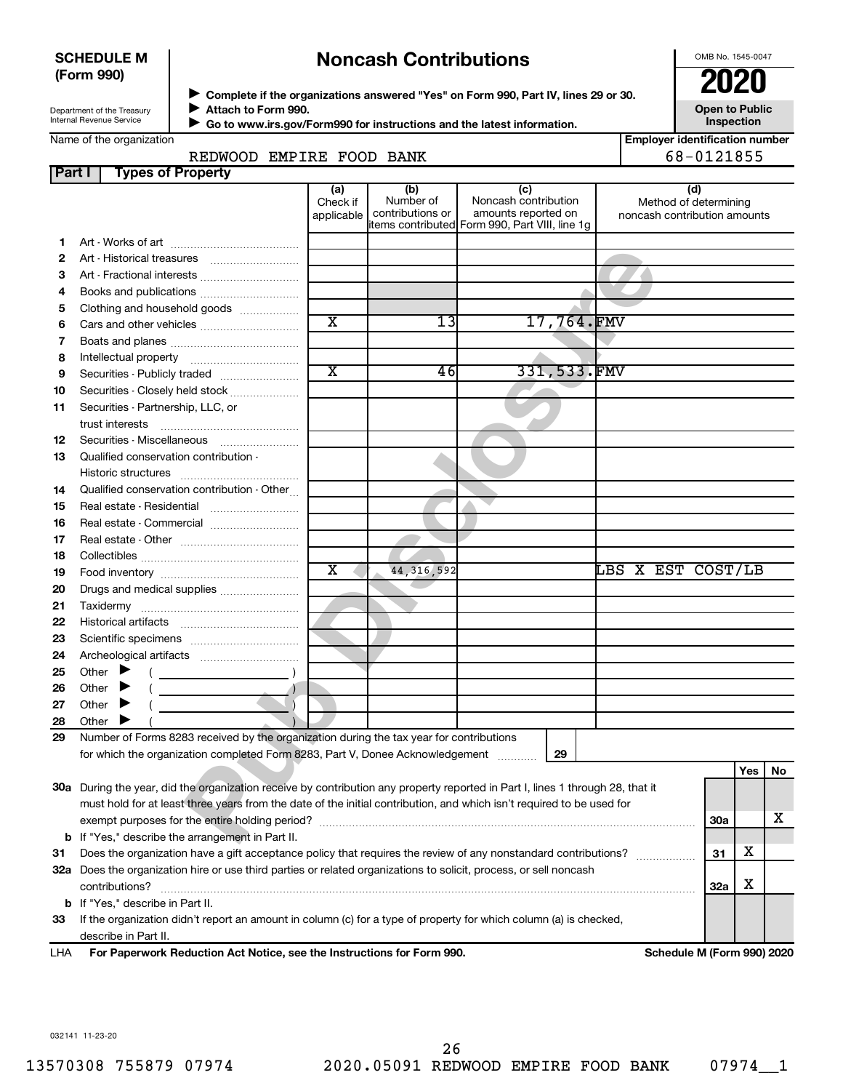### **SCHEDULE M (Form 990)**

## **Noncash Contributions**

OMB No. 1545-0047

| Department of the Treasury |
|----------------------------|
|                            |
| Internal Revenue Service   |
|                            |

**Part I** Ty

◆ Complete if the organizations answered "Yes" on Form 990, Part IV, lines 29 or 30.<br>● Complete if the organizations answered "Yes" on Form 990, Part IV, lines 29 or 30. **Attach to Form 990.** J

**Open to Public Inspection**

|  | Name of the organization |  |
|--|--------------------------|--|
|  |                          |  |
|  |                          |  |

 **Go to www.irs.gov/Form990 for instructions and the latest information.** J

| anization |                 |                  |         |              |                         | l Emplover identification number |
|-----------|-----------------|------------------|---------|--------------|-------------------------|----------------------------------|
|           | REDWOOD         | EMPIRE FOOD BANK |         |              |                         | 68-0121855                       |
|           | pes of Property |                  |         |              |                         |                                  |
|           |                 |                  | $I - 1$ | $\mathbf{u}$ | $\cdot$ $\cdot$ $\cdot$ | $\mathbf{L}$                     |

|    |                                                                                                                                | (a)<br>Check if<br>applicable | (b)<br>Number of<br>contributions or | (c)<br>Noncash contribution<br>amounts reported on<br>items contributed Form 990, Part VIII, line 1g | (d)<br>Method of determining<br>noncash contribution amounts |     |     |    |
|----|--------------------------------------------------------------------------------------------------------------------------------|-------------------------------|--------------------------------------|------------------------------------------------------------------------------------------------------|--------------------------------------------------------------|-----|-----|----|
| 1. |                                                                                                                                |                               |                                      |                                                                                                      |                                                              |     |     |    |
| 2  |                                                                                                                                |                               |                                      |                                                                                                      |                                                              |     |     |    |
| 3  | Art - Fractional interests                                                                                                     |                               |                                      |                                                                                                      |                                                              |     |     |    |
| 4  |                                                                                                                                |                               |                                      |                                                                                                      |                                                              |     |     |    |
| 5  | Clothing and household goods                                                                                                   |                               |                                      |                                                                                                      |                                                              |     |     |    |
| 6  | Cars and other vehicles                                                                                                        | $\overline{\text{x}}$         | 13                                   | 17,764.FMV                                                                                           |                                                              |     |     |    |
| 7  |                                                                                                                                |                               |                                      |                                                                                                      |                                                              |     |     |    |
| 8  |                                                                                                                                |                               |                                      |                                                                                                      |                                                              |     |     |    |
| 9  | Securities - Publicly traded                                                                                                   | $\overline{\text{x}}$         | 46                                   | 331, 533.FMV                                                                                         |                                                              |     |     |    |
| 10 | Securities - Closely held stock                                                                                                |                               |                                      |                                                                                                      |                                                              |     |     |    |
| 11 | Securities - Partnership, LLC, or                                                                                              |                               |                                      |                                                                                                      |                                                              |     |     |    |
|    | trust interests                                                                                                                |                               |                                      |                                                                                                      |                                                              |     |     |    |
| 12 |                                                                                                                                |                               |                                      |                                                                                                      |                                                              |     |     |    |
| 13 | Qualified conservation contribution -                                                                                          |                               |                                      |                                                                                                      |                                                              |     |     |    |
|    |                                                                                                                                |                               |                                      |                                                                                                      |                                                              |     |     |    |
| 14 | Qualified conservation contribution - Other                                                                                    |                               |                                      |                                                                                                      |                                                              |     |     |    |
| 15 | Real estate - Residential                                                                                                      |                               |                                      |                                                                                                      |                                                              |     |     |    |
| 16 | Real estate - Commercial                                                                                                       |                               |                                      |                                                                                                      |                                                              |     |     |    |
| 17 |                                                                                                                                |                               |                                      |                                                                                                      |                                                              |     |     |    |
| 18 |                                                                                                                                |                               |                                      |                                                                                                      |                                                              |     |     |    |
| 19 |                                                                                                                                | X                             | 44, 316, 592                         |                                                                                                      | LBS X EST COST/LB                                            |     |     |    |
| 20 |                                                                                                                                |                               |                                      |                                                                                                      |                                                              |     |     |    |
| 21 |                                                                                                                                |                               |                                      |                                                                                                      |                                                              |     |     |    |
| 22 |                                                                                                                                |                               |                                      |                                                                                                      |                                                              |     |     |    |
| 23 |                                                                                                                                |                               |                                      |                                                                                                      |                                                              |     |     |    |
| 24 |                                                                                                                                |                               |                                      |                                                                                                      |                                                              |     |     |    |
| 25 | Other $\blacktriangleright$                                                                                                    |                               |                                      |                                                                                                      |                                                              |     |     |    |
| 26 | Other $\blacktriangleright$                                                                                                    |                               |                                      |                                                                                                      |                                                              |     |     |    |
| 27 | Other $\blacktriangleright$                                                                                                    |                               |                                      |                                                                                                      |                                                              |     |     |    |
| 28 | Other $\blacktriangleright$                                                                                                    |                               |                                      |                                                                                                      |                                                              |     |     |    |
| 29 | Number of Forms 8283 received by the organization during the tax year for contributions                                        |                               |                                      |                                                                                                      |                                                              |     |     |    |
|    | for which the organization completed Form 8283, Part V, Donee Acknowledgement                                                  |                               |                                      | 29                                                                                                   |                                                              |     |     |    |
|    |                                                                                                                                |                               |                                      |                                                                                                      |                                                              |     | Yes | No |
|    | 30a During the year, did the organization receive by contribution any property reported in Part I, lines 1 through 28, that it |                               |                                      |                                                                                                      |                                                              |     |     |    |
|    | must hold for at least three years from the date of the initial contribution, and which isn't required to be used for          |                               |                                      |                                                                                                      |                                                              |     |     |    |
|    |                                                                                                                                |                               |                                      |                                                                                                      |                                                              | 30a |     | x  |
|    | <b>b</b> If "Yes," describe the arrangement in Part II.                                                                        |                               |                                      |                                                                                                      |                                                              |     |     |    |
| 31 | Does the organization have a gift acceptance policy that requires the review of any nonstandard contributions?                 |                               |                                      |                                                                                                      | .                                                            | 31  | x   |    |
|    | 32a Does the organization hire or use third parties or related organizations to solicit, process, or sell noncash              |                               |                                      |                                                                                                      |                                                              |     |     |    |
|    | contributions?                                                                                                                 |                               |                                      |                                                                                                      |                                                              | 32a | х   |    |

**33** If the organization didn't report an amount in column (c) for a type of property for which column (a) is checked, describe in Part II.

**For Paperwork Reduction Act Notice, see the Instructions for Form 990. Schedule M (Form 990) 2020** LHA

032141 11-23-20

**b** If "Yes," describe in Part II.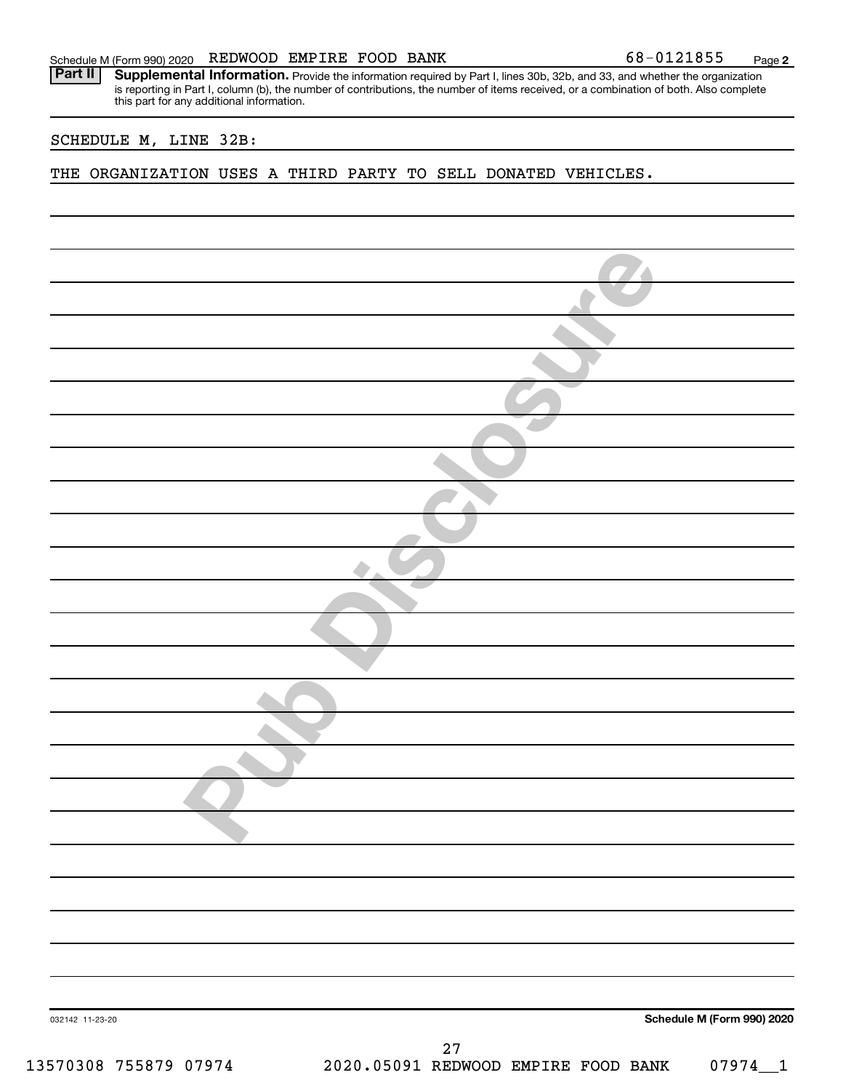Provide the information required by Part I, lines 30b, 32b, and 33, and whether the organization is reporting in Part I, column (b), the number of contributions, the number of items received, or a combination of both. Also complete this part for any additional information. **Part II Supplemental Information.** 

#### SCHEDULE M, LINE 32B:

THE ORGANIZATION USES A THIRD PARTY TO SELL DONATED VEHICLES.

| 032142 11-23-20       |                                     |    |  | Schedule M (Form 990) 2020 |
|-----------------------|-------------------------------------|----|--|----------------------------|
|                       |                                     | 27 |  |                            |
| 13570308 755879 07974 | 2020.05091 REDWOOD EMPIRE FOOD BANK |    |  | $07974 - 1$                |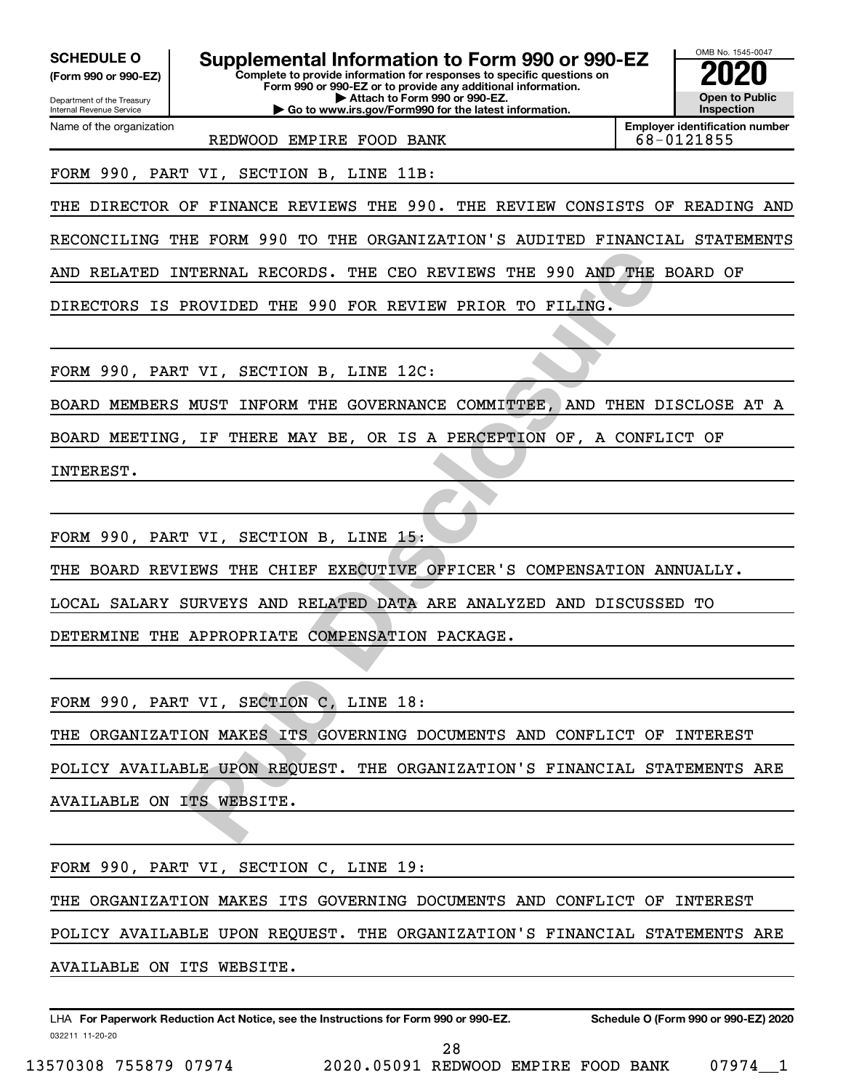| <b>SCHEDULE O</b><br>(Form 990 or 990-EZ)<br>Department of the Treasury<br>Internal Revenue Service | Supplemental Information to Form 990 or 990-EZ<br>Complete to provide information for responses to specific questions on<br>Form 990 or 990-EZ or to provide any additional information.<br>Attach to Form 990 or 990-EZ.<br>Go to www.irs.gov/Form990 for the latest information. | OMB No. 1545-0047<br><b>Open to Public</b><br>Inspection |
|-----------------------------------------------------------------------------------------------------|------------------------------------------------------------------------------------------------------------------------------------------------------------------------------------------------------------------------------------------------------------------------------------|----------------------------------------------------------|
| Name of the organization                                                                            | REDWOOD EMPIRE FOOD BANK                                                                                                                                                                                                                                                           | <b>Employer identification number</b><br>68-0121855      |
|                                                                                                     | FORM 990, PART VI, SECTION B, LINE 11B:                                                                                                                                                                                                                                            |                                                          |
|                                                                                                     | THE DIRECTOR OF FINANCE REVIEWS THE 990. THE REVIEW CONSISTS OF READING AND                                                                                                                                                                                                        |                                                          |
|                                                                                                     | RECONCILING THE FORM 990 TO THE ORGANIZATION'S AUDITED FINANCIAL STATEMENTS                                                                                                                                                                                                        |                                                          |
|                                                                                                     | AND RELATED INTERNAL RECORDS. THE CEO REVIEWS THE 990 AND THE BOARD OF                                                                                                                                                                                                             |                                                          |
|                                                                                                     | DIRECTORS IS PROVIDED THE 990 FOR REVIEW PRIOR TO FILING.                                                                                                                                                                                                                          |                                                          |
|                                                                                                     |                                                                                                                                                                                                                                                                                    |                                                          |
|                                                                                                     | FORM 990, PART VI, SECTION B, LINE 12C:                                                                                                                                                                                                                                            |                                                          |
|                                                                                                     | BOARD MEMBERS MUST INFORM THE GOVERNANCE COMMITTEE, AND THEN DISCLOSE AT A                                                                                                                                                                                                         |                                                          |
|                                                                                                     | BOARD MEETING, IF THERE MAY BE, OR IS A PERCEPTION OF, A CONFLICT OF                                                                                                                                                                                                               |                                                          |
| INTEREST.                                                                                           |                                                                                                                                                                                                                                                                                    |                                                          |
|                                                                                                     |                                                                                                                                                                                                                                                                                    |                                                          |
|                                                                                                     | FORM 990, PART VI, SECTION B, LINE 15:                                                                                                                                                                                                                                             |                                                          |
|                                                                                                     | THE BOARD REVIEWS THE CHIEF EXECUTIVE OFFICER'S COMPENSATION ANNUALLY.                                                                                                                                                                                                             |                                                          |
|                                                                                                     | LOCAL SALARY SURVEYS AND RELATED DATA ARE ANALYZED AND DISCUSSED TO                                                                                                                                                                                                                |                                                          |
|                                                                                                     | DETERMINE THE APPROPRIATE COMPENSATION PACKAGE.                                                                                                                                                                                                                                    |                                                          |
|                                                                                                     |                                                                                                                                                                                                                                                                                    |                                                          |
|                                                                                                     | FORM 990, PART VI, SECTION C, LINE 18:                                                                                                                                                                                                                                             |                                                          |
|                                                                                                     | THE ORGANIZATION MAKES ITS GOVERNING DOCUMENTS AND CONFLICT OF INTEREST                                                                                                                                                                                                            |                                                          |
|                                                                                                     | POLICY AVAILABLE UPON REQUEST. THE ORGANIZATION'S FINANCIAL STATEMENTS ARE                                                                                                                                                                                                         |                                                          |
| AVAILABLE ON ITS WEBSITE.                                                                           |                                                                                                                                                                                                                                                                                    |                                                          |
|                                                                                                     |                                                                                                                                                                                                                                                                                    |                                                          |
|                                                                                                     | FORM 990, PART VI, SECTION C, LINE 19:                                                                                                                                                                                                                                             |                                                          |
|                                                                                                     | THE ORGANIZATION MAKES ITS GOVERNING DOCUMENTS AND CONFLICT OF INTEREST                                                                                                                                                                                                            |                                                          |
|                                                                                                     | POLICY AVAILABLE UPON REQUEST. THE ORGANIZATION'S FINANCIAL STATEMENTS ARE                                                                                                                                                                                                         |                                                          |

AVAILABLE ON ITS WEBSITE.

032211 11-20-20 **For Paperwork Reduction Act Notice, see the Instructions for Form 990 or 990-EZ. Schedule O (Form 990 or 990-EZ) 2020** LHA

28